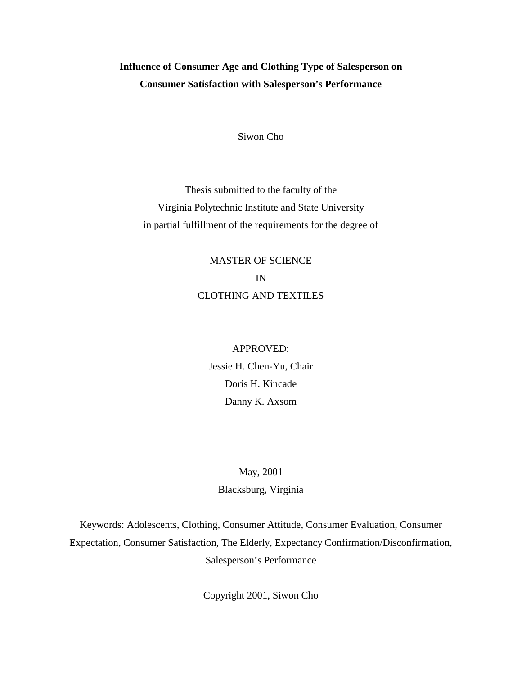# **Influence of Consumer Age and Clothing Type of Salesperson on Consumer Satisfaction with Salesperson's Performance**

Siwon Cho

Thesis submitted to the faculty of the Virginia Polytechnic Institute and State University in partial fulfillment of the requirements for the degree of

# MASTER OF SCIENCE IN CLOTHING AND TEXTILES

# APPROVED: Jessie H. Chen-Yu, Chair Doris H. Kincade Danny K. Axsom

# May, 2001 Blacksburg, Virginia

Keywords: Adolescents, Clothing, Consumer Attitude, Consumer Evaluation, Consumer Expectation, Consumer Satisfaction, The Elderly, Expectancy Confirmation/Disconfirmation, Salesperson's Performance

Copyright 2001, Siwon Cho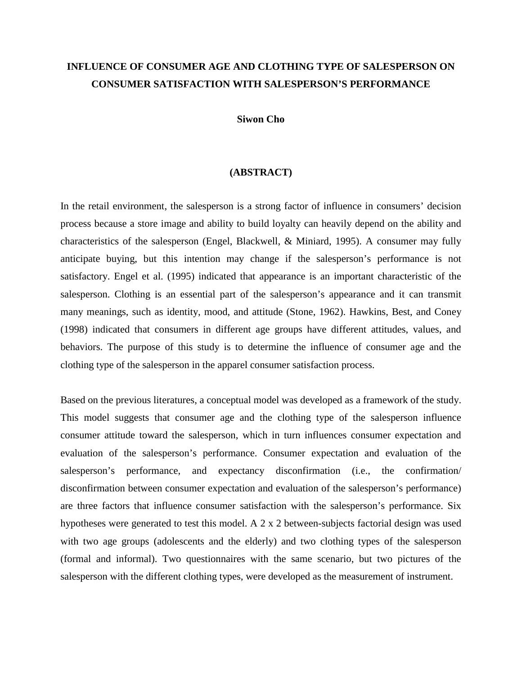# **INFLUENCE OF CONSUMER AGE AND CLOTHING TYPE OF SALESPERSON ON CONSUMER SATISFACTION WITH SALESPERSON'S PERFORMANCE**

#### **Siwon Cho**

### **(ABSTRACT)**

In the retail environment, the salesperson is a strong factor of influence in consumers' decision process because a store image and ability to build loyalty can heavily depend on the ability and characteristics of the salesperson (Engel, Blackwell, & Miniard, 1995). A consumer may fully anticipate buying, but this intention may change if the salesperson's performance is not satisfactory. Engel et al. (1995) indicated that appearance is an important characteristic of the salesperson. Clothing is an essential part of the salesperson's appearance and it can transmit many meanings, such as identity, mood, and attitude (Stone, 1962). Hawkins, Best, and Coney (1998) indicated that consumers in different age groups have different attitudes, values, and behaviors. The purpose of this study is to determine the influence of consumer age and the clothing type of the salesperson in the apparel consumer satisfaction process.

Based on the previous literatures, a conceptual model was developed as a framework of the study. This model suggests that consumer age and the clothing type of the salesperson influence consumer attitude toward the salesperson, which in turn influences consumer expectation and evaluation of the salesperson's performance. Consumer expectation and evaluation of the salesperson's performance, and expectancy disconfirmation (i.e., the confirmation/ disconfirmation between consumer expectation and evaluation of the salesperson's performance) are three factors that influence consumer satisfaction with the salesperson's performance. Six hypotheses were generated to test this model. A 2 x 2 between-subjects factorial design was used with two age groups (adolescents and the elderly) and two clothing types of the salesperson (formal and informal). Two questionnaires with the same scenario, but two pictures of the salesperson with the different clothing types, were developed as the measurement of instrument.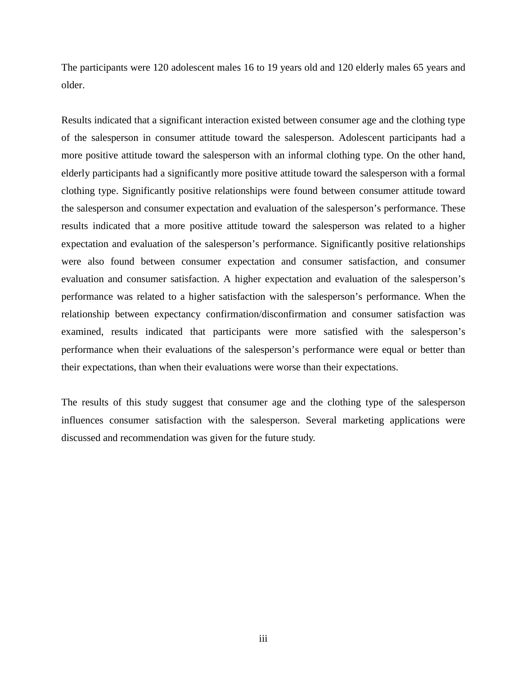The participants were 120 adolescent males 16 to 19 years old and 120 elderly males 65 years and older.

Results indicated that a significant interaction existed between consumer age and the clothing type of the salesperson in consumer attitude toward the salesperson. Adolescent participants had a more positive attitude toward the salesperson with an informal clothing type. On the other hand, elderly participants had a significantly more positive attitude toward the salesperson with a formal clothing type. Significantly positive relationships were found between consumer attitude toward the salesperson and consumer expectation and evaluation of the salesperson's performance. These results indicated that a more positive attitude toward the salesperson was related to a higher expectation and evaluation of the salesperson's performance. Significantly positive relationships were also found between consumer expectation and consumer satisfaction, and consumer evaluation and consumer satisfaction. A higher expectation and evaluation of the salesperson's performance was related to a higher satisfaction with the salesperson's performance. When the relationship between expectancy confirmation/disconfirmation and consumer satisfaction was examined, results indicated that participants were more satisfied with the salesperson's performance when their evaluations of the salesperson's performance were equal or better than their expectations, than when their evaluations were worse than their expectations.

The results of this study suggest that consumer age and the clothing type of the salesperson influences consumer satisfaction with the salesperson. Several marketing applications were discussed and recommendation was given for the future study.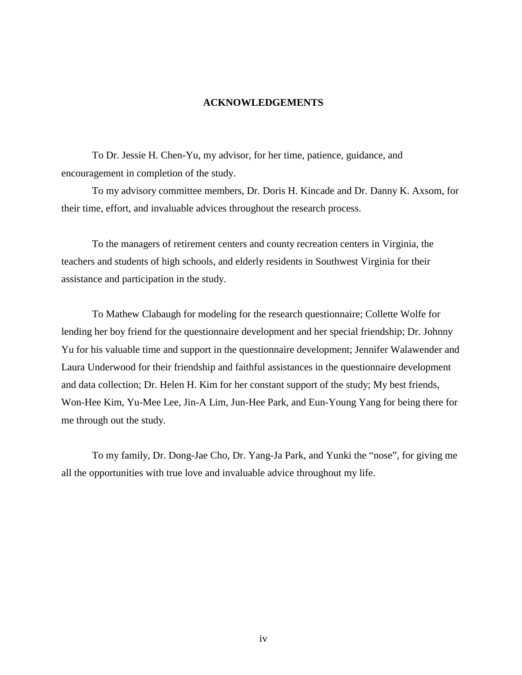#### **ACKNOWLEDGEMENTS**

 To Dr. Jessie H. Chen-Yu, my advisor, for her time, patience, guidance, and encouragement in completion of the study.

To my advisory committee members, Dr. Doris H. Kincade and Dr. Danny K. Axsom, for their time, effort, and invaluable advices throughout the research process.

 To the managers of retirement centers and county recreation centers in Virginia, the teachers and students of high schools, and elderly residents in Southwest Virginia for their assistance and participation in the study.

 To Mathew Clabaugh for modeling for the research questionnaire; Collette Wolfe for lending her boy friend for the questionnaire development and her special friendship; Dr. Johnny Yu for his valuable time and support in the questionnaire development; Jennifer Walawender and Laura Underwood for their friendship and faithful assistances in the questionnaire development and data collection; Dr. Helen H. Kim for her constant support of the study; My best friends, Won-Hee Kim, Yu-Mee Lee, Jin-A Lim, Jun-Hee Park, and Eun-Young Yang for being there for me through out the study.

 To my family, Dr. Dong-Jae Cho, Dr. Yang-Ja Park, and Yunki the "nose", for giving me all the opportunities with true love and invaluable advice throughout my life.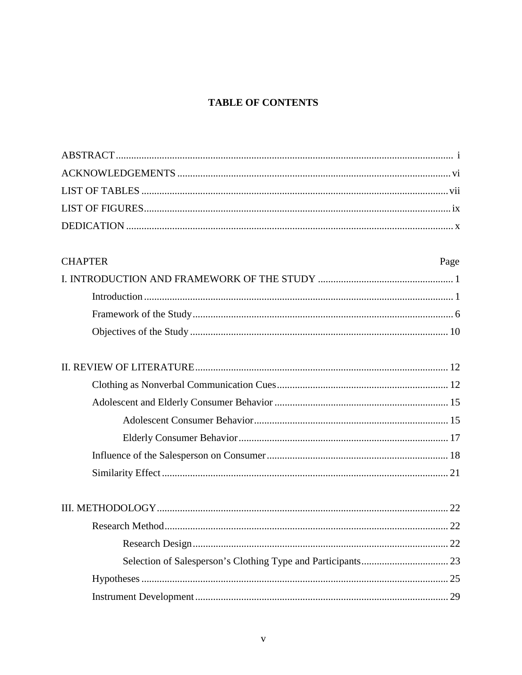# **TABLE OF CONTENTS**

| <b>CHAPTER</b><br>Page |    |
|------------------------|----|
|                        |    |
|                        |    |
|                        |    |
|                        |    |
|                        |    |
|                        |    |
|                        |    |
|                        |    |
|                        |    |
|                        |    |
|                        |    |
|                        |    |
|                        |    |
|                        |    |
|                        |    |
|                        | 22 |
|                        |    |
|                        |    |
|                        | 29 |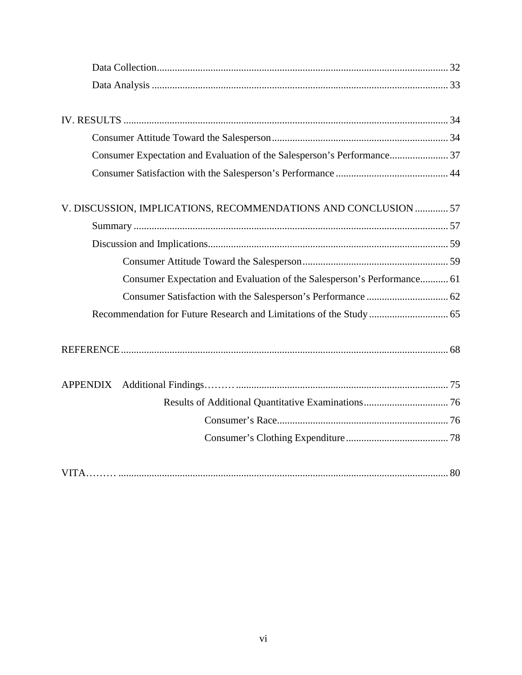| Consumer Expectation and Evaluation of the Salesperson's Performance 37 |
|-------------------------------------------------------------------------|
|                                                                         |
| V. DISCUSSION, IMPLICATIONS, RECOMMENDATIONS AND CONCLUSION  57         |
|                                                                         |
|                                                                         |
|                                                                         |
| Consumer Expectation and Evaluation of the Salesperson's Performance 61 |
|                                                                         |
|                                                                         |
|                                                                         |
|                                                                         |
|                                                                         |
|                                                                         |
|                                                                         |
|                                                                         |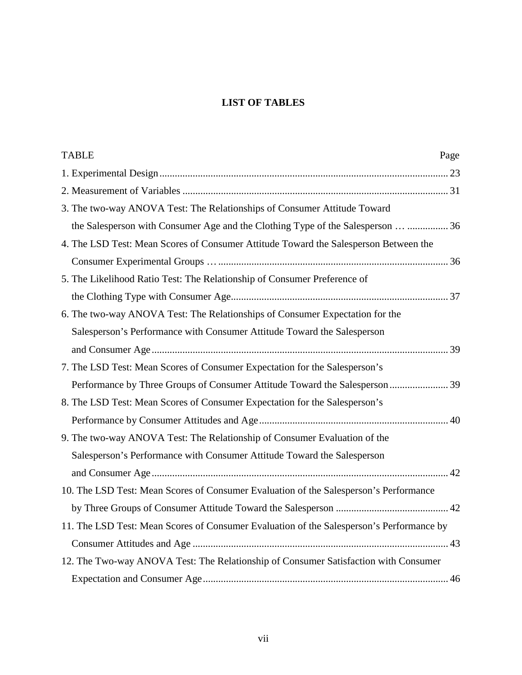# **LIST OF TABLES**

| <b>TABLE</b><br>Page                                                                     |  |
|------------------------------------------------------------------------------------------|--|
|                                                                                          |  |
|                                                                                          |  |
| 3. The two-way ANOVA Test: The Relationships of Consumer Attitude Toward                 |  |
| the Salesperson with Consumer Age and the Clothing Type of the Salesperson   36          |  |
| 4. The LSD Test: Mean Scores of Consumer Attitude Toward the Salesperson Between the     |  |
|                                                                                          |  |
| 5. The Likelihood Ratio Test: The Relationship of Consumer Preference of                 |  |
|                                                                                          |  |
| 6. The two-way ANOVA Test: The Relationships of Consumer Expectation for the             |  |
| Salesperson's Performance with Consumer Attitude Toward the Salesperson                  |  |
|                                                                                          |  |
| 7. The LSD Test: Mean Scores of Consumer Expectation for the Salesperson's               |  |
| Performance by Three Groups of Consumer Attitude Toward the Salesperson  39              |  |
| 8. The LSD Test: Mean Scores of Consumer Expectation for the Salesperson's               |  |
|                                                                                          |  |
| 9. The two-way ANOVA Test: The Relationship of Consumer Evaluation of the                |  |
| Salesperson's Performance with Consumer Attitude Toward the Salesperson                  |  |
|                                                                                          |  |
| 10. The LSD Test: Mean Scores of Consumer Evaluation of the Salesperson's Performance    |  |
|                                                                                          |  |
| 11. The LSD Test: Mean Scores of Consumer Evaluation of the Salesperson's Performance by |  |
|                                                                                          |  |
| 12. The Two-way ANOVA Test: The Relationship of Consumer Satisfaction with Consumer      |  |
|                                                                                          |  |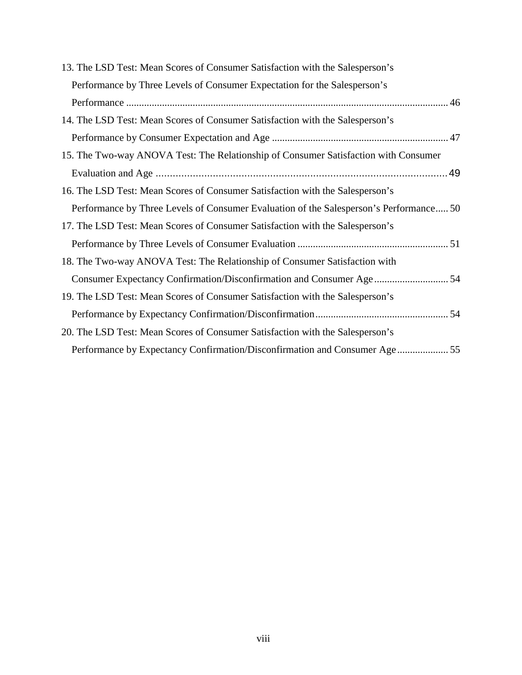| 13. The LSD Test: Mean Scores of Consumer Satisfaction with the Salesperson's          |
|----------------------------------------------------------------------------------------|
| Performance by Three Levels of Consumer Expectation for the Salesperson's              |
|                                                                                        |
| 14. The LSD Test: Mean Scores of Consumer Satisfaction with the Salesperson's          |
|                                                                                        |
| 15. The Two-way ANOVA Test: The Relationship of Consumer Satisfaction with Consumer    |
|                                                                                        |
| 16. The LSD Test: Mean Scores of Consumer Satisfaction with the Salesperson's          |
| Performance by Three Levels of Consumer Evaluation of the Salesperson's Performance 50 |
| 17. The LSD Test: Mean Scores of Consumer Satisfaction with the Salesperson's          |
|                                                                                        |
| 18. The Two-way ANOVA Test: The Relationship of Consumer Satisfaction with             |
| Consumer Expectancy Confirmation/Disconfirmation and Consumer Age 54                   |
| 19. The LSD Test: Mean Scores of Consumer Satisfaction with the Salesperson's          |
|                                                                                        |
| 20. The LSD Test: Mean Scores of Consumer Satisfaction with the Salesperson's          |
| Performance by Expectancy Confirmation/Disconfirmation and Consumer Age 55             |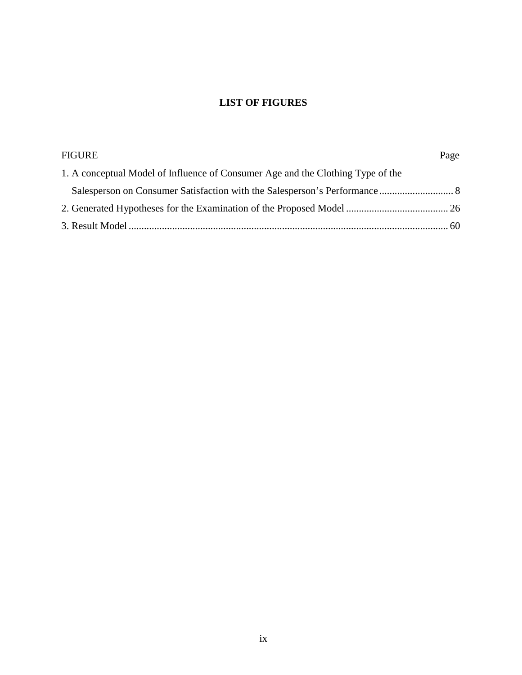# **LIST OF FIGURES**

| <b>FIGURE</b>                                                                   | Page |
|---------------------------------------------------------------------------------|------|
| 1. A conceptual Model of Influence of Consumer Age and the Clothing Type of the |      |
|                                                                                 |      |
|                                                                                 |      |
|                                                                                 |      |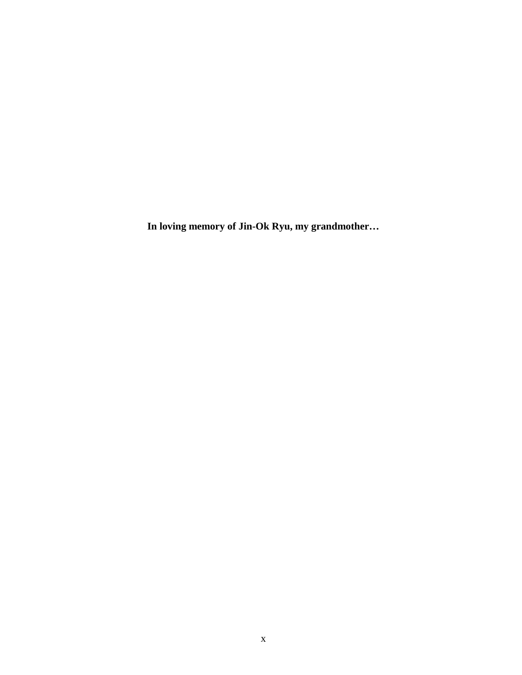**In loving memory of Jin-Ok Ryu, my grandmother…**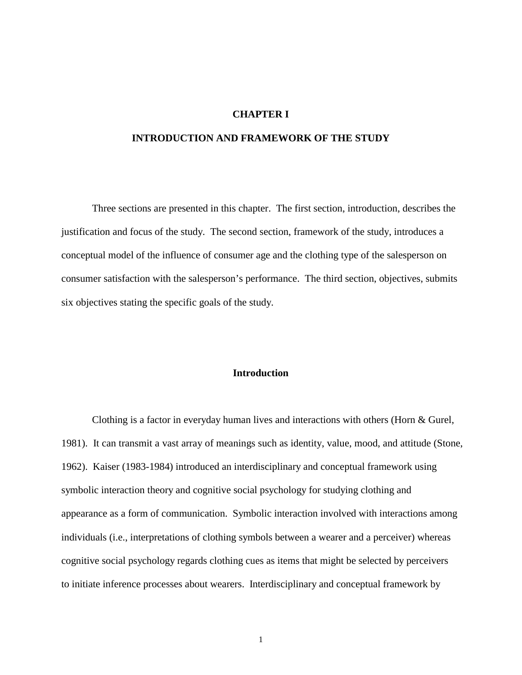## **CHAPTER I**

# **INTRODUCTION AND FRAMEWORK OF THE STUDY**

 Three sections are presented in this chapter. The first section, introduction, describes the justification and focus of the study. The second section, framework of the study, introduces a conceptual model of the influence of consumer age and the clothing type of the salesperson on consumer satisfaction with the salesperson's performance. The third section, objectives, submits six objectives stating the specific goals of the study.

#### **Introduction**

 Clothing is a factor in everyday human lives and interactions with others (Horn & Gurel, 1981). It can transmit a vast array of meanings such as identity, value, mood, and attitude (Stone, 1962). Kaiser (1983-1984) introduced an interdisciplinary and conceptual framework using symbolic interaction theory and cognitive social psychology for studying clothing and appearance as a form of communication. Symbolic interaction involved with interactions among individuals (i.e., interpretations of clothing symbols between a wearer and a perceiver) whereas cognitive social psychology regards clothing cues as items that might be selected by perceivers to initiate inference processes about wearers. Interdisciplinary and conceptual framework by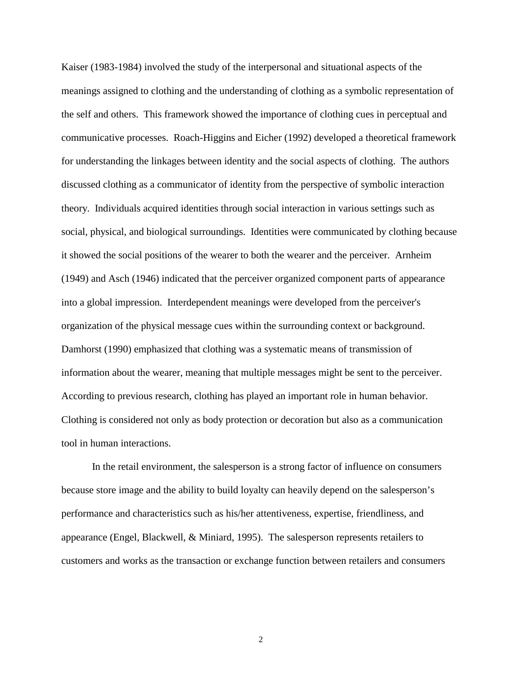Kaiser (1983-1984) involved the study of the interpersonal and situational aspects of the meanings assigned to clothing and the understanding of clothing as a symbolic representation of the self and others. This framework showed the importance of clothing cues in perceptual and communicative processes. Roach-Higgins and Eicher (1992) developed a theoretical framework for understanding the linkages between identity and the social aspects of clothing. The authors discussed clothing as a communicator of identity from the perspective of symbolic interaction theory. Individuals acquired identities through social interaction in various settings such as social, physical, and biological surroundings. Identities were communicated by clothing because it showed the social positions of the wearer to both the wearer and the perceiver. Arnheim (1949) and Asch (1946) indicated that the perceiver organized component parts of appearance into a global impression. Interdependent meanings were developed from the perceiver's organization of the physical message cues within the surrounding context or background. Damhorst (1990) emphasized that clothing was a systematic means of transmission of information about the wearer, meaning that multiple messages might be sent to the perceiver. According to previous research, clothing has played an important role in human behavior. Clothing is considered not only as body protection or decoration but also as a communication tool in human interactions.

In the retail environment, the salesperson is a strong factor of influence on consumers because store image and the ability to build loyalty can heavily depend on the salesperson's performance and characteristics such as his/her attentiveness, expertise, friendliness, and appearance (Engel, Blackwell, & Miniard, 1995). The salesperson represents retailers to customers and works as the transaction or exchange function between retailers and consumers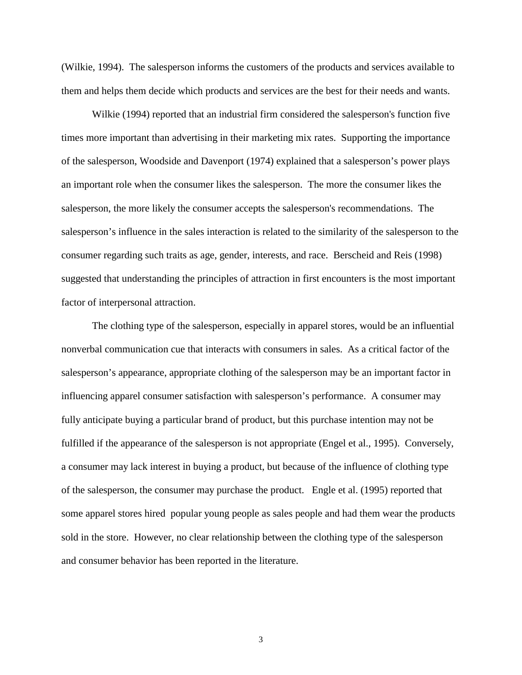(Wilkie, 1994). The salesperson informs the customers of the products and services available to them and helps them decide which products and services are the best for their needs and wants.

Wilkie (1994) reported that an industrial firm considered the salesperson's function five times more important than advertising in their marketing mix rates. Supporting the importance of the salesperson, Woodside and Davenport (1974) explained that a salesperson's power plays an important role when the consumer likes the salesperson. The more the consumer likes the salesperson, the more likely the consumer accepts the salesperson's recommendations. The salesperson's influence in the sales interaction is related to the similarity of the salesperson to the consumer regarding such traits as age, gender, interests, and race. Berscheid and Reis (1998) suggested that understanding the principles of attraction in first encounters is the most important factor of interpersonal attraction.

The clothing type of the salesperson, especially in apparel stores, would be an influential nonverbal communication cue that interacts with consumers in sales.As a critical factor of the salesperson's appearance, appropriate clothing of the salesperson may be an important factor in influencing apparel consumer satisfaction with salesperson's performance. A consumer may fully anticipate buying a particular brand of product, but this purchase intention may not be fulfilled if the appearance of the salesperson is not appropriate (Engel et al., 1995). Conversely, a consumer may lack interest in buying a product, but because of the influence of clothing type of the salesperson, the consumer may purchase the product. Engle et al. (1995) reported that some apparel stores hired popular young people as sales people and had them wear the products sold in the store. However, no clear relationship between the clothing type of the salesperson and consumer behavior has been reported in the literature.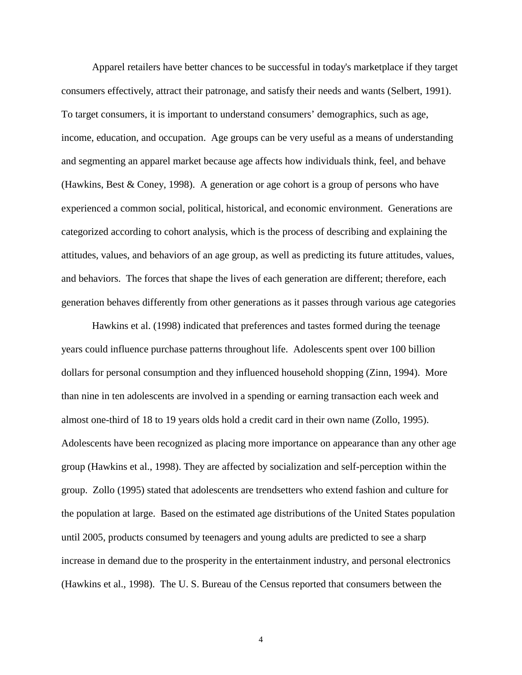Apparel retailers have better chances to be successful in today's marketplace if they target consumers effectively, attract their patronage, and satisfy their needs and wants (Selbert, 1991). To target consumers, it is important to understand consumers' demographics, such as age, income, education, and occupation. Age groups can be very useful as a means of understanding and segmenting an apparel market because age affects how individuals think, feel, and behave (Hawkins, Best & Coney, 1998). A generation or age cohort is a group of persons who have experienced a common social, political, historical, and economic environment. Generations are categorized according to cohort analysis, which is the process of describing and explaining the attitudes, values, and behaviors of an age group, as well as predicting its future attitudes, values, and behaviors. The forces that shape the lives of each generation are different; therefore, each generation behaves differently from other generations as it passes through various age categories

Hawkins et al. (1998) indicated that preferences and tastes formed during the teenage years could influence purchase patterns throughout life. Adolescents spent over 100 billion dollars for personal consumption and they influenced household shopping (Zinn, 1994). More than nine in ten adolescents are involved in a spending or earning transaction each week and almost one-third of 18 to 19 years olds hold a credit card in their own name (Zollo, 1995). Adolescents have been recognized as placing more importance on appearance than any other age group (Hawkins et al., 1998). They are affected by socialization and self-perception within the group. Zollo (1995) stated that adolescents are trendsetters who extend fashion and culture for the population at large. Based on the estimated age distributions of the United States population until 2005, products consumed by teenagers and young adults are predicted to see a sharp increase in demand due to the prosperity in the entertainment industry, and personal electronics (Hawkins et al., 1998). The U. S. Bureau of the Census reported that consumers between the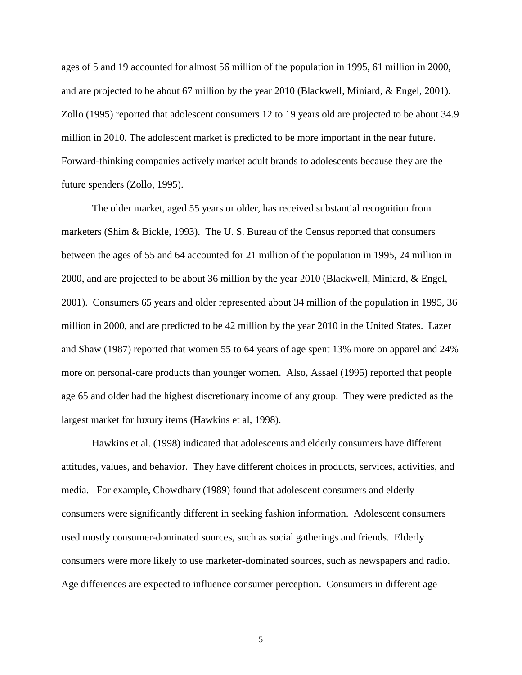ages of 5 and 19 accounted for almost 56 million of the population in 1995, 61 million in 2000, and are projected to be about 67 million by the year 2010 (Blackwell, Miniard, & Engel, 2001). Zollo (1995) reported that adolescent consumers 12 to 19 years old are projected to be about 34.9 million in 2010. The adolescent market is predicted to be more important in the near future. Forward-thinking companies actively market adult brands to adolescents because they are the future spenders (Zollo, 1995).

The older market, aged 55 years or older, has received substantial recognition from marketers (Shim & Bickle, 1993). The U. S. Bureau of the Census reported that consumers between the ages of 55 and 64 accounted for 21 million of the population in 1995, 24 million in 2000, and are projected to be about 36 million by the year 2010 (Blackwell, Miniard, & Engel, 2001). Consumers 65 years and older represented about 34 million of the population in 1995, 36 million in 2000, and are predicted to be 42 million by the year 2010 in the United States. Lazer and Shaw (1987) reported that women 55 to 64 years of age spent 13% more on apparel and 24% more on personal-care products than younger women. Also, Assael (1995) reported that people age 65 and older had the highest discretionary income of any group.They were predicted as the largest market for luxury items (Hawkins et al, 1998).

Hawkins et al. (1998) indicated that adolescents and elderly consumers have different attitudes, values, and behavior. They have different choices in products, services, activities, and media. For example, Chowdhary (1989) found that adolescent consumers and elderly consumers were significantly different in seeking fashion information. Adolescent consumers used mostly consumer-dominated sources, such as social gatherings and friends. Elderly consumers were more likely to use marketer-dominated sources, such as newspapers and radio. Age differences are expected to influence consumer perception. Consumers in different age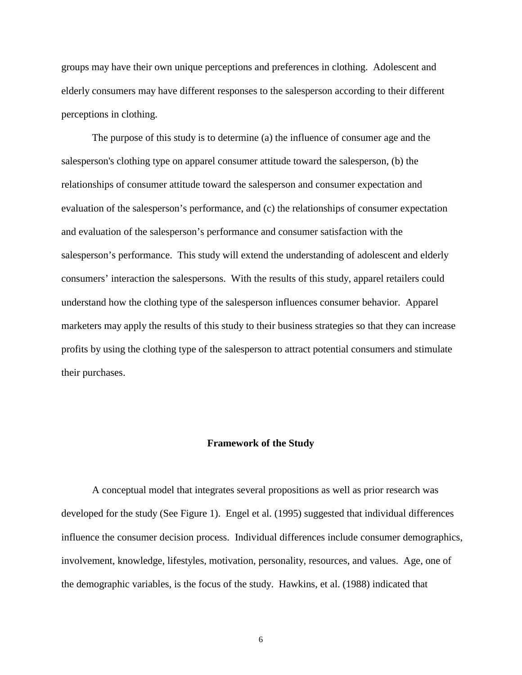groups may have their own unique perceptions and preferences in clothing. Adolescent and elderly consumers may have different responses to the salesperson according to their different perceptions in clothing.

The purpose of this study is to determine (a) the influence of consumer age and the salesperson's clothing type on apparel consumer attitude toward the salesperson, (b) the relationships of consumer attitude toward the salesperson and consumer expectation and evaluation of the salesperson's performance, and (c) the relationships of consumer expectation and evaluation of the salesperson's performance and consumer satisfaction with the salesperson's performance.This study will extend the understanding of adolescent and elderly consumers' interaction the salespersons. With the results of this study, apparel retailers could understand how the clothing type of the salesperson influences consumer behavior. Apparel marketers may apply the results of this study to their business strategies so that they can increase profits by using the clothing type of the salesperson to attract potential consumers and stimulate their purchases.

#### **Framework of the Study**

A conceptual model that integrates several propositions as well as prior research was developed for the study (See Figure 1). Engel et al. (1995) suggested that individual differences influence the consumer decision process. Individual differences include consumer demographics, involvement, knowledge, lifestyles, motivation, personality, resources, and values. Age, one of the demographic variables, is the focus of the study. Hawkins, et al. (1988) indicated that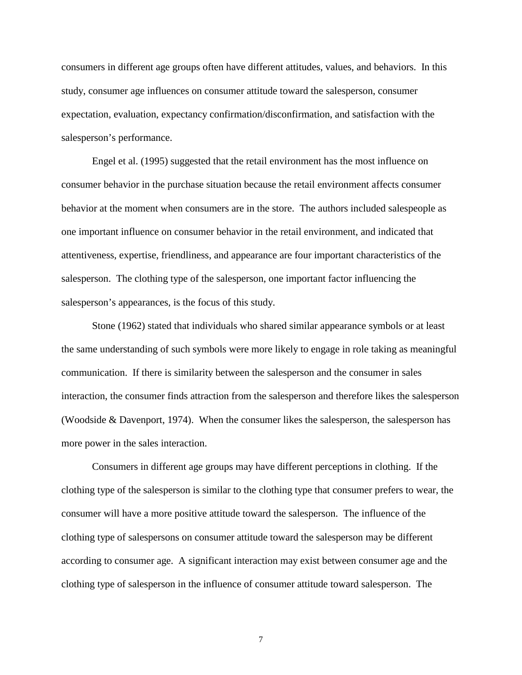consumers in different age groups often have different attitudes, values, and behaviors. In this study, consumer age influences on consumer attitude toward the salesperson, consumer expectation, evaluation, expectancy confirmation/disconfirmation, and satisfaction with the salesperson's performance.

Engel et al. (1995) suggested that the retail environment has the most influence on consumer behavior in the purchase situation because the retail environment affects consumer behavior at the moment when consumers are in the store. The authors included salespeople as one important influence on consumer behavior in the retail environment, and indicated that attentiveness, expertise, friendliness, and appearance are four important characteristics of the salesperson. The clothing type of the salesperson, one important factor influencing the salesperson's appearances, is the focus of this study.

Stone (1962) stated that individuals who shared similar appearance symbols or at least the same understanding of such symbols were more likely to engage in role taking as meaningful communication. If there is similarity between the salesperson and the consumer in sales interaction, the consumer finds attraction from the salesperson and therefore likes the salesperson (Woodside & Davenport, 1974). When the consumer likes the salesperson, the salesperson has more power in the sales interaction.

Consumers in different age groups may have different perceptions in clothing. If the clothing type of the salesperson is similar to the clothing type that consumer prefers to wear, the consumer will have a more positive attitude toward the salesperson. The influence of the clothing type of salespersons on consumer attitude toward the salesperson may be different according to consumer age. A significant interaction may exist between consumer age and the clothing type of salesperson in the influence of consumer attitude toward salesperson. The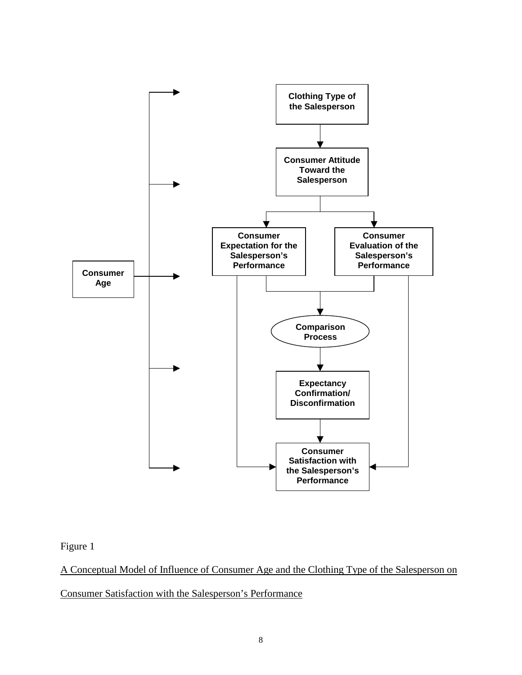

# Figure 1

A Conceptual Model of Influence of Consumer Age and the Clothing Type of the Salesperson on

Consumer Satisfaction with the Salesperson's Performance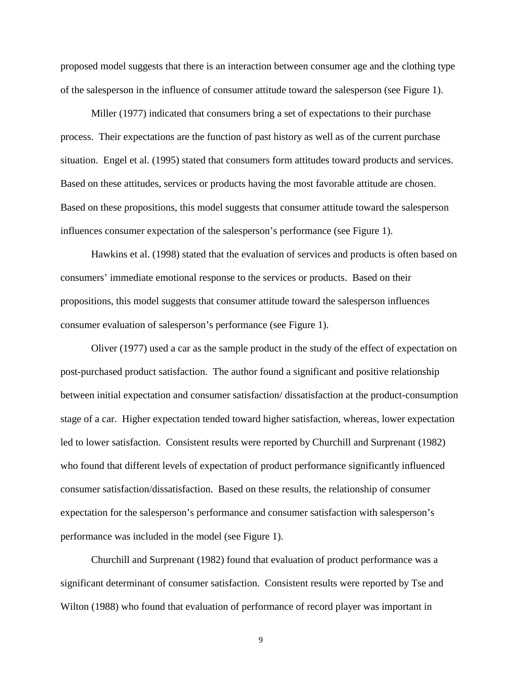proposed model suggests that there is an interaction between consumer age and the clothing type of the salesperson in the influence of consumer attitude toward the salesperson (see Figure 1).

 Miller (1977) indicated that consumers bring a set of expectations to their purchase process. Their expectations are the function of past history as well as of the current purchase situation. Engel et al. (1995) stated that consumers form attitudes toward products and services. Based on these attitudes, services or products having the most favorable attitude are chosen. Based on these propositions, this model suggests that consumer attitude toward the salesperson influences consumer expectation of the salesperson's performance (see Figure 1).

Hawkins et al. (1998) stated that the evaluation of services and products is often based on consumers' immediate emotional response to the services or products. Based on their propositions, this model suggests that consumer attitude toward the salesperson influences consumer evaluation of salesperson's performance (see Figure 1).

 Oliver (1977) used a car as the sample product in the study of the effect of expectation on post-purchased product satisfaction. The author found a significant and positive relationship between initial expectation and consumer satisfaction/ dissatisfaction at the product-consumption stage of a car. Higher expectation tended toward higher satisfaction, whereas, lower expectation led to lower satisfaction. Consistent results were reported by Churchill and Surprenant (1982) who found that different levels of expectation of product performance significantly influenced consumer satisfaction/dissatisfaction. Based on these results, the relationship of consumer expectation for the salesperson's performance and consumer satisfaction with salesperson's performance was included in the model (see Figure 1).

Churchill and Surprenant (1982) found that evaluation of product performance was a significant determinant of consumer satisfaction. Consistent results were reported by Tse and Wilton (1988) who found that evaluation of performance of record player was important in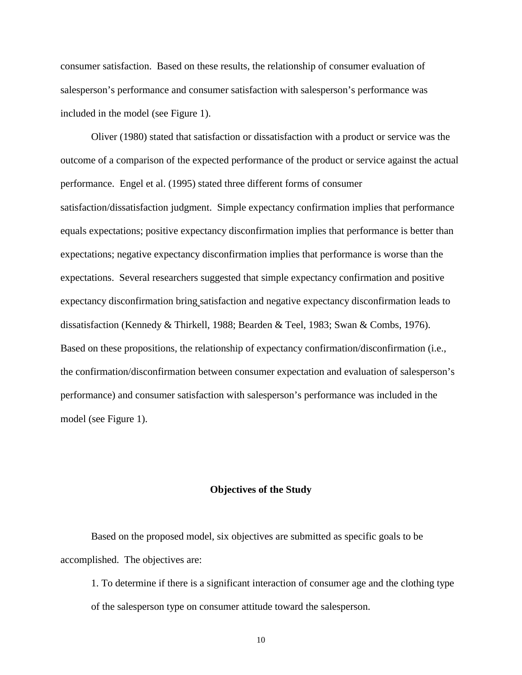consumer satisfaction. Based on these results, the relationship of consumer evaluation of salesperson's performance and consumer satisfaction with salesperson's performance was included in the model (see Figure 1).

 Oliver (1980) stated that satisfaction or dissatisfaction with a product or service was the outcome of a comparison of the expected performance of the product or service against the actual performance. Engel et al. (1995) stated three different forms of consumer satisfaction/dissatisfaction judgment. Simple expectancy confirmation implies that performance equals expectations; positive expectancy disconfirmation implies that performance is better than expectations; negative expectancy disconfirmation implies that performance is worse than the expectations. Several researchers suggested that simple expectancy confirmation and positive expectancy disconfirmation bring satisfaction and negative expectancy disconfirmation leads to dissatisfaction (Kennedy & Thirkell, 1988; Bearden & Teel, 1983; Swan & Combs, 1976). Based on these propositions, the relationship of expectancy confirmation/disconfirmation (i.e., the confirmation/disconfirmation between consumer expectation and evaluation of salesperson's performance) and consumer satisfaction with salesperson's performance was included in the model (see Figure 1).

## **Objectives of the Study**

 Based on the proposed model, six objectives are submitted as specific goals to be accomplished. The objectives are:

1. To determine if there is a significant interaction of consumer age and the clothing type of the salesperson type on consumer attitude toward the salesperson.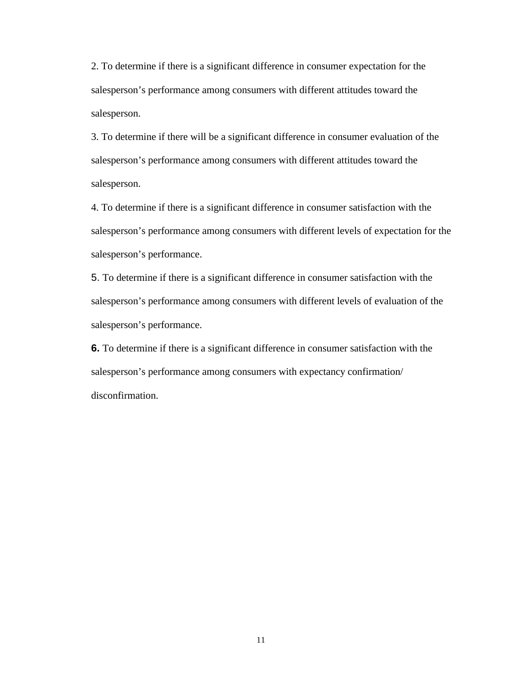2. To determine if there is a significant difference in consumer expectation for the salesperson's performance among consumers with different attitudes toward the salesperson.

3. To determine if there will be a significant difference in consumer evaluation of the salesperson's performance among consumers with different attitudes toward the salesperson.

4. To determine if there is a significant difference in consumer satisfaction with the salesperson's performance among consumers with different levels of expectation for the salesperson's performance.

5. To determine if there is a significant difference in consumer satisfaction with the salesperson's performance among consumers with different levels of evaluation of the salesperson's performance.

**6.** To determine if there is a significant difference in consumer satisfaction with the salesperson's performance among consumers with expectancy confirmation/ disconfirmation.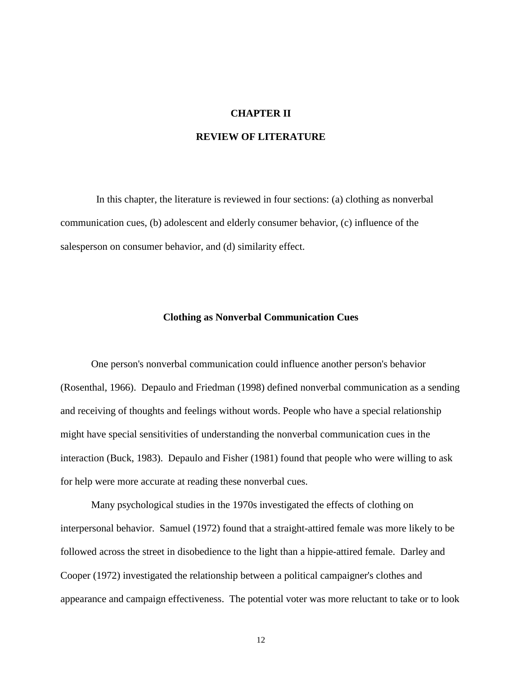# **CHAPTER II**

## **REVIEW OF LITERATURE**

In this chapter, the literature is reviewed in four sections: (a) clothing as nonverbal communication cues, (b) adolescent and elderly consumer behavior, (c) influence of the salesperson on consumer behavior, and (d) similarity effect.

#### **Clothing as Nonverbal Communication Cues**

One person's nonverbal communication could influence another person's behavior (Rosenthal, 1966). Depaulo and Friedman (1998) defined nonverbal communication as a sending and receiving of thoughts and feelings without words. People who have a special relationship might have special sensitivities of understanding the nonverbal communication cues in the interaction (Buck, 1983). Depaulo and Fisher (1981) found that people who were willing to ask for help were more accurate at reading these nonverbal cues.

Many psychological studies in the 1970s investigated the effects of clothing on interpersonal behavior. Samuel (1972) found that a straight-attired female was more likely to be followed across the street in disobedience to the light than a hippie-attired female. Darley and Cooper (1972) investigated the relationship between a political campaigner's clothes and appearance and campaign effectiveness. The potential voter was more reluctant to take or to look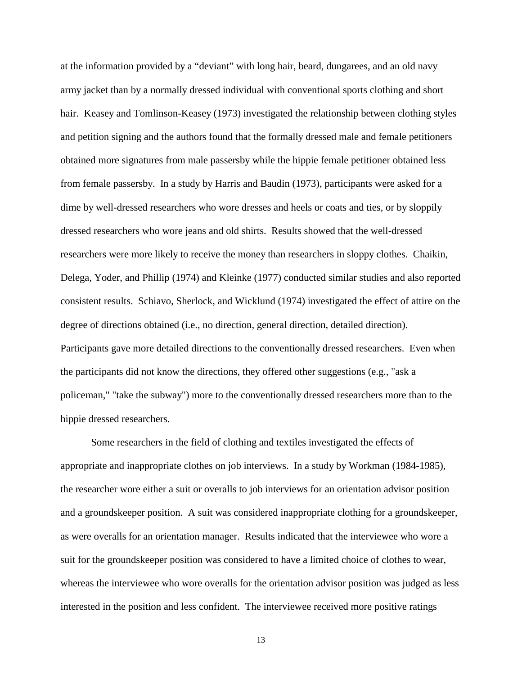at the information provided by a "deviant" with long hair, beard, dungarees, and an old navy army jacket than by a normally dressed individual with conventional sports clothing and short hair. Keasey and Tomlinson-Keasey (1973) investigated the relationship between clothing styles and petition signing and the authors found that the formally dressed male and female petitioners obtained more signatures from male passersby while the hippie female petitioner obtained less from female passersby. In a study by Harris and Baudin (1973), participants were asked for a dime by well-dressed researchers who wore dresses and heels or coats and ties, or by sloppily dressed researchers who wore jeans and old shirts. Results showed that the well-dressed researchers were more likely to receive the money than researchers in sloppy clothes. Chaikin, Delega, Yoder, and Phillip (1974) and Kleinke (1977) conducted similar studies and also reported consistent results. Schiavo, Sherlock, and Wicklund (1974) investigated the effect of attire on the degree of directions obtained (i.e., no direction, general direction, detailed direction). Participants gave more detailed directions to the conventionally dressed researchers. Even when the participants did not know the directions, they offered other suggestions (e.g., "ask a policeman," "take the subway") more to the conventionally dressed researchers more than to the hippie dressed researchers.

 Some researchers in the field of clothing and textiles investigated the effects of appropriate and inappropriate clothes on job interviews. In a study by Workman (1984-1985), the researcher wore either a suit or overalls to job interviews for an orientation advisor position and a groundskeeper position. A suit was considered inappropriate clothing for a groundskeeper, as were overalls for an orientation manager. Results indicated that the interviewee who wore a suit for the groundskeeper position was considered to have a limited choice of clothes to wear, whereas the interviewee who wore overalls for the orientation advisor position was judged as less interested in the position and less confident. The interviewee received more positive ratings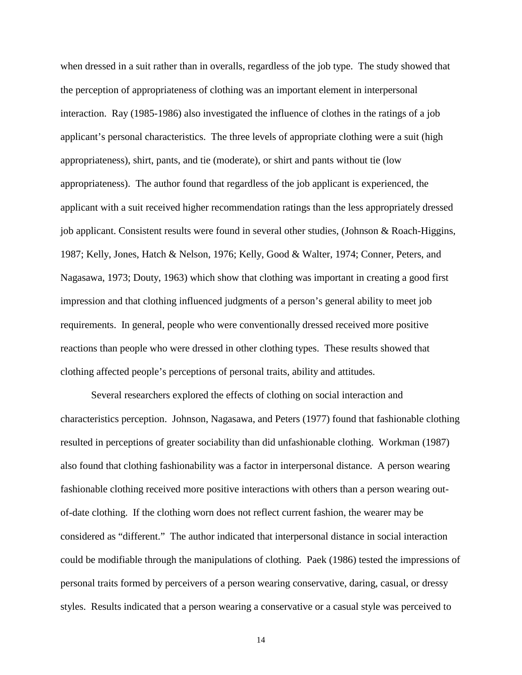when dressed in a suit rather than in overalls, regardless of the job type. The study showed that the perception of appropriateness of clothing was an important element in interpersonal interaction. Ray (1985-1986) also investigated the influence of clothes in the ratings of a job applicant's personal characteristics. The three levels of appropriate clothing were a suit (high appropriateness), shirt, pants, and tie (moderate), or shirt and pants without tie (low appropriateness). The author found that regardless of the job applicant is experienced, the applicant with a suit received higher recommendation ratings than the less appropriately dressed job applicant. Consistent results were found in several other studies, (Johnson & Roach-Higgins, 1987; Kelly, Jones, Hatch & Nelson, 1976; Kelly, Good & Walter, 1974; Conner, Peters, and Nagasawa, 1973; Douty, 1963) which show that clothing was important in creating a good first impression and that clothing influenced judgments of a person's general ability to meet job requirements. In general, people who were conventionally dressed received more positive reactions than people who were dressed in other clothing types. These results showed that clothing affected people's perceptions of personal traits, ability and attitudes.

Several researchers explored the effects of clothing on social interaction and characteristics perception. Johnson, Nagasawa, and Peters (1977) found that fashionable clothing resulted in perceptions of greater sociability than did unfashionable clothing. Workman (1987) also found that clothing fashionability was a factor in interpersonal distance.A person wearing fashionable clothing received more positive interactions with others than a person wearing outof-date clothing. If the clothing worn does not reflect current fashion, the wearer may be considered as "different." The author indicated that interpersonal distance in social interaction could be modifiable through the manipulations of clothing. Paek (1986) tested the impressions of personal traits formed by perceivers of a person wearing conservative, daring, casual, or dressy styles. Results indicated that a person wearing a conservative or a casual style was perceived to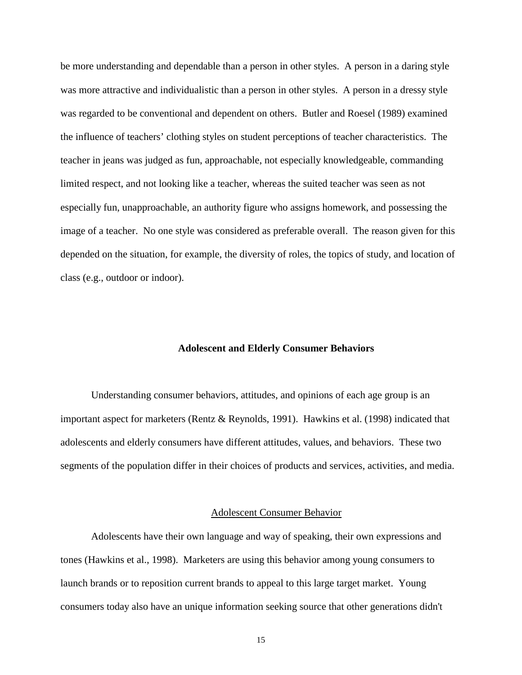be more understanding and dependable than a person in other styles. A person in a daring style was more attractive and individualistic than a person in other styles. A person in a dressy style was regarded to be conventional and dependent on others. Butler and Roesel (1989) examined the influence of teachers' clothing styles on student perceptions of teacher characteristics. The teacher in jeans was judged as fun, approachable, not especially knowledgeable, commanding limited respect, and not looking like a teacher, whereas the suited teacher was seen as not especially fun, unapproachable, an authority figure who assigns homework, and possessing the image of a teacher. No one style was considered as preferable overall. The reason given for this depended on the situation, for example, the diversity of roles, the topics of study, and location of class (e.g., outdoor or indoor).

#### **Adolescent and Elderly Consumer Behaviors**

Understanding consumer behaviors, attitudes, and opinions of each age group is an important aspect for marketers (Rentz & Reynolds, 1991). Hawkins et al. (1998) indicated that adolescents and elderly consumers have different attitudes, values, and behaviors. These two segments of the population differ in their choices of products and services, activities, and media.

#### Adolescent Consumer Behavior

Adolescents have their own language and way of speaking, their own expressions and tones (Hawkins et al., 1998). Marketers are using this behavior among young consumers to launch brands or to reposition current brands to appeal to this large target market. Young consumers today also have an unique information seeking source that other generations didn't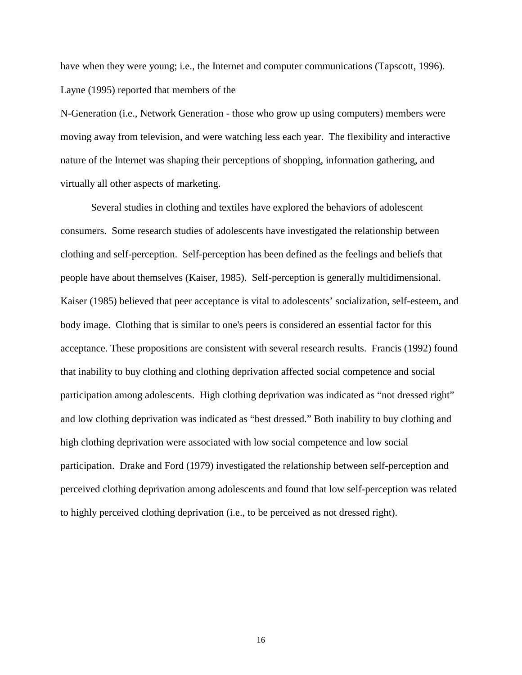have when they were young; i.e., the Internet and computer communications (Tapscott, 1996). Layne (1995) reported that members of the

N-Generation (i.e., Network Generation - those who grow up using computers) members were moving away from television, and were watching less each year. The flexibility and interactive nature of the Internet was shaping their perceptions of shopping, information gathering, and virtually all other aspects of marketing.

Several studies in clothing and textiles have explored the behaviors of adolescent consumers. Some research studies of adolescents have investigated the relationship between clothing and self-perception. Self-perception has been defined as the feelings and beliefs that people have about themselves (Kaiser, 1985). Self-perception is generally multidimensional. Kaiser (1985) believed that peer acceptance is vital to adolescents' socialization, self-esteem, and body image. Clothing that is similar to one's peers is considered an essential factor for this acceptance. These propositions are consistent with several research results. Francis (1992) found that inability to buy clothing and clothing deprivation affected social competence and social participation among adolescents. High clothing deprivation was indicated as "not dressed right" and low clothing deprivation was indicated as "best dressed." Both inability to buy clothing and high clothing deprivation were associated with low social competence and low social participation. Drake and Ford (1979) investigated the relationship between self-perception and perceived clothing deprivation among adolescents and found that low self-perception was related to highly perceived clothing deprivation (i.e., to be perceived as not dressed right).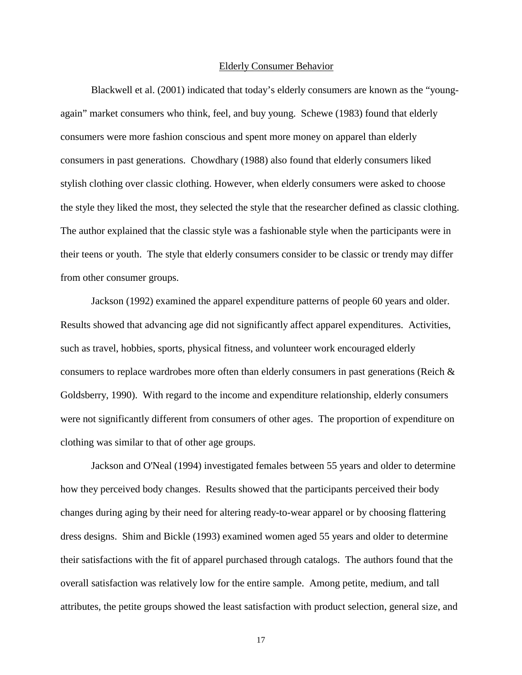#### Elderly Consumer Behavior

Blackwell et al. (2001) indicated that today's elderly consumers are known as the "youngagain" market consumers who think, feel, and buy young. Schewe (1983) found that elderly consumers were more fashion conscious and spent more money on apparel than elderly consumers in past generations. Chowdhary (1988) also found that elderly consumers liked stylish clothing over classic clothing. However, when elderly consumers were asked to choose the style they liked the most, they selected the style that the researcher defined as classic clothing. The author explained that the classic style was a fashionable style when the participants were in their teens or youth. The style that elderly consumers consider to be classic or trendy may differ from other consumer groups.

Jackson (1992) examined the apparel expenditure patterns of people 60 years and older. Results showed that advancing age did not significantly affect apparel expenditures. Activities, such as travel, hobbies, sports, physical fitness, and volunteer work encouraged elderly consumers to replace wardrobes more often than elderly consumers in past generations (Reich  $\&$ Goldsberry, 1990). With regard to the income and expenditure relationship, elderly consumers were not significantly different from consumers of other ages. The proportion of expenditure on clothing was similar to that of other age groups.

Jackson and O'Neal (1994) investigated females between 55 years and older to determine how they perceived body changes. Results showed that the participants perceived their body changes during aging by their need for altering ready-to-wear apparel or by choosing flattering dress designs. Shim and Bickle (1993) examined women aged 55 years and older to determine their satisfactions with the fit of apparel purchased through catalogs. The authors found that the overall satisfaction was relatively low for the entire sample. Among petite, medium, and tall attributes, the petite groups showed the least satisfaction with product selection, general size, and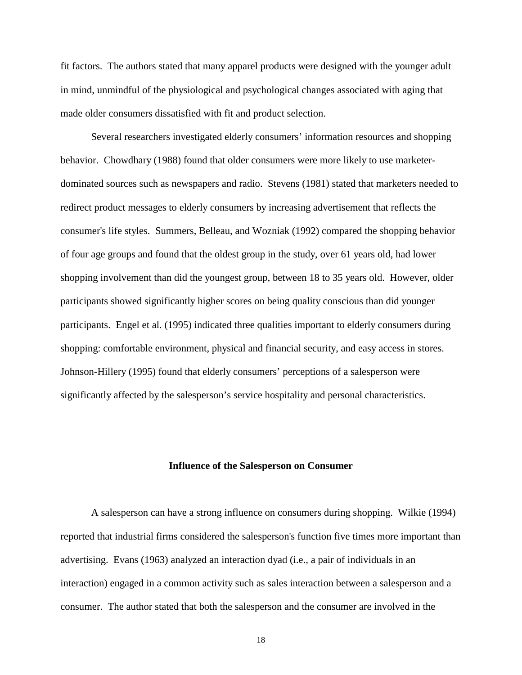fit factors. The authors stated that many apparel products were designed with the younger adult in mind, unmindful of the physiological and psychological changes associated with aging that made older consumers dissatisfied with fit and product selection.

Several researchers investigated elderly consumers' information resources and shopping behavior. Chowdhary (1988) found that older consumers were more likely to use marketerdominated sources such as newspapers and radio. Stevens (1981) stated that marketers needed to redirect product messages to elderly consumers by increasing advertisement that reflects the consumer's life styles. Summers, Belleau, and Wozniak (1992) compared the shopping behavior of four age groups and found that the oldest group in the study, over 61 years old, had lower shopping involvement than did the youngest group, between 18 to 35 years old. However, older participants showed significantly higher scores on being quality conscious than did younger participants. Engel et al. (1995) indicated three qualities important to elderly consumers during shopping: comfortable environment, physical and financial security, and easy access in stores. Johnson-Hillery (1995) found that elderly consumers' perceptions of a salesperson were significantly affected by the salesperson's service hospitality and personal characteristics.

### **Influence of the Salesperson on Consumer**

A salesperson can have a strong influence on consumers during shopping. Wilkie (1994) reported that industrial firms considered the salesperson's function five times more important than advertising. Evans (1963) analyzed an interaction dyad (i.e., a pair of individuals in an interaction) engaged in a common activity such as sales interaction between a salesperson and a consumer. The author stated that both the salesperson and the consumer are involved in the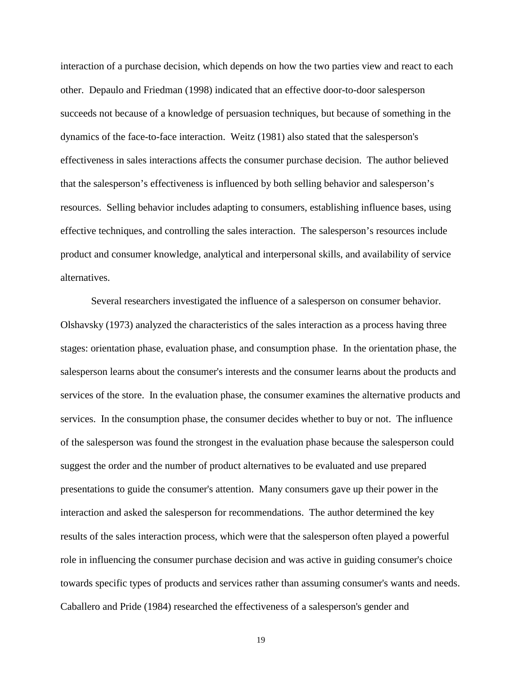interaction of a purchase decision, which depends on how the two parties view and react to each other. Depaulo and Friedman (1998) indicated that an effective door-to-door salesperson succeeds not because of a knowledge of persuasion techniques, but because of something in the dynamics of the face-to-face interaction. Weitz (1981) also stated that the salesperson's effectiveness in sales interactions affects the consumer purchase decision. The author believed that the salesperson's effectiveness is influenced by both selling behavior and salesperson's resources. Selling behavior includes adapting to consumers, establishing influence bases, using effective techniques, and controlling the sales interaction. The salesperson's resources include product and consumer knowledge, analytical and interpersonal skills, and availability of service alternatives.

Several researchers investigated the influence of a salesperson on consumer behavior. Olshavsky (1973) analyzed the characteristics of the sales interaction as a process having three stages: orientation phase, evaluation phase, and consumption phase. In the orientation phase, the salesperson learns about the consumer's interests and the consumer learns about the products and services of the store. In the evaluation phase, the consumer examines the alternative products and services. In the consumption phase, the consumer decides whether to buy or not. The influence of the salesperson was found the strongest in the evaluation phase because the salesperson could suggest the order and the number of product alternatives to be evaluated and use prepared presentations to guide the consumer's attention. Many consumers gave up their power in the interaction and asked the salesperson for recommendations. The author determined the key results of the sales interaction process, which were that the salesperson often played a powerful role in influencing the consumer purchase decision and was active in guiding consumer's choice towards specific types of products and services rather than assuming consumer's wants and needs. Caballero and Pride (1984) researched the effectiveness of a salesperson's gender and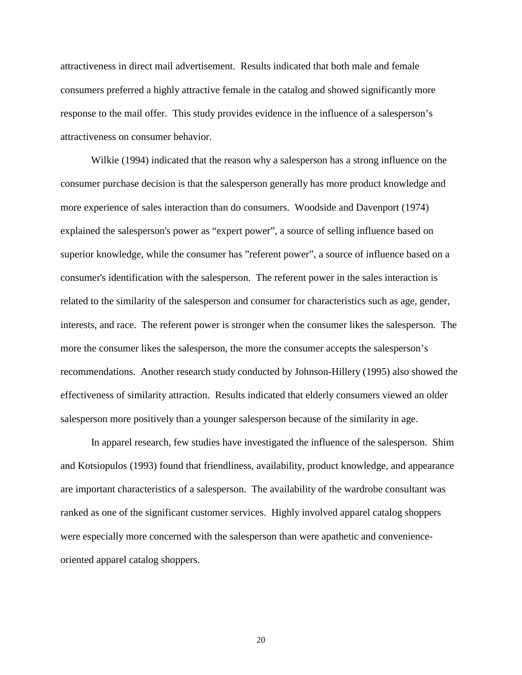attractiveness in direct mail advertisement. Results indicated that both male and female consumers preferred a highly attractive female in the catalog and showed significantly more response to the mail offer. This study provides evidence in the influence of a salesperson's attractiveness on consumer behavior.

Wilkie (1994) indicated that the reason why a salesperson has a strong influence on the consumer purchase decision is that the salesperson generally has more product knowledge and more experience of sales interaction than do consumers. Woodside and Davenport (1974) explained the salesperson's power as "expert power", a source of selling influence based on superior knowledge, while the consumer has "referent power", a source of influence based on a consumer's identification with the salesperson. The referent power in the sales interaction is related to the similarity of the salesperson and consumer for characteristics such as age, gender, interests, and race. The referent power is stronger when the consumer likes the salesperson. The more the consumer likes the salesperson, the more the consumer accepts the salesperson's recommendations. Another research study conducted by Johnson-Hillery (1995) also showed the effectiveness of similarity attraction. Results indicated that elderly consumers viewed an older salesperson more positively than a younger salesperson because of the similarity in age.

In apparel research, few studies have investigated the influence of the salesperson. Shim and Kotsiopulos (1993) found that friendliness, availability, product knowledge, and appearance are important characteristics of a salesperson. The availability of the wardrobe consultant was ranked as one of the significant customer services. Highly involved apparel catalog shoppers were especially more concerned with the salesperson than were apathetic and convenienceoriented apparel catalog shoppers.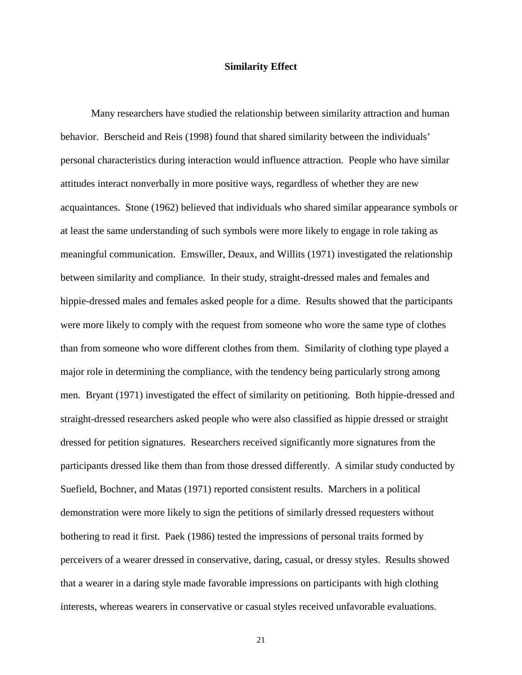#### **Similarity Effect**

Many researchers have studied the relationship between similarity attraction and human behavior. Berscheid and Reis (1998) found that shared similarity between the individuals' personal characteristics during interaction would influence attraction. People who have similar attitudes interact nonverbally in more positive ways, regardless of whether they are new acquaintances. Stone (1962) believed that individuals who shared similar appearance symbols or at least the same understanding of such symbols were more likely to engage in role taking as meaningful communication. Emswiller, Deaux, and Willits (1971) investigated the relationship between similarity and compliance. In their study, straight-dressed males and females and hippie-dressed males and females asked people for a dime. Results showed that the participants were more likely to comply with the request from someone who wore the same type of clothes than from someone who wore different clothes from them. Similarity of clothing type played a major role in determining the compliance, with the tendency being particularly strong among men. Bryant (1971) investigated the effect of similarity on petitioning. Both hippie-dressed and straight-dressed researchers asked people who were also classified as hippie dressed or straight dressed for petition signatures. Researchers received significantly more signatures from the participants dressed like them than from those dressed differently. A similar study conducted by Suefield, Bochner, and Matas (1971) reported consistent results. Marchers in a political demonstration were more likely to sign the petitions of similarly dressed requesters without bothering to read it first. Paek (1986) tested the impressions of personal traits formed by perceivers of a wearer dressed in conservative, daring, casual, or dressy styles. Results showed that a wearer in a daring style made favorable impressions on participants with high clothing interests, whereas wearers in conservative or casual styles received unfavorable evaluations.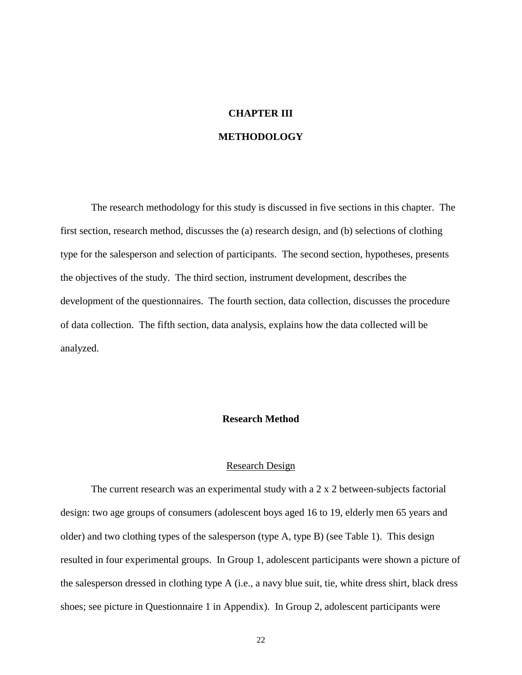## **CHAPTER III**

# **METHODOLOGY**

 The research methodology for this study is discussed in five sections in this chapter. The first section, research method, discusses the (a) research design, and (b) selections of clothing type for the salesperson and selection of participants. The second section, hypotheses, presents the objectives of the study. The third section, instrument development, describes the development of the questionnaires. The fourth section, data collection, discusses the procedure of data collection. The fifth section, data analysis, explains how the data collected will be analyzed.

# **Research Method**

#### Research Design

 The current research was an experimental study with a 2 x 2 between-subjects factorial design: two age groups of consumers (adolescent boys aged 16 to 19, elderly men 65 years and older) and two clothing types of the salesperson (type A, type B) (see Table 1). This design resulted in four experimental groups. In Group 1, adolescent participants were shown a picture of the salesperson dressed in clothing type A (i.e., a navy blue suit, tie, white dress shirt, black dress shoes; see picture in Questionnaire 1 in Appendix). In Group 2, adolescent participants were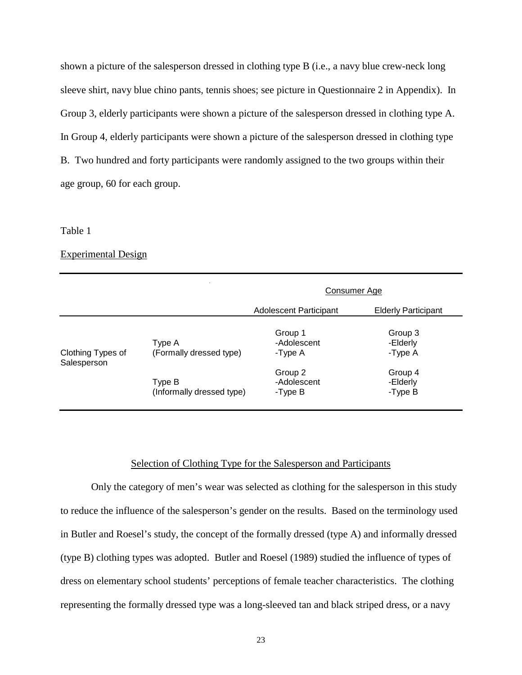shown a picture of the salesperson dressed in clothing type B (i.e., a navy blue crew-neck long sleeve shirt, navy blue chino pants, tennis shoes; see picture in Questionnaire 2 in Appendix). In Group 3, elderly participants were shown a picture of the salesperson dressed in clothing type A. In Group 4, elderly participants were shown a picture of the salesperson dressed in clothing type B. Two hundred and forty participants were randomly assigned to the two groups within their age group, 60 for each group.

### Table 1

### Experimental Design

|                                  |                                     | Consumer Age                      |                                |
|----------------------------------|-------------------------------------|-----------------------------------|--------------------------------|
|                                  |                                     | Adolescent Participant            | <b>Elderly Participant</b>     |
| Clothing Types of<br>Salesperson | Type A<br>(Formally dressed type)   | Group 1<br>-Adolescent<br>-Type A | Group 3<br>-Elderly<br>-Type A |
|                                  | Type B<br>(Informally dressed type) | Group 2<br>-Adolescent<br>-Type B | Group 4<br>-Elderly<br>-Type B |

## Selection of Clothing Type for the Salesperson and Participants

Only the category of men's wear was selected as clothing for the salesperson in this study to reduce the influence of the salesperson's gender on the results. Based on the terminology used in Butler and Roesel's study, the concept of the formally dressed (type A) and informally dressed (type B) clothing types was adopted. Butler and Roesel (1989) studied the influence of types of dress on elementary school students' perceptions of female teacher characteristics. The clothing representing the formally dressed type was a long-sleeved tan and black striped dress, or a navy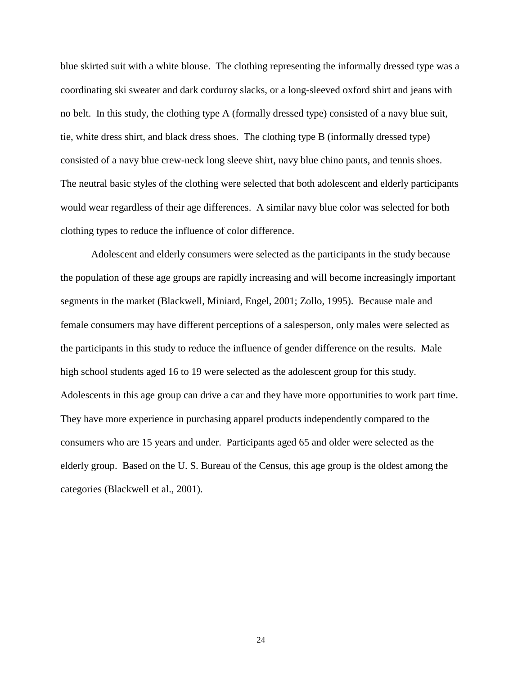blue skirted suit with a white blouse. The clothing representing the informally dressed type was a coordinating ski sweater and dark corduroy slacks, or a long-sleeved oxford shirt and jeans with no belt. In this study, the clothing type A (formally dressed type) consisted of a navy blue suit, tie, white dress shirt, and black dress shoes. The clothing type B (informally dressed type) consisted of a navy blue crew-neck long sleeve shirt, navy blue chino pants, and tennis shoes. The neutral basic styles of the clothing were selected that both adolescent and elderly participants would wear regardless of their age differences. A similar navy blue color was selected for both clothing types to reduce the influence of color difference.

Adolescent and elderly consumers were selected as the participants in the study because the population of these age groups are rapidly increasing and will become increasingly important segments in the market (Blackwell, Miniard, Engel, 2001; Zollo, 1995). Because male and female consumers may have different perceptions of a salesperson, only males were selected as the participants in this study to reduce the influence of gender difference on the results. Male high school students aged 16 to 19 were selected as the adolescent group for this study. Adolescents in this age group can drive a car and they have more opportunities to work part time. They have more experience in purchasing apparel products independently compared to the consumers who are 15 years and under. Participants aged 65 and older were selected as the elderly group. Based on the U. S. Bureau of the Census, this age group is the oldest among the categories (Blackwell et al., 2001).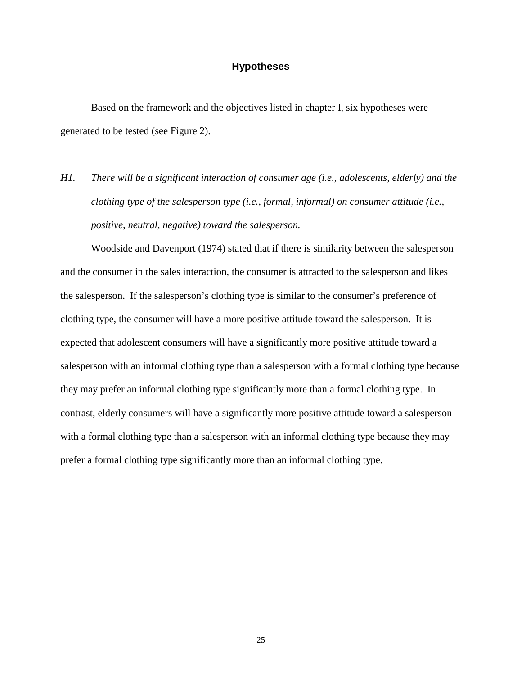# **Hypotheses**

Based on the framework and the objectives listed in chapter I, six hypotheses were generated to be tested (see Figure 2).

*H1. There will be a significant interaction of consumer age (i.e., adolescents, elderly) and the clothing type of the salesperson type (i.e., formal, informal) on consumer attitude (i.e., positive, neutral, negative) toward the salesperson.* 

 Woodside and Davenport (1974) stated that if there is similarity between the salesperson and the consumer in the sales interaction, the consumer is attracted to the salesperson and likes the salesperson. If the salesperson's clothing type is similar to the consumer's preference of clothing type, the consumer will have a more positive attitude toward the salesperson. It is expected that adolescent consumers will have a significantly more positive attitude toward a salesperson with an informal clothing type than a salesperson with a formal clothing type because they may prefer an informal clothing type significantly more than a formal clothing type. In contrast, elderly consumers will have a significantly more positive attitude toward a salesperson with a formal clothing type than a salesperson with an informal clothing type because they may prefer a formal clothing type significantly more than an informal clothing type.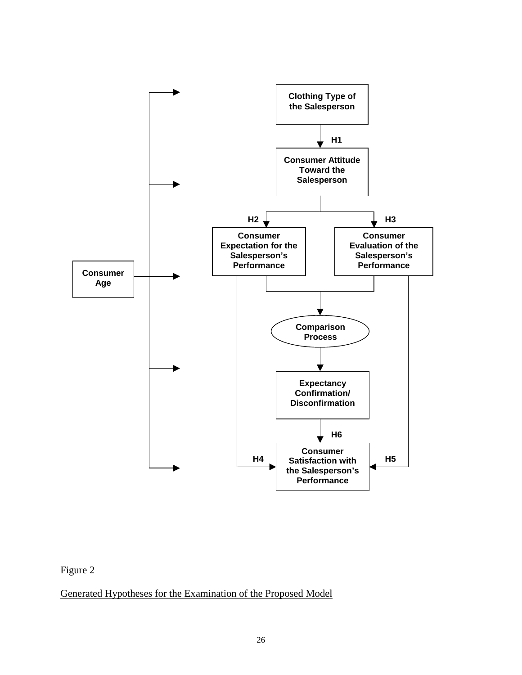

# Figure 2

Generated Hypotheses for the Examination of the Proposed Model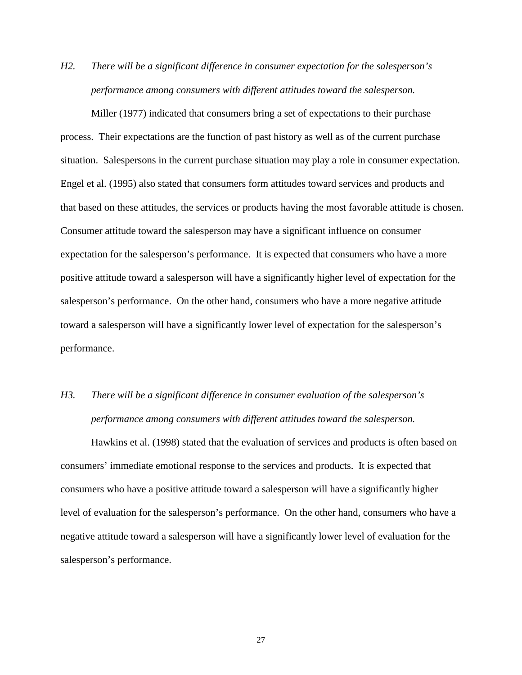*H2. There will be a significant difference in consumer expectation for the salesperson's performance among consumers with different attitudes toward the salesperson.* 

 Miller (1977) indicated that consumers bring a set of expectations to their purchase process. Their expectations are the function of past history as well as of the current purchase situation. Salespersons in the current purchase situation may play a role in consumer expectation. Engel et al. (1995) also stated that consumers form attitudes toward services and products and that based on these attitudes, the services or products having the most favorable attitude is chosen. Consumer attitude toward the salesperson may have a significant influence on consumer expectation for the salesperson's performance. It is expected that consumers who have a more positive attitude toward a salesperson will have a significantly higher level of expectation for the salesperson's performance. On the other hand, consumers who have a more negative attitude toward a salesperson will have a significantly lower level of expectation for the salesperson's performance.

*H3. There will be a significant difference in consumer evaluation of the salesperson's performance among consumers with different attitudes toward the salesperson.* 

 Hawkins et al. (1998) stated that the evaluation of services and products is often based on consumers' immediate emotional response to the services and products. It is expected that consumers who have a positive attitude toward a salesperson will have a significantly higher level of evaluation for the salesperson's performance. On the other hand, consumers who have a negative attitude toward a salesperson will have a significantly lower level of evaluation for the salesperson's performance.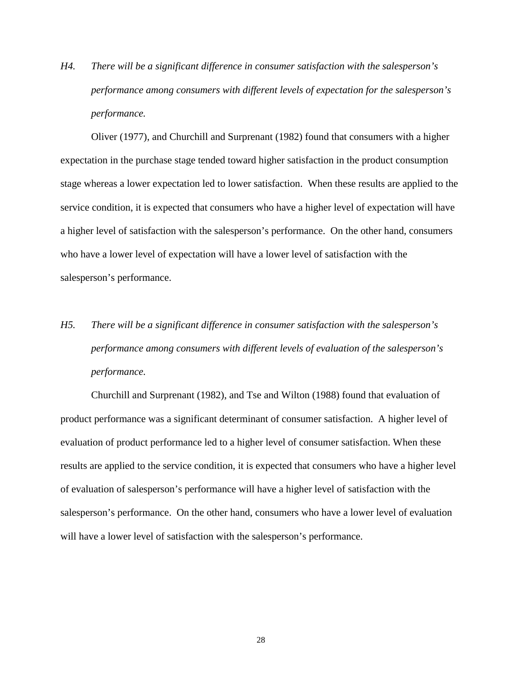*H4. There will be a significant difference in consumer satisfaction with the salesperson's performance among consumers with different levels of expectation for the salesperson's performance.* 

Oliver (1977), and Churchill and Surprenant (1982) found that consumers with a higher expectation in the purchase stage tended toward higher satisfaction in the product consumption stage whereas a lower expectation led to lower satisfaction. When these results are applied to the service condition, it is expected that consumers who have a higher level of expectation will have a higher level of satisfaction with the salesperson's performance. On the other hand, consumers who have a lower level of expectation will have a lower level of satisfaction with the salesperson's performance.

# *H5. There will be a significant difference in consumer satisfaction with the salesperson's performance among consumers with different levels of evaluation of the salesperson's performance.*

Churchill and Surprenant (1982), and Tse and Wilton (1988) found that evaluation of product performance was a significant determinant of consumer satisfaction. A higher level of evaluation of product performance led to a higher level of consumer satisfaction. When these results are applied to the service condition, it is expected that consumers who have a higher level of evaluation of salesperson's performance will have a higher level of satisfaction with the salesperson's performance. On the other hand, consumers who have a lower level of evaluation will have a lower level of satisfaction with the salesperson's performance.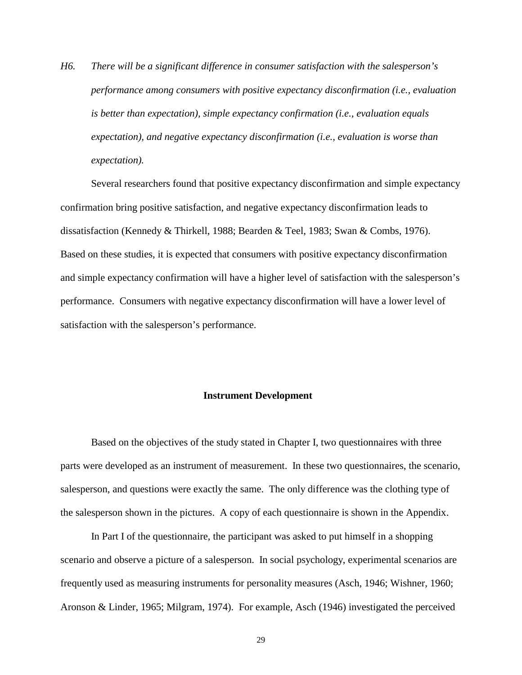*H6. There will be a significant difference in consumer satisfaction with the salesperson's performance among consumers with positive expectancy disconfirmation (i.e., evaluation is better than expectation), simple expectancy confirmation (i.e., evaluation equals expectation), and negative expectancy disconfirmation (i.e., evaluation is worse than expectation).* 

 Several researchers found that positive expectancy disconfirmation and simple expectancy confirmation bring positive satisfaction, and negative expectancy disconfirmation leads to dissatisfaction (Kennedy & Thirkell, 1988; Bearden & Teel, 1983; Swan & Combs, 1976). Based on these studies, it is expected that consumers with positive expectancy disconfirmation and simple expectancy confirmation will have a higher level of satisfaction with the salesperson's performance. Consumers with negative expectancy disconfirmation will have a lower level of satisfaction with the salesperson's performance.

#### **Instrument Development**

Based on the objectives of the study stated in Chapter I, two questionnaires with three parts were developed as an instrument of measurement. In these two questionnaires, the scenario, salesperson, and questions were exactly the same. The only difference was the clothing type of the salesperson shown in the pictures. A copy of each questionnaire is shown in the Appendix.

 In Part I of the questionnaire, the participant was asked to put himself in a shopping scenario and observe a picture of a salesperson. In social psychology, experimental scenarios are frequently used as measuring instruments for personality measures (Asch, 1946; Wishner, 1960; Aronson & Linder, 1965; Milgram, 1974). For example, Asch (1946) investigated the perceived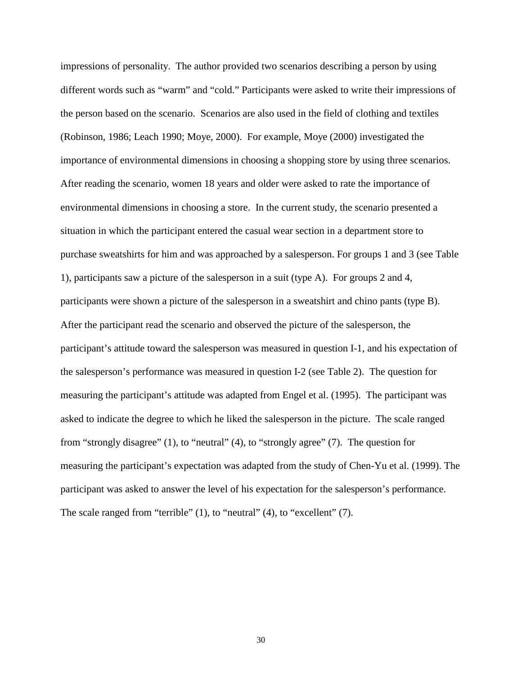impressions of personality. The author provided two scenarios describing a person by using different words such as "warm" and "cold." Participants were asked to write their impressions of the person based on the scenario. Scenarios are also used in the field of clothing and textiles (Robinson, 1986; Leach 1990; Moye, 2000). For example, Moye (2000) investigated the importance of environmental dimensions in choosing a shopping store by using three scenarios. After reading the scenario, women 18 years and older were asked to rate the importance of environmental dimensions in choosing a store. In the current study, the scenario presented a situation in which the participant entered the casual wear section in a department store to purchase sweatshirts for him and was approached by a salesperson. For groups 1 and 3 (see Table 1), participants saw a picture of the salesperson in a suit (type A). For groups 2 and 4, participants were shown a picture of the salesperson in a sweatshirt and chino pants (type B). After the participant read the scenario and observed the picture of the salesperson, the participant's attitude toward the salesperson was measured in question I-1, and his expectation of the salesperson's performance was measured in question I-2 (see Table 2). The question for measuring the participant's attitude was adapted from Engel et al. (1995). The participant was asked to indicate the degree to which he liked the salesperson in the picture. The scale ranged from "strongly disagree" (1), to "neutral" (4), to "strongly agree" (7). The question for measuring the participant's expectation was adapted from the study of Chen-Yu et al. (1999). The participant was asked to answer the level of his expectation for the salesperson's performance. The scale ranged from "terrible" (1), to "neutral" (4), to "excellent" (7).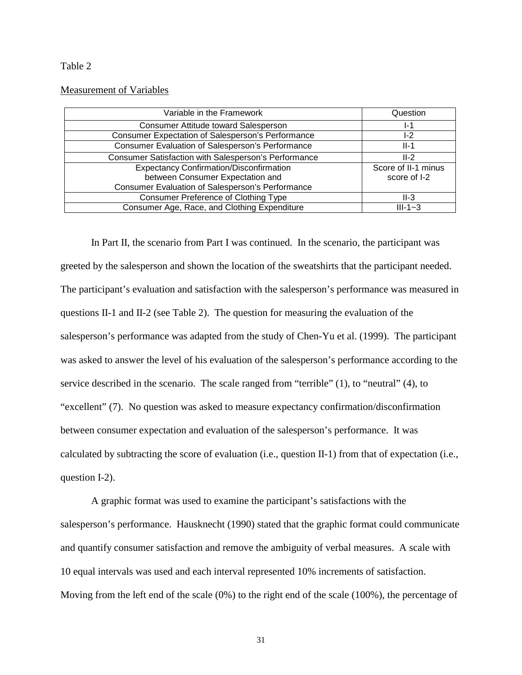Table 2

Measurement of Variables

| Variable in the Framework                            | Question            |
|------------------------------------------------------|---------------------|
| Consumer Attitude toward Salesperson                 | l-1                 |
| Consumer Expectation of Salesperson's Performance    | $-2$                |
| Consumer Evaluation of Salesperson's Performance     | $II-1$              |
| Consumer Satisfaction with Salesperson's Performance | $II-2$              |
| <b>Expectancy Confirmation/Disconfirmation</b>       | Score of II-1 minus |
| between Consumer Expectation and                     | score of I-2        |
| Consumer Evaluation of Salesperson's Performance     |                     |
| Consumer Preference of Clothing Type                 | $II-3$              |
| Consumer Age, Race, and Clothing Expenditure         | $III - 1 - 3$       |

In Part II, the scenario from Part I was continued. In the scenario, the participant was greeted by the salesperson and shown the location of the sweatshirts that the participant needed. The participant's evaluation and satisfaction with the salesperson's performance was measured in questions II-1 and II-2 (see Table 2). The question for measuring the evaluation of the salesperson's performance was adapted from the study of Chen-Yu et al. (1999). The participant was asked to answer the level of his evaluation of the salesperson's performance according to the service described in the scenario. The scale ranged from "terrible" (1), to "neutral" (4), to "excellent" (7). No question was asked to measure expectancy confirmation/disconfirmation between consumer expectation and evaluation of the salesperson's performance. It was calculated by subtracting the score of evaluation (i.e., question II-1) from that of expectation (i.e., question I-2).

A graphic format was used to examine the participant's satisfactions with the salesperson's performance. Hausknecht (1990) stated that the graphic format could communicate and quantify consumer satisfaction and remove the ambiguity of verbal measures. A scale with 10 equal intervals was used and each interval represented 10% increments of satisfaction. Moving from the left end of the scale (0%) to the right end of the scale (100%), the percentage of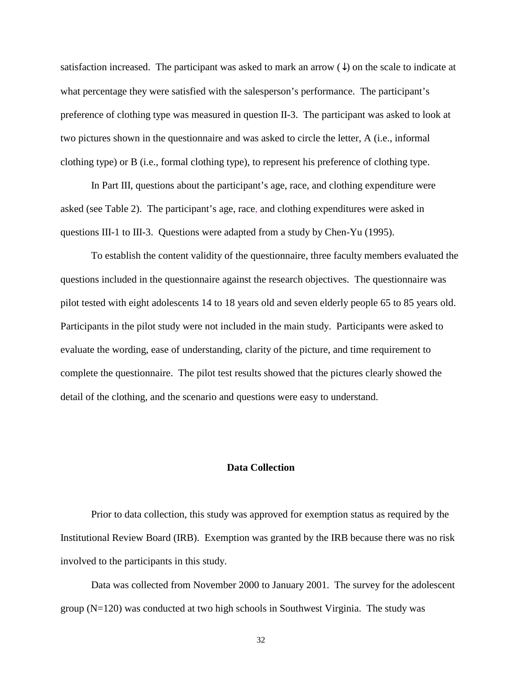satisfaction increased. The participant was asked to mark an arrow  $(\downarrow)$  on the scale to indicate at what percentage they were satisfied with the salesperson's performance. The participant's preference of clothing type was measured in question II-3. The participant was asked to look at two pictures shown in the questionnaire and was asked to circle the letter, A (i.e., informal clothing type) or B (i.e., formal clothing type), to represent his preference of clothing type.

In Part III, questions about the participant's age, race, and clothing expenditure were asked (see Table 2). The participant's age, race, and clothing expenditures were asked in questions III-1 to III-3. Questions were adapted from a study by Chen-Yu (1995).

 To establish the content validity of the questionnaire, three faculty members evaluated the questions included in the questionnaire against the research objectives. The questionnaire was pilot tested with eight adolescents 14 to 18 years old and seven elderly people 65 to 85 years old. Participants in the pilot study were not included in the main study. Participants were asked to evaluate the wording, ease of understanding, clarity of the picture, and time requirement to complete the questionnaire. The pilot test results showed that the pictures clearly showed the detail of the clothing, and the scenario and questions were easy to understand.

#### **Data Collection**

Prior to data collection, this study was approved for exemption status as required by the Institutional Review Board (IRB). Exemption was granted by the IRB because there was no risk involved to the participants in this study.

Data was collected from November 2000 to January 2001. The survey for the adolescent group (N=120) was conducted at two high schools in Southwest Virginia. The study was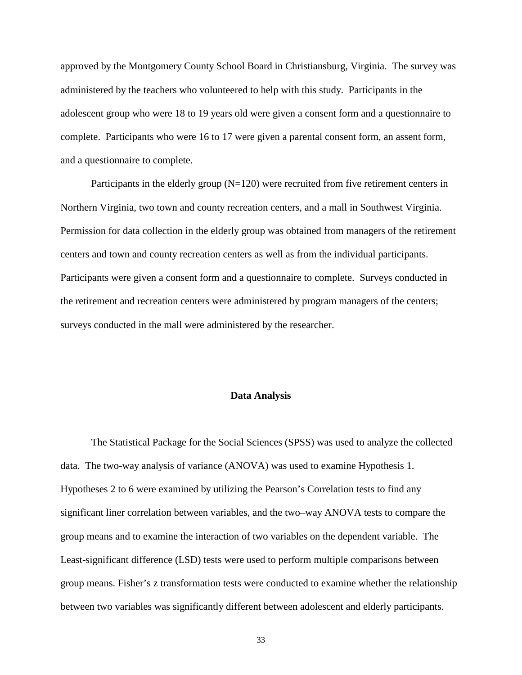approved by the Montgomery County School Board in Christiansburg, Virginia. The survey was administered by the teachers who volunteered to help with this study. Participants in the adolescent group who were 18 to 19 years old were given a consent form and a questionnaire to complete. Participants who were 16 to 17 were given a parental consent form, an assent form, and a questionnaire to complete.

Participants in the elderly group  $(N=120)$  were recruited from five retirement centers in Northern Virginia, two town and county recreation centers, and a mall in Southwest Virginia. Permission for data collection in the elderly group was obtained from managers of the retirement centers and town and county recreation centers as well as from the individual participants. Participants were given a consent form and a questionnaire to complete. Surveys conducted in the retirement and recreation centers were administered by program managers of the centers; surveys conducted in the mall were administered by the researcher.

## **Data Analysis**

 The Statistical Package for the Social Sciences (SPSS) was used to analyze the collected data. The two-way analysis of variance (ANOVA) was used to examine Hypothesis 1. Hypotheses 2 to 6 were examined by utilizing the Pearson's Correlation tests to find any significant liner correlation between variables, and the two–way ANOVA tests to compare the group means and to examine the interaction of two variables on the dependent variable. The Least-significant difference (LSD) tests were used to perform multiple comparisons between group means. Fisher's z transformation tests were conducted to examine whether the relationship between two variables was significantly different between adolescent and elderly participants.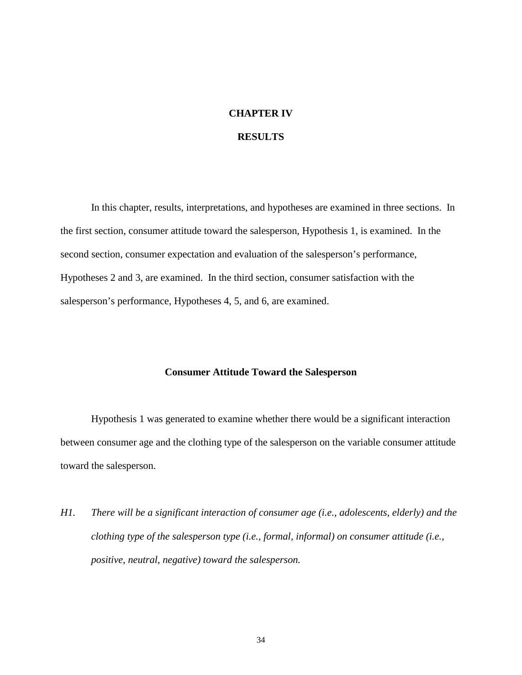# **CHAPTER IV**

#### **RESULTS**

In this chapter, results, interpretations, and hypotheses are examined in three sections. In the first section, consumer attitude toward the salesperson, Hypothesis 1, is examined. In the second section, consumer expectation and evaluation of the salesperson's performance, Hypotheses 2 and 3, are examined. In the third section, consumer satisfaction with the salesperson's performance, Hypotheses 4, 5, and 6, are examined.

#### **Consumer Attitude Toward the Salesperson**

 Hypothesis 1 was generated to examine whether there would be a significant interaction between consumer age and the clothing type of the salesperson on the variable consumer attitude toward the salesperson.

*H1. There will be a significant interaction of consumer age (i.e., adolescents, elderly) and the clothing type of the salesperson type (i.e., formal, informal) on consumer attitude (i.e., positive, neutral, negative) toward the salesperson.*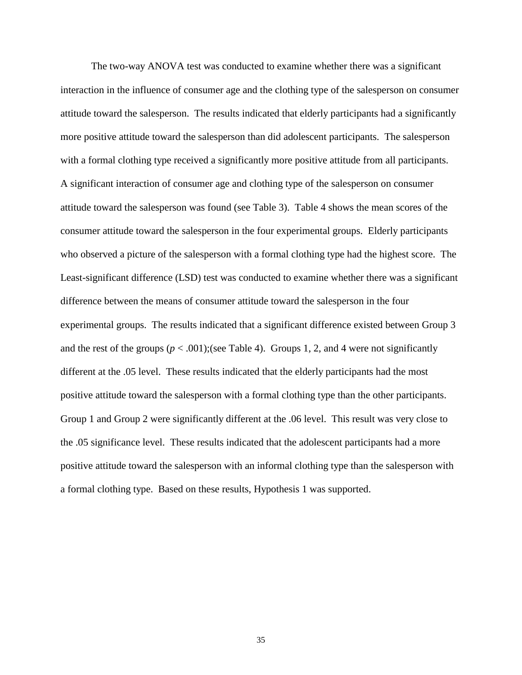The two-way ANOVA test was conducted to examine whether there was a significant interaction in the influence of consumer age and the clothing type of the salesperson on consumer attitude toward the salesperson. The results indicated that elderly participants had a significantly more positive attitude toward the salesperson than did adolescent participants. The salesperson with a formal clothing type received a significantly more positive attitude from all participants. A significant interaction of consumer age and clothing type of the salesperson on consumer attitude toward the salesperson was found (see Table 3). Table 4 shows the mean scores of the consumer attitude toward the salesperson in the four experimental groups. Elderly participants who observed a picture of the salesperson with a formal clothing type had the highest score. The Least-significant difference (LSD) test was conducted to examine whether there was a significant difference between the means of consumer attitude toward the salesperson in the four experimental groups. The results indicated that a significant difference existed between Group 3 and the rest of the groups  $(p < .001)$ ;(see Table 4). Groups 1, 2, and 4 were not significantly different at the .05 level. These results indicated that the elderly participants had the most positive attitude toward the salesperson with a formal clothing type than the other participants. Group 1 and Group 2 were significantly different at the .06 level. This result was very close to the .05 significance level. These results indicated that the adolescent participants had a more positive attitude toward the salesperson with an informal clothing type than the salesperson with a formal clothing type. Based on these results, Hypothesis 1 was supported.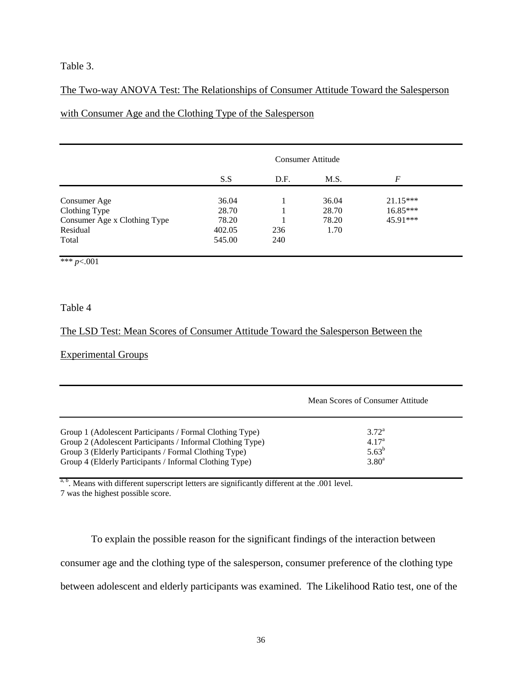# Table 3.

# The Two-way ANOVA Test: The Relationships of Consumer Attitude Toward the Salesperson

# with Consumer Age and the Clothing Type of the Salesperson

|                              | Consumer Attitude |      |       |            |  |
|------------------------------|-------------------|------|-------|------------|--|
|                              | S.S               | D.F. | M.S.  | F          |  |
| Consumer Age                 | 36.04             |      | 36.04 | $21.15***$ |  |
| Clothing Type                | 28.70             |      | 28.70 | $16.85***$ |  |
| Consumer Age x Clothing Type | 78.20             |      | 78.20 | $45.91***$ |  |
| Residual                     | 402.05            | 236  | 1.70  |            |  |
| Total                        | 545.00            | 240  |       |            |  |

#### \*\*\* *p*<.001

#### Table 4

# The LSD Test: Mean Scores of Consumer Attitude Toward the Salesperson Between the

# Experimental Groups

|                                                            | Mean Scores of Consumer Attitude |
|------------------------------------------------------------|----------------------------------|
| Group 1 (Adolescent Participants / Formal Clothing Type)   | $3.72^{\rm a}$                   |
| Group 2 (Adolescent Participants / Informal Clothing Type) | 4.17 <sup>a</sup>                |
| Group 3 (Elderly Participants / Formal Clothing Type)      | $5.63^{b}$                       |
| Group 4 (Elderly Participants / Informal Clothing Type)    | $3.80^{\circ}$                   |

<sup>a, b</sup>. Means with different superscript letters are significantly different at the .001 level. 7 was the highest possible score.

To explain the possible reason for the significant findings of the interaction between

consumer age and the clothing type of the salesperson, consumer preference of the clothing type

between adolescent and elderly participants was examined. The Likelihood Ratio test, one of the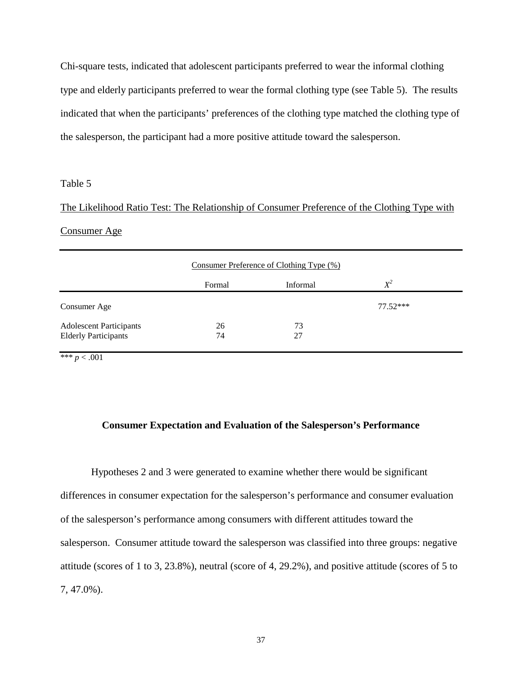Chi-square tests, indicated that adolescent participants preferred to wear the informal clothing type and elderly participants preferred to wear the formal clothing type (see Table 5). The results indicated that when the participants' preferences of the clothing type matched the clothing type of the salesperson, the participant had a more positive attitude toward the salesperson.

#### Table 5

# The Likelihood Ratio Test: The Relationship of Consumer Preference of the Clothing Type with Consumer Age

|                                                               | Consumer Preference of Clothing Type (%) |          |            |  |  |  |
|---------------------------------------------------------------|------------------------------------------|----------|------------|--|--|--|
|                                                               | Formal                                   | Informal | $X^2$      |  |  |  |
| Consumer Age                                                  |                                          |          | $77.52***$ |  |  |  |
| <b>Adolescent Participants</b><br><b>Elderly Participants</b> | 26<br>74                                 | 73<br>27 |            |  |  |  |

\*\*\*  $p < .001$ 

#### **Consumer Expectation and Evaluation of the Salesperson's Performance**

Hypotheses 2 and 3 were generated to examine whether there would be significant differences in consumer expectation for the salesperson's performance and consumer evaluation of the salesperson's performance among consumers with different attitudes toward the salesperson. Consumer attitude toward the salesperson was classified into three groups: negative attitude (scores of 1 to 3, 23.8%), neutral (score of 4, 29.2%), and positive attitude (scores of 5 to 7, 47.0%).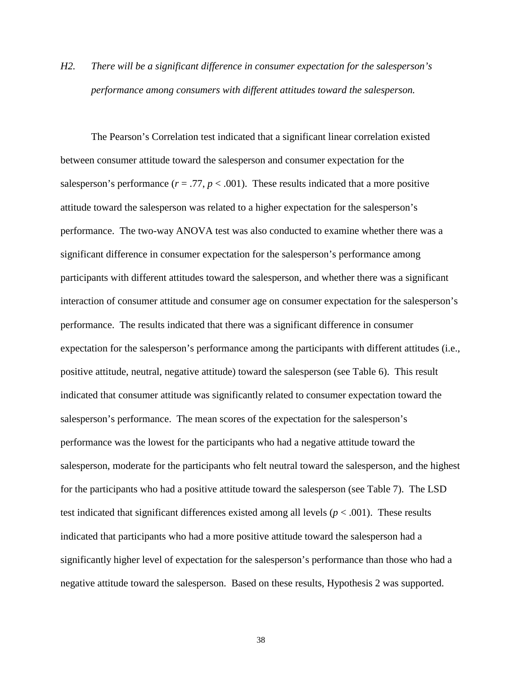*H2. There will be a significant difference in consumer expectation for the salesperson's performance among consumers with different attitudes toward the salesperson.* 

 The Pearson's Correlation test indicated that a significant linear correlation existed between consumer attitude toward the salesperson and consumer expectation for the salesperson's performance  $(r = .77, p < .001)$ . These results indicated that a more positive attitude toward the salesperson was related to a higher expectation for the salesperson's performance. The two-way ANOVA test was also conducted to examine whether there was a significant difference in consumer expectation for the salesperson's performance among participants with different attitudes toward the salesperson, and whether there was a significant interaction of consumer attitude and consumer age on consumer expectation for the salesperson's performance. The results indicated that there was a significant difference in consumer expectation for the salesperson's performance among the participants with different attitudes (i.e., positive attitude, neutral, negative attitude) toward the salesperson (see Table 6). This result indicated that consumer attitude was significantly related to consumer expectation toward the salesperson's performance. The mean scores of the expectation for the salesperson's performance was the lowest for the participants who had a negative attitude toward the salesperson, moderate for the participants who felt neutral toward the salesperson, and the highest for the participants who had a positive attitude toward the salesperson (see Table 7). The LSD test indicated that significant differences existed among all levels  $(p < .001)$ . These results indicated that participants who had a more positive attitude toward the salesperson had a significantly higher level of expectation for the salesperson's performance than those who had a negative attitude toward the salesperson. Based on these results, Hypothesis 2 was supported.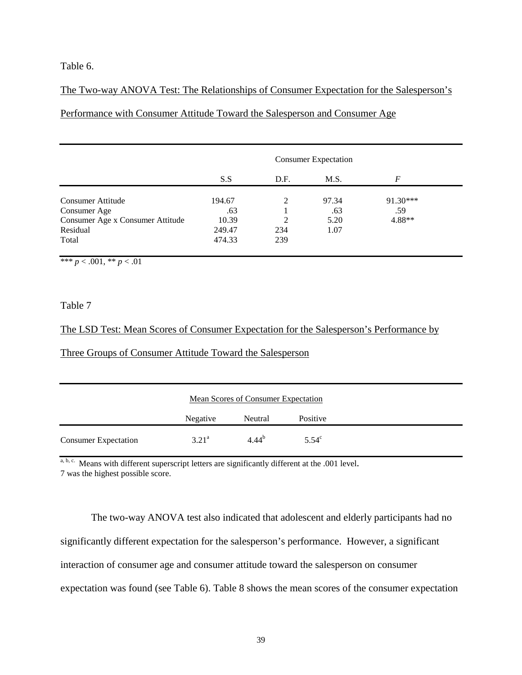Table 6.

# The Two-way ANOVA Test: The Relationships of Consumer Expectation for the Salesperson's

# Performance with Consumer Attitude Toward the Salesperson and Consumer Age

|                                  | <b>Consumer Expectation</b> |      |       |            |  |
|----------------------------------|-----------------------------|------|-------|------------|--|
|                                  | S.S                         | D.F. | M.S.  | F          |  |
| Consumer Attitude                | 194.67                      | 2    | 97.34 | $91.30***$ |  |
| Consumer Age                     | .63                         |      | .63   | .59        |  |
| Consumer Age x Consumer Attitude | 10.39                       | 2    | 5.20  | 4.88**     |  |
| Residual                         | 249.47                      | 234  | 1.07  |            |  |
| Total                            | 474.33                      | 239  |       |            |  |

\*\*\*  $p < .001$ , \*\*  $p < .01$ 

# Table 7

### The LSD Test: Mean Scores of Consumer Expectation for the Salesperson's Performance by

#### Three Groups of Consumer Attitude Toward the Salesperson

|                             |                | <b>Mean Scores of Consumer Expectation</b> |                |
|-----------------------------|----------------|--------------------------------------------|----------------|
|                             | Negative       | Neutral                                    | Positive       |
| <b>Consumer Expectation</b> | $3.21^{\rm a}$ | $4.44^{b}$                                 | $5.54^{\circ}$ |

a, b, c. Means with different superscript letters are significantly different at the .001 level.

7 was the highest possible score.

The two-way ANOVA test also indicated that adolescent and elderly participants had no significantly different expectation for the salesperson's performance. However, a significant interaction of consumer age and consumer attitude toward the salesperson on consumer expectation was found (see Table 6). Table 8 shows the mean scores of the consumer expectation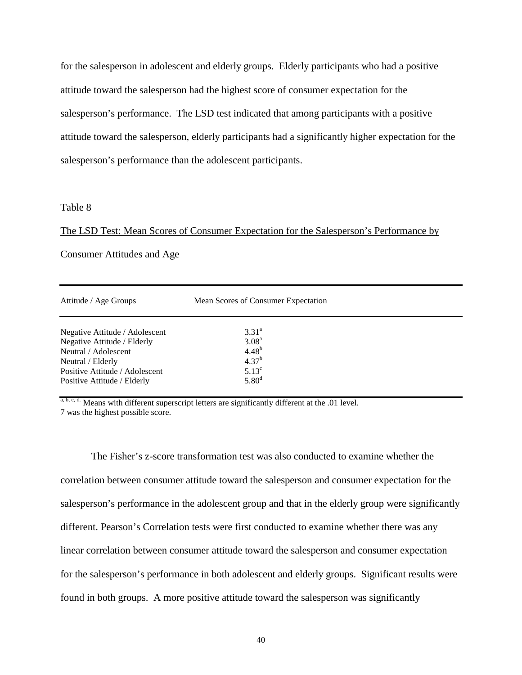for the salesperson in adolescent and elderly groups. Elderly participants who had a positive attitude toward the salesperson had the highest score of consumer expectation for the salesperson's performance. The LSD test indicated that among participants with a positive attitude toward the salesperson, elderly participants had a significantly higher expectation for the salesperson's performance than the adolescent participants.

#### Table 8

The LSD Test: Mean Scores of Consumer Expectation for the Salesperson's Performance by Consumer Attitudes and Age

| Attitude / Age Groups          | Mean Scores of Consumer Expectation |  |
|--------------------------------|-------------------------------------|--|
| Negative Attitude / Adolescent | $3.31^{\circ}$                      |  |
| Negative Attitude / Elderly    | 3.08 <sup>a</sup>                   |  |
| Neutral / Adolescent           | $4.48^{b}$                          |  |
| Neutral / Elderly              | $4.37^{b}$                          |  |
| Positive Attitude / Adolescent | $5.13^{\circ}$                      |  |
| Positive Attitude / Elderly    | 5.80 <sup>d</sup>                   |  |

a, b, c, d. Means with different superscript letters are significantly different at the .01 level. 7 was the highest possible score.

 The Fisher's z-score transformation test was also conducted to examine whether the correlation between consumer attitude toward the salesperson and consumer expectation for the salesperson's performance in the adolescent group and that in the elderly group were significantly different. Pearson's Correlation tests were first conducted to examine whether there was any linear correlation between consumer attitude toward the salesperson and consumer expectation for the salesperson's performance in both adolescent and elderly groups. Significant results were found in both groups. A more positive attitude toward the salesperson was significantly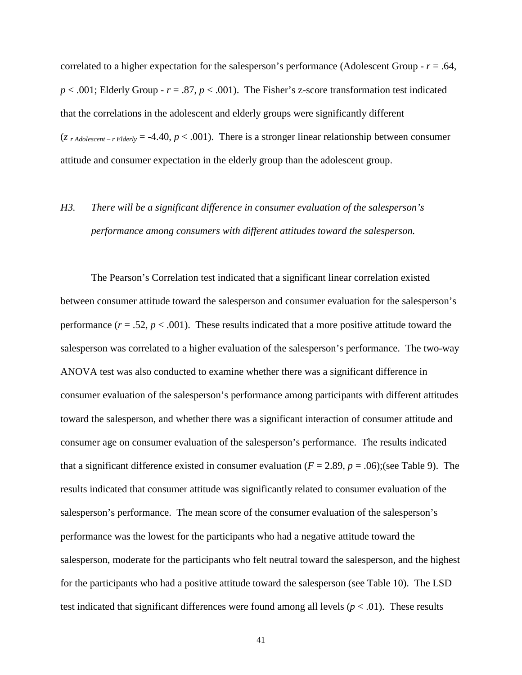correlated to a higher expectation for the salesperson's performance (Adolescent Group -  $r = .64$ ,  $p < .001$ ; Elderly Group -  $r = .87$ ,  $p < .001$ ). The Fisher's z-score transformation test indicated that the correlations in the adolescent and elderly groups were significantly different  $(z_{r\text{Adolescent}-r\text{Elder}} = -4.40, p < .001)$ . There is a stronger linear relationship between consumer attitude and consumer expectation in the elderly group than the adolescent group.

# *H3. There will be a significant difference in consumer evaluation of the salesperson's performance among consumers with different attitudes toward the salesperson.*

 The Pearson's Correlation test indicated that a significant linear correlation existed between consumer attitude toward the salesperson and consumer evaluation for the salesperson's performance  $(r = .52, p < .001)$ . These results indicated that a more positive attitude toward the salesperson was correlated to a higher evaluation of the salesperson's performance. The two-way ANOVA test was also conducted to examine whether there was a significant difference in consumer evaluation of the salesperson's performance among participants with different attitudes toward the salesperson, and whether there was a significant interaction of consumer attitude and consumer age on consumer evaluation of the salesperson's performance. The results indicated that a significant difference existed in consumer evaluation  $(F = 2.89, p = .06)$ ;(see Table 9). The results indicated that consumer attitude was significantly related to consumer evaluation of the salesperson's performance. The mean score of the consumer evaluation of the salesperson's performance was the lowest for the participants who had a negative attitude toward the salesperson, moderate for the participants who felt neutral toward the salesperson, and the highest for the participants who had a positive attitude toward the salesperson (see Table 10). The LSD test indicated that significant differences were found among all levels  $(p < .01)$ . These results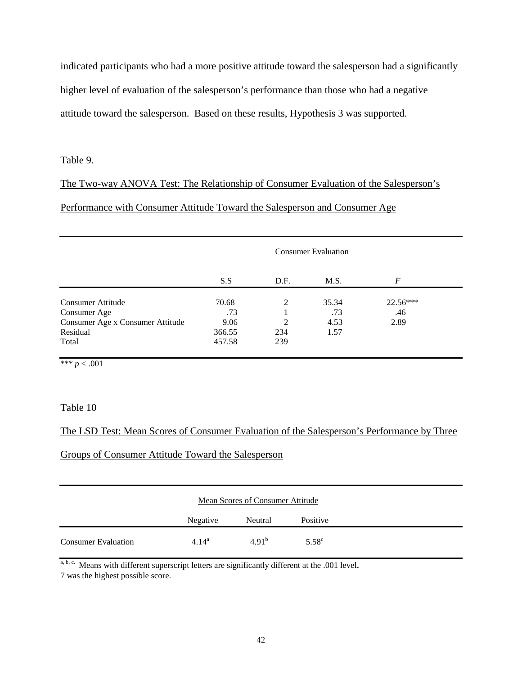indicated participants who had a more positive attitude toward the salesperson had a significantly higher level of evaluation of the salesperson's performance than those who had a negative attitude toward the salesperson. Based on these results, Hypothesis 3 was supported.

# Table 9.

The Two-way ANOVA Test: The Relationship of Consumer Evaluation of the Salesperson's

Performance with Consumer Attitude Toward the Salesperson and Consumer Age

|                                  | <b>Consumer Evaluation</b> |      |       |            |  |
|----------------------------------|----------------------------|------|-------|------------|--|
|                                  | S.S                        | D.F. | M.S.  | F          |  |
| Consumer Attitude                | 70.68                      | 2    | 35.34 | $22.56***$ |  |
| Consumer Age                     | .73                        |      | .73   | .46        |  |
| Consumer Age x Consumer Attitude | 9.06                       | 2    | 4.53  | 2.89       |  |
| Residual                         | 366.55                     | 234  | 1.57  |            |  |
| Total                            | 457.58                     | 239  |       |            |  |

\*\*\*  $p < .001$ 

# Table 10

The LSD Test: Mean Scores of Consumer Evaluation of the Salesperson's Performance by Three

Groups of Consumer Attitude Toward the Salesperson

|                            |          | <b>Mean Scores of Consumer Attitude</b> |                |
|----------------------------|----------|-----------------------------------------|----------------|
|                            | Negative | Neutral                                 | Positive       |
| <b>Consumer Evaluation</b> | $4.14^a$ | $4.91^{b}$                              | $5.58^{\circ}$ |

a, b, c. Means with different superscript letters are significantly different at the .001 level.

7 was the highest possible score.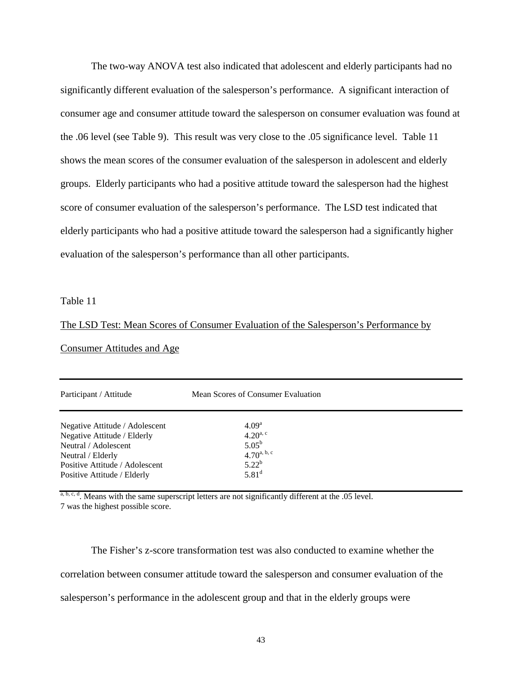The two-way ANOVA test also indicated that adolescent and elderly participants had no significantly different evaluation of the salesperson's performance. A significant interaction of consumer age and consumer attitude toward the salesperson on consumer evaluation was found at the .06 level (see Table 9). This result was very close to the .05 significance level. Table 11 shows the mean scores of the consumer evaluation of the salesperson in adolescent and elderly groups. Elderly participants who had a positive attitude toward the salesperson had the highest score of consumer evaluation of the salesperson's performance. The LSD test indicated that elderly participants who had a positive attitude toward the salesperson had a significantly higher evaluation of the salesperson's performance than all other participants.

#### Table 11

# The LSD Test: Mean Scores of Consumer Evaluation of the Salesperson's Performance by

#### Consumer Attitudes and Age

| Participant / Attitude                                                                                                                       | Mean Scores of Consumer Evaluation                                                     |  |
|----------------------------------------------------------------------------------------------------------------------------------------------|----------------------------------------------------------------------------------------|--|
| Negative Attitude / Adolescent<br>Negative Attitude / Elderly<br>Neutral / Adolescent<br>Neutral / Elderly<br>Positive Attitude / Adolescent | 4.09 <sup>a</sup><br>$4.20^{a, c}$<br>$5.05^{\rm b}$<br>$4.70^{a, b, c}$<br>$5.22^{b}$ |  |
| Positive Attitude / Elderly                                                                                                                  | $5.81^d$                                                                               |  |

 $a, b, c, d$ . Means with the same superscript letters are not significantly different at the .05 level. 7 was the highest possible score.

 The Fisher's z-score transformation test was also conducted to examine whether the correlation between consumer attitude toward the salesperson and consumer evaluation of the salesperson's performance in the adolescent group and that in the elderly groups were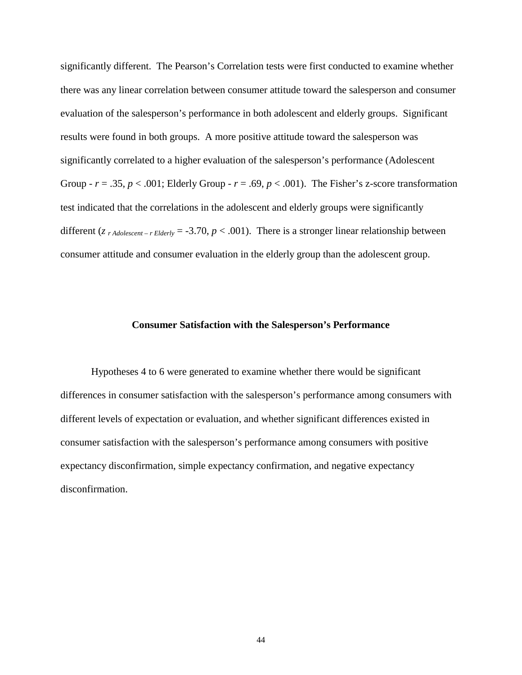significantly different. The Pearson's Correlation tests were first conducted to examine whether there was any linear correlation between consumer attitude toward the salesperson and consumer evaluation of the salesperson's performance in both adolescent and elderly groups. Significant results were found in both groups. A more positive attitude toward the salesperson was significantly correlated to a higher evaluation of the salesperson's performance (Adolescent Group -  $r = .35$ ,  $p < .001$ ; Elderly Group -  $r = .69$ ,  $p < .001$ ). The Fisher's z-score transformation test indicated that the correlations in the adolescent and elderly groups were significantly different ( $z_{r \text{Adolescent}-r \text{Elderly}} = -3.70, p < .001$ ). There is a stronger linear relationship between consumer attitude and consumer evaluation in the elderly group than the adolescent group.

#### **Consumer Satisfaction with the Salesperson's Performance**

 Hypotheses 4 to 6 were generated to examine whether there would be significant differences in consumer satisfaction with the salesperson's performance among consumers with different levels of expectation or evaluation, and whether significant differences existed in consumer satisfaction with the salesperson's performance among consumers with positive expectancy disconfirmation, simple expectancy confirmation, and negative expectancy disconfirmation.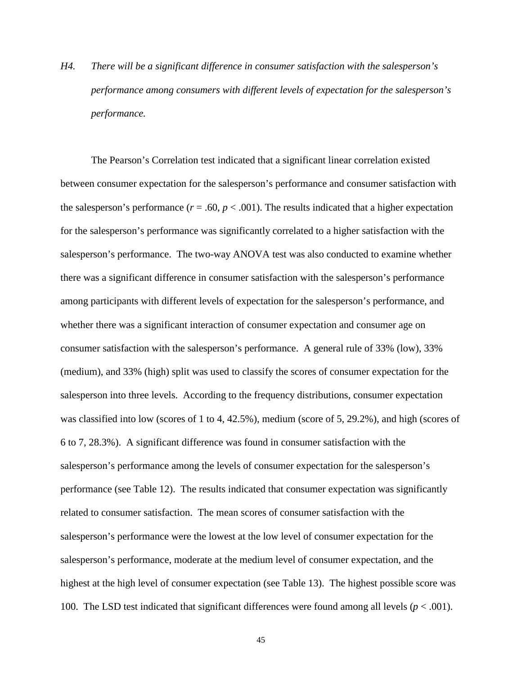*H4. There will be a significant difference in consumer satisfaction with the salesperson's performance among consumers with different levels of expectation for the salesperson's performance.* 

 The Pearson's Correlation test indicated that a significant linear correlation existed between consumer expectation for the salesperson's performance and consumer satisfaction with the salesperson's performance  $(r = .60, p < .001)$ . The results indicated that a higher expectation for the salesperson's performance was significantly correlated to a higher satisfaction with the salesperson's performance. The two-way ANOVA test was also conducted to examine whether there was a significant difference in consumer satisfaction with the salesperson's performance among participants with different levels of expectation for the salesperson's performance, and whether there was a significant interaction of consumer expectation and consumer age on consumer satisfaction with the salesperson's performance. A general rule of 33% (low), 33% (medium), and 33% (high) split was used to classify the scores of consumer expectation for the salesperson into three levels. According to the frequency distributions, consumer expectation was classified into low (scores of 1 to 4, 42.5%), medium (score of 5, 29.2%), and high (scores of 6 to 7, 28.3%). A significant difference was found in consumer satisfaction with the salesperson's performance among the levels of consumer expectation for the salesperson's performance (see Table 12). The results indicated that consumer expectation was significantly related to consumer satisfaction. The mean scores of consumer satisfaction with the salesperson's performance were the lowest at the low level of consumer expectation for the salesperson's performance, moderate at the medium level of consumer expectation, and the highest at the high level of consumer expectation (see Table 13). The highest possible score was 100. The LSD test indicated that significant differences were found among all levels ( $p < .001$ ).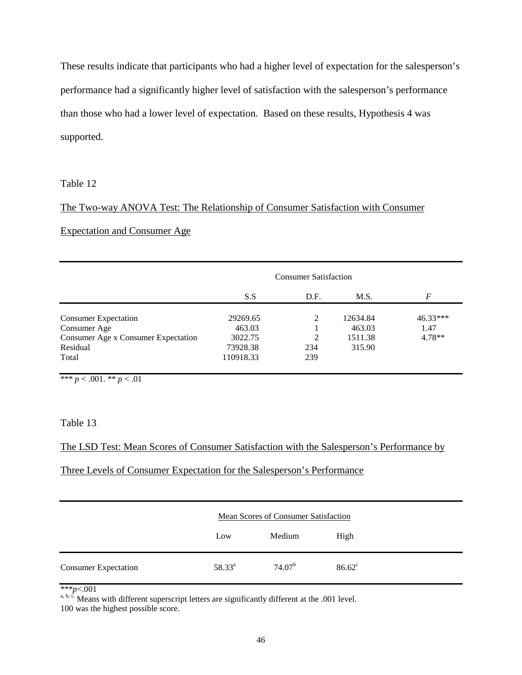These results indicate that participants who had a higher level of expectation for the salesperson's performance had a significantly higher level of satisfaction with the salesperson's performance than those who had a lower level of expectation. Based on these results, Hypothesis 4 was supported.

Table 12

# The Two-way ANOVA Test: The Relationship of Consumer Satisfaction with Consumer

# Expectation and Consumer Age

|                                     | <b>Consumer Satisfaction</b> |      |          |            |
|-------------------------------------|------------------------------|------|----------|------------|
|                                     | S.S                          | D.F. | M.S.     | F          |
| <b>Consumer Expectation</b>         | 29269.65                     | 2    | 12634.84 | $46.33***$ |
| Consumer Age                        | 463.03                       |      | 463.03   | 1.47       |
| Consumer Age x Consumer Expectation | 3022.75                      | 2    | 1511.38  | $4.78**$   |
| Residual                            | 73928.38                     | 234  | 315.90   |            |
| Total                               | 110918.33                    | 239  |          |            |

\*\*\*  $p < .001$ . \*\*  $p < .01$ 

Table 13

# The LSD Test: Mean Scores of Consumer Satisfaction with the Salesperson's Performance by

# Three Levels of Consumer Expectation for the Salesperson's Performance

|                             | <b>Mean Scores of Consumer Satisfaction</b> |                    |           |
|-----------------------------|---------------------------------------------|--------------------|-----------|
|                             | Low                                         | Medium             | High      |
| <b>Consumer Expectation</b> | 58.33 <sup>a</sup>                          | 74.07 <sup>b</sup> | $86.62^c$ |

\*\*\**p*<.001

 $a, b, \hat{c}$ . Means with different superscript letters are significantly different at the .001 level.

100 was the highest possible score.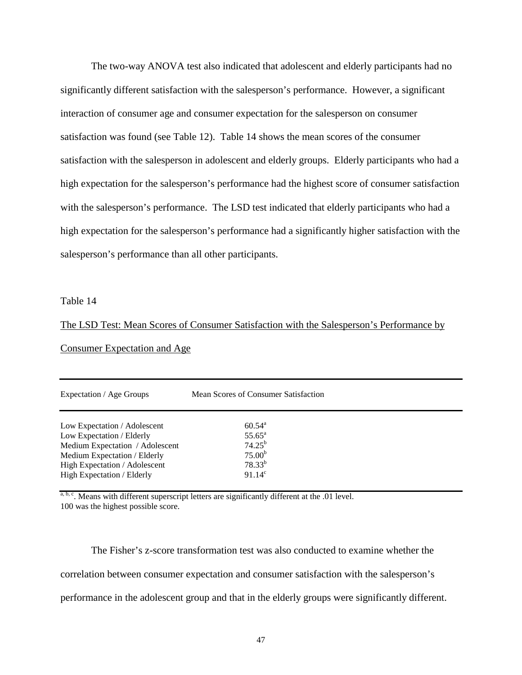The two-way ANOVA test also indicated that adolescent and elderly participants had no significantly different satisfaction with the salesperson's performance. However, a significant interaction of consumer age and consumer expectation for the salesperson on consumer satisfaction was found (see Table 12). Table 14 shows the mean scores of the consumer satisfaction with the salesperson in adolescent and elderly groups. Elderly participants who had a high expectation for the salesperson's performance had the highest score of consumer satisfaction with the salesperson's performance. The LSD test indicated that elderly participants who had a high expectation for the salesperson's performance had a significantly higher satisfaction with the salesperson's performance than all other participants.

#### Table 14

# The LSD Test: Mean Scores of Consumer Satisfaction with the Salesperson's Performance by

#### Consumer Expectation and Age

High Expectation / Adolescent

| Expectation / Age Groups        | Mean Scores of Consumer Satisfaction |
|---------------------------------|--------------------------------------|
|                                 |                                      |
| Low Expectation / Adolescent    | $60.54^{\circ}$                      |
| Low Expectation / Elderly       | $55.65^{\circ}$                      |
| Medium Expectation / Adolescent | $74.25^{b}$                          |

Medium Expectation / Elderly 75.00<sup>b</sup><br>High Expectation / Adolescent 78.33<sup>b</sup>

High Expectation / Elderly 91.14 $\degree$ 

 $a, b, c$ . Means with different superscript letters are significantly different at the .01 level. 100 was the highest possible score.

 The Fisher's z-score transformation test was also conducted to examine whether the correlation between consumer expectation and consumer satisfaction with the salesperson's performance in the adolescent group and that in the elderly groups were significantly different.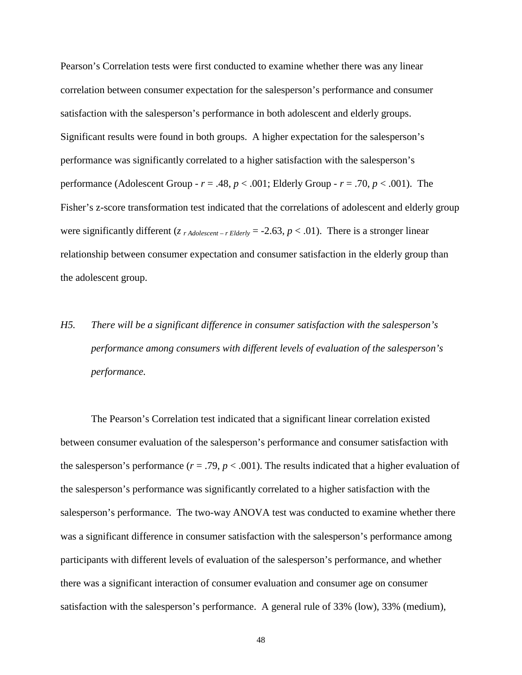Pearson's Correlation tests were first conducted to examine whether there was any linear correlation between consumer expectation for the salesperson's performance and consumer satisfaction with the salesperson's performance in both adolescent and elderly groups. Significant results were found in both groups. A higher expectation for the salesperson's performance was significantly correlated to a higher satisfaction with the salesperson's performance (Adolescent Group -  $r = .48$ ,  $p < .001$ ; Elderly Group -  $r = .70$ ,  $p < .001$ ). The Fisher's z-score transformation test indicated that the correlations of adolescent and elderly group were significantly different  $(z_{r \text{Adolescent} - r \text{Elder}}) = -2.63$ ,  $p < .01$ ). There is a stronger linear relationship between consumer expectation and consumer satisfaction in the elderly group than the adolescent group.

# *H5. There will be a significant difference in consumer satisfaction with the salesperson's performance among consumers with different levels of evaluation of the salesperson's performance.*

 The Pearson's Correlation test indicated that a significant linear correlation existed between consumer evaluation of the salesperson's performance and consumer satisfaction with the salesperson's performance  $(r = .79, p < .001)$ . The results indicated that a higher evaluation of the salesperson's performance was significantly correlated to a higher satisfaction with the salesperson's performance. The two-way ANOVA test was conducted to examine whether there was a significant difference in consumer satisfaction with the salesperson's performance among participants with different levels of evaluation of the salesperson's performance, and whether there was a significant interaction of consumer evaluation and consumer age on consumer satisfaction with the salesperson's performance. A general rule of 33% (low), 33% (medium),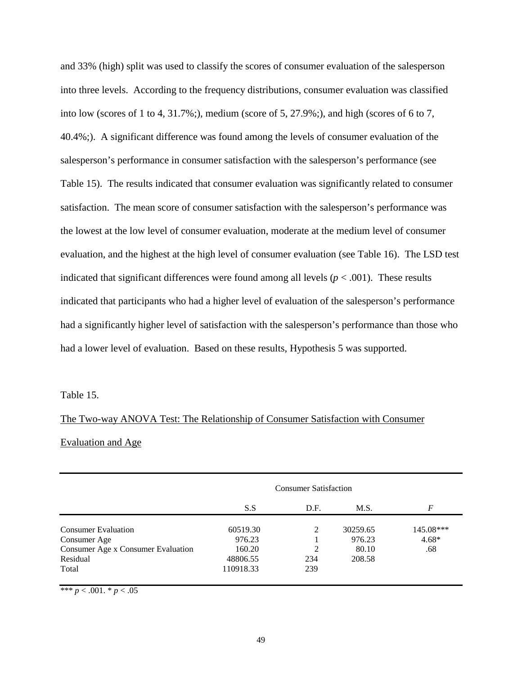and 33% (high) split was used to classify the scores of consumer evaluation of the salesperson into three levels. According to the frequency distributions, consumer evaluation was classified into low (scores of 1 to 4, 31.7%;), medium (score of 5, 27.9%;), and high (scores of 6 to 7, 40.4%;). A significant difference was found among the levels of consumer evaluation of the salesperson's performance in consumer satisfaction with the salesperson's performance (see Table 15). The results indicated that consumer evaluation was significantly related to consumer satisfaction. The mean score of consumer satisfaction with the salesperson's performance was the lowest at the low level of consumer evaluation, moderate at the medium level of consumer evaluation, and the highest at the high level of consumer evaluation (see Table 16). The LSD test indicated that significant differences were found among all levels ( $p < .001$ ). These results indicated that participants who had a higher level of evaluation of the salesperson's performance had a significantly higher level of satisfaction with the salesperson's performance than those who had a lower level of evaluation. Based on these results, Hypothesis 5 was supported.

Table 15.

# The Two-way ANOVA Test: The Relationship of Consumer Satisfaction with Consumer Evaluation and Age

| <b>Consumer Satisfaction</b> |                |          |           |
|------------------------------|----------------|----------|-----------|
| S.S                          | D.F.           | M.S.     | F         |
| 60519.30                     | 2              | 30259.65 | 145.08*** |
| 976.23                       |                | 976.23   | $4.68*$   |
| 160.20                       | $\overline{c}$ | 80.10    | .68       |
| 48806.55                     | 234            | 208.58   |           |
| 110918.33                    | 239            |          |           |
|                              |                |          |           |

\*\*\* *p* < .001. \* *p* < .05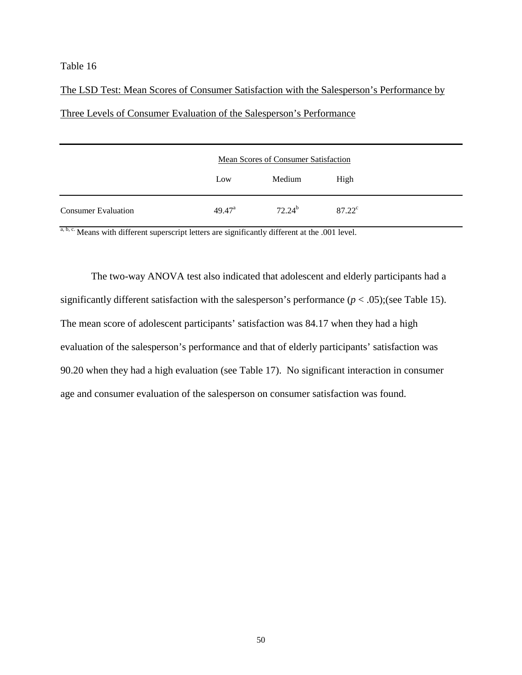### Table 16

The LSD Test: Mean Scores of Consumer Satisfaction with the Salesperson's Performance by Three Levels of Consumer Evaluation of the Salesperson's Performance

|                            | <b>Mean Scores of Consumer Satisfaction</b> |                    |                 |
|----------------------------|---------------------------------------------|--------------------|-----------------|
|                            | Low                                         | Medium             | High            |
| <b>Consumer Evaluation</b> | $49.47^{\circ}$                             | 72.24 <sup>b</sup> | $87.22^{\circ}$ |

a, b, c. Means with different superscript letters are significantly different at the .001 level.

The two-way ANOVA test also indicated that adolescent and elderly participants had a significantly different satisfaction with the salesperson's performance  $(p < .05)$ ; (see Table 15). The mean score of adolescent participants' satisfaction was 84.17 when they had a high evaluation of the salesperson's performance and that of elderly participants' satisfaction was 90.20 when they had a high evaluation (see Table 17). No significant interaction in consumer age and consumer evaluation of the salesperson on consumer satisfaction was found.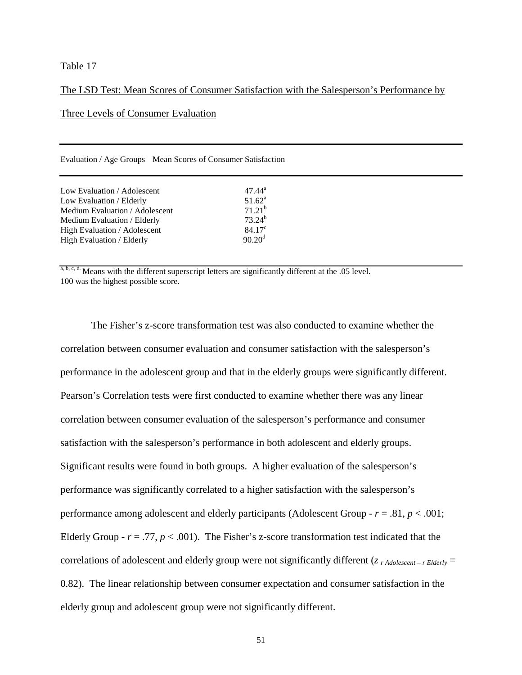#### Table 17

# The LSD Test: Mean Scores of Consumer Satisfaction with the Salesperson's Performance by

#### Three Levels of Consumer Evaluation

Evaluation / Age Groups Mean Scores of Consumer Satisfaction

| Low Evaluation / Adolescent    | $47.44^{\rm a}$ |
|--------------------------------|-----------------|
| Low Evaluation / Elderly       | $51.62^a$       |
| Medium Evaluation / Adolescent | $71.21^{b}$     |
| Medium Evaluation / Elderly    | $73.24^{b}$     |
| High Evaluation / Adolescent   | $84.17^{\circ}$ |
| High Evaluation / Elderly      | $90.20^{\rm d}$ |
|                                |                 |

a, b, c, d. Means with the different superscript letters are significantly different at the .05 level. 100 was the highest possible score.

 The Fisher's z-score transformation test was also conducted to examine whether the correlation between consumer evaluation and consumer satisfaction with the salesperson's performance in the adolescent group and that in the elderly groups were significantly different. Pearson's Correlation tests were first conducted to examine whether there was any linear correlation between consumer evaluation of the salesperson's performance and consumer satisfaction with the salesperson's performance in both adolescent and elderly groups. Significant results were found in both groups. A higher evaluation of the salesperson's performance was significantly correlated to a higher satisfaction with the salesperson's performance among adolescent and elderly participants (Adolescent Group - *r* = .81, *p* < .001; Elderly Group -  $r = .77$ ,  $p < .001$ ). The Fisher's z-score transformation test indicated that the correlations of adolescent and elderly group were not significantly different (*z r Adolescent – r Elderly* = 0.82). The linear relationship between consumer expectation and consumer satisfaction in the elderly group and adolescent group were not significantly different.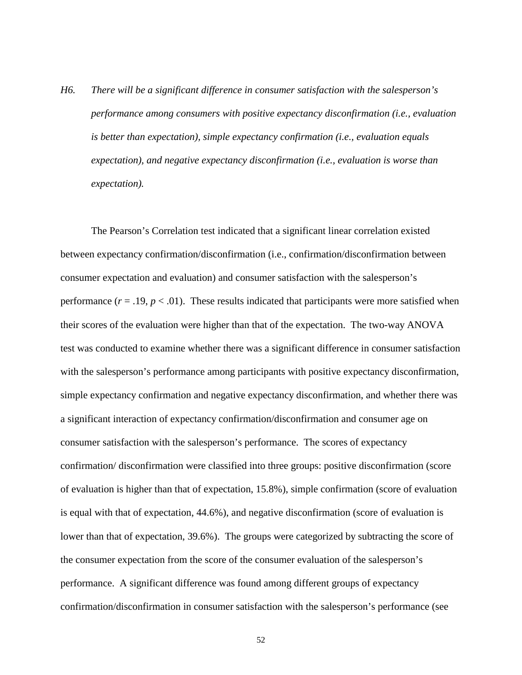*H6. There will be a significant difference in consumer satisfaction with the salesperson's performance among consumers with positive expectancy disconfirmation (i.e., evaluation is better than expectation), simple expectancy confirmation (i.e., evaluation equals expectation), and negative expectancy disconfirmation (i.e., evaluation is worse than expectation).* 

 The Pearson's Correlation test indicated that a significant linear correlation existed between expectancy confirmation/disconfirmation (i.e., confirmation/disconfirmation between consumer expectation and evaluation) and consumer satisfaction with the salesperson's performance  $(r = .19, p < .01)$ . These results indicated that participants were more satisfied when their scores of the evaluation were higher than that of the expectation. The two-way ANOVA test was conducted to examine whether there was a significant difference in consumer satisfaction with the salesperson's performance among participants with positive expectancy disconfirmation, simple expectancy confirmation and negative expectancy disconfirmation, and whether there was a significant interaction of expectancy confirmation/disconfirmation and consumer age on consumer satisfaction with the salesperson's performance. The scores of expectancy confirmation/ disconfirmation were classified into three groups: positive disconfirmation (score of evaluation is higher than that of expectation, 15.8%), simple confirmation (score of evaluation is equal with that of expectation, 44.6%), and negative disconfirmation (score of evaluation is lower than that of expectation, 39.6%). The groups were categorized by subtracting the score of the consumer expectation from the score of the consumer evaluation of the salesperson's performance. A significant difference was found among different groups of expectancy confirmation/disconfirmation in consumer satisfaction with the salesperson's performance (see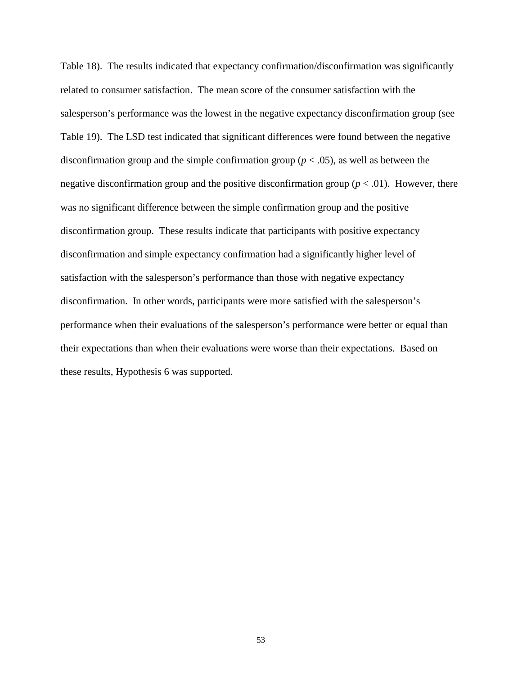Table 18). The results indicated that expectancy confirmation/disconfirmation was significantly related to consumer satisfaction. The mean score of the consumer satisfaction with the salesperson's performance was the lowest in the negative expectancy disconfirmation group (see Table 19). The LSD test indicated that significant differences were found between the negative disconfirmation group and the simple confirmation group (*p* < .05), as well as between the negative disconfirmation group and the positive disconfirmation group ( $p < .01$ ). However, there was no significant difference between the simple confirmation group and the positive disconfirmation group. These results indicate that participants with positive expectancy disconfirmation and simple expectancy confirmation had a significantly higher level of satisfaction with the salesperson's performance than those with negative expectancy disconfirmation. In other words, participants were more satisfied with the salesperson's performance when their evaluations of the salesperson's performance were better or equal than their expectations than when their evaluations were worse than their expectations. Based on these results, Hypothesis 6 was supported.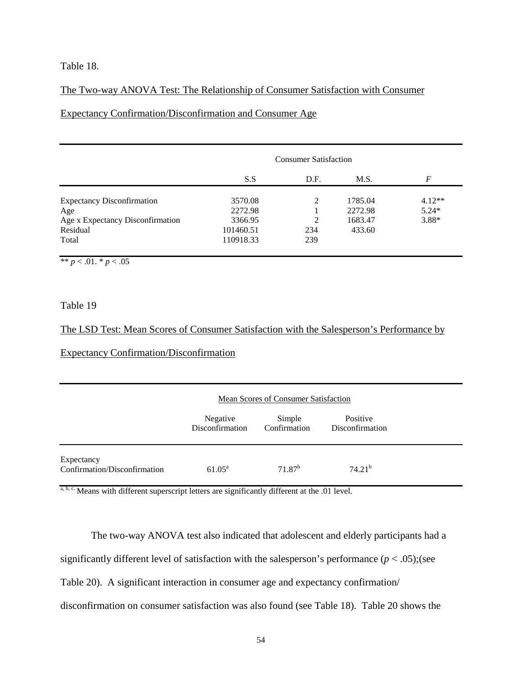Table 18.

# The Two-way ANOVA Test: The Relationship of Consumer Satisfaction with Consumer

# Expectancy Confirmation/Disconfirmation and Consumer Age

|                                   | <b>Consumer Satisfaction</b> |      |         |          |
|-----------------------------------|------------------------------|------|---------|----------|
|                                   | S.S                          | D.F. | M.S.    | F        |
| <b>Expectancy Disconfirmation</b> | 3570.08                      | 2    | 1785.04 | $4.12**$ |
| Age                               | 2272.98                      |      | 2272.98 | $5.24*$  |
| Age x Expectancy Disconfirmation  | 3366.95                      | 2    | 1683.47 | $3.88*$  |
| Residual                          | 101460.51                    | 234  | 433.60  |          |
| Total                             | 110918.33                    | 239  |         |          |

\*\*  $p < .01.$  \*  $p < .05$ 

# Table 19

### The LSD Test: Mean Scores of Consumer Satisfaction with the Salesperson's Performance by

#### Expectancy Confirmation/Disconfirmation

|                                            | Mean Scores of Consumer Satisfaction |                        |                             |  |
|--------------------------------------------|--------------------------------------|------------------------|-----------------------------|--|
|                                            | Negative<br>Disconfirmation          | Simple<br>Confirmation | Positive<br>Disconfirmation |  |
| Expectancy<br>Confirmation/Disconfirmation | $61.05^{\rm a}$                      | 71.87 <sup>b</sup>     | $74.21^{b}$                 |  |

a, b, c. Means with different superscript letters are significantly different at the .01 level.

The two-way ANOVA test also indicated that adolescent and elderly participants had a

significantly different level of satisfaction with the salesperson's performance  $(p < .05)$ ; (see

Table 20). A significant interaction in consumer age and expectancy confirmation/

disconfirmation on consumer satisfaction was also found (see Table 18). Table 20 shows the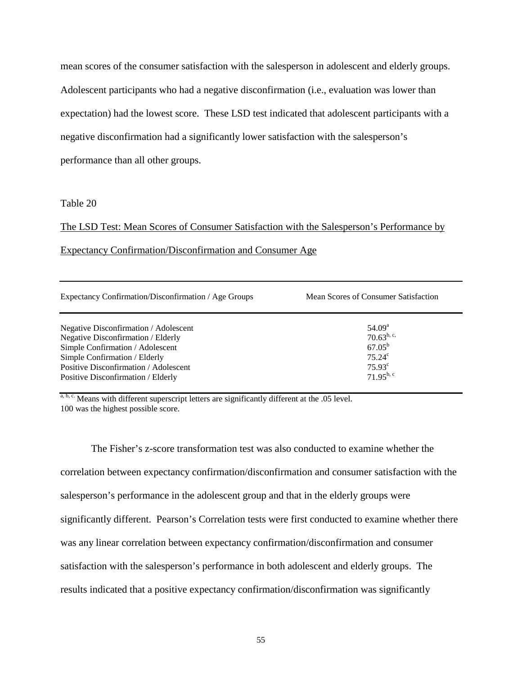mean scores of the consumer satisfaction with the salesperson in adolescent and elderly groups. Adolescent participants who had a negative disconfirmation (i.e., evaluation was lower than expectation) had the lowest score. These LSD test indicated that adolescent participants with a negative disconfirmation had a significantly lower satisfaction with the salesperson's performance than all other groups.

# Table 20

The LSD Test: Mean Scores of Consumer Satisfaction with the Salesperson's Performance by Expectancy Confirmation/Disconfirmation and Consumer Age

| Expectancy Confirmation/Disconfirmation / Age Groups                                                                                             | Mean Scores of Consumer Satisfaction                       |
|--------------------------------------------------------------------------------------------------------------------------------------------------|------------------------------------------------------------|
| Negative Disconfirmation / Adolescent<br>Negative Disconfirmation / Elderly                                                                      | 54.09 <sup>a</sup><br>$70.63^{b, c, c}$<br>$67.05^{\rm b}$ |
| Simple Confirmation / Adolescent<br>Simple Confirmation / Elderly<br>Positive Disconfirmation / Adolescent<br>Positive Disconfirmation / Elderly | $75.24^{\circ}$<br>75.93 <sup>c</sup><br>$71.95^{b,c}$     |

a, b, c. Means with different superscript letters are significantly different at the .05 level. 100 was the highest possible score.

 The Fisher's z-score transformation test was also conducted to examine whether the correlation between expectancy confirmation/disconfirmation and consumer satisfaction with the salesperson's performance in the adolescent group and that in the elderly groups were significantly different. Pearson's Correlation tests were first conducted to examine whether there was any linear correlation between expectancy confirmation/disconfirmation and consumer satisfaction with the salesperson's performance in both adolescent and elderly groups. The results indicated that a positive expectancy confirmation/disconfirmation was significantly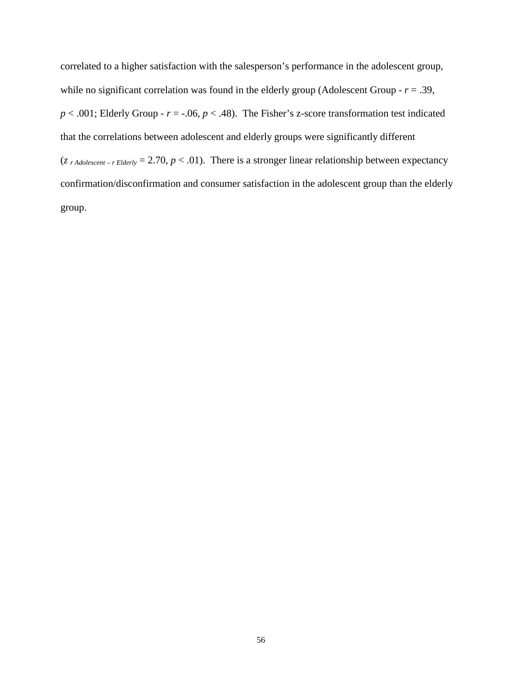correlated to a higher satisfaction with the salesperson's performance in the adolescent group, while no significant correlation was found in the elderly group (Adolescent Group -  $r = .39$ ,  $p < .001$ ; Elderly Group -  $r = -.06$ ,  $p < .48$ ). The Fisher's z-score transformation test indicated that the correlations between adolescent and elderly groups were significantly different  $(z \r{r}$ *Adolescent – r Elderly* = 2.70,  $p < .01$ ). There is a stronger linear relationship between expectancy confirmation/disconfirmation and consumer satisfaction in the adolescent group than the elderly group.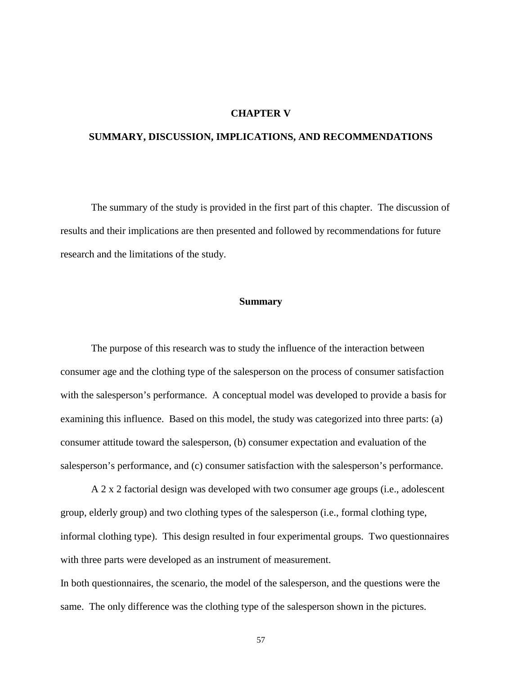#### **CHAPTER V**

#### **SUMMARY, DISCUSSION, IMPLICATIONS, AND RECOMMENDATIONS**

The summary of the study is provided in the first part of this chapter. The discussion of results and their implications are then presented and followed by recommendations for future research and the limitations of the study.

#### **Summary**

The purpose of this research was to study the influence of the interaction between consumer age and the clothing type of the salesperson on the process of consumer satisfaction with the salesperson's performance. A conceptual model was developed to provide a basis for examining this influence. Based on this model, the study was categorized into three parts: (a) consumer attitude toward the salesperson, (b) consumer expectation and evaluation of the salesperson's performance, and (c) consumer satisfaction with the salesperson's performance.

A 2 x 2 factorial design was developed with two consumer age groups (i.e., adolescent group, elderly group) and two clothing types of the salesperson (i.e., formal clothing type, informal clothing type). This design resulted in four experimental groups. Two questionnaires with three parts were developed as an instrument of measurement.

In both questionnaires, the scenario, the model of the salesperson, and the questions were the same. The only difference was the clothing type of the salesperson shown in the pictures.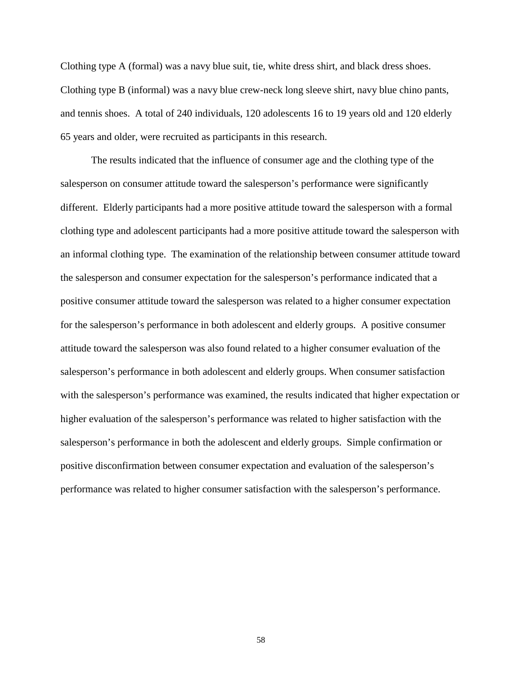Clothing type A (formal) was a navy blue suit, tie, white dress shirt, and black dress shoes. Clothing type B (informal) was a navy blue crew-neck long sleeve shirt, navy blue chino pants, and tennis shoes. A total of 240 individuals, 120 adolescents 16 to 19 years old and 120 elderly 65 years and older, were recruited as participants in this research.

The results indicated that the influence of consumer age and the clothing type of the salesperson on consumer attitude toward the salesperson's performance were significantly different. Elderly participants had a more positive attitude toward the salesperson with a formal clothing type and adolescent participants had a more positive attitude toward the salesperson with an informal clothing type. The examination of the relationship between consumer attitude toward the salesperson and consumer expectation for the salesperson's performance indicated that a positive consumer attitude toward the salesperson was related to a higher consumer expectation for the salesperson's performance in both adolescent and elderly groups. A positive consumer attitude toward the salesperson was also found related to a higher consumer evaluation of the salesperson's performance in both adolescent and elderly groups. When consumer satisfaction with the salesperson's performance was examined, the results indicated that higher expectation or higher evaluation of the salesperson's performance was related to higher satisfaction with the salesperson's performance in both the adolescent and elderly groups. Simple confirmation or positive disconfirmation between consumer expectation and evaluation of the salesperson's performance was related to higher consumer satisfaction with the salesperson's performance.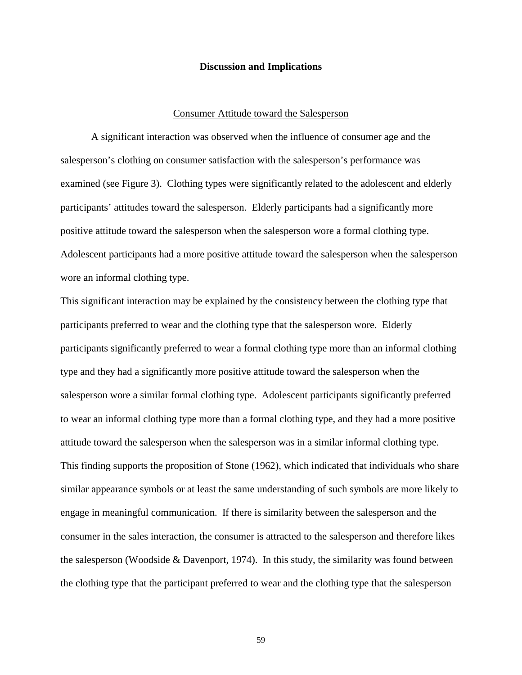#### **Discussion and Implications**

#### Consumer Attitude toward the Salesperson

A significant interaction was observed when the influence of consumer age and the salesperson's clothing on consumer satisfaction with the salesperson's performance was examined (see Figure 3). Clothing types were significantly related to the adolescent and elderly participants' attitudes toward the salesperson. Elderly participants had a significantly more positive attitude toward the salesperson when the salesperson wore a formal clothing type. Adolescent participants had a more positive attitude toward the salesperson when the salesperson wore an informal clothing type.

This significant interaction may be explained by the consistency between the clothing type that participants preferred to wear and the clothing type that the salesperson wore. Elderly participants significantly preferred to wear a formal clothing type more than an informal clothing type and they had a significantly more positive attitude toward the salesperson when the salesperson wore a similar formal clothing type. Adolescent participants significantly preferred to wear an informal clothing type more than a formal clothing type, and they had a more positive attitude toward the salesperson when the salesperson was in a similar informal clothing type. This finding supports the proposition of Stone (1962), which indicated that individuals who share similar appearance symbols or at least the same understanding of such symbols are more likely to engage in meaningful communication. If there is similarity between the salesperson and the consumer in the sales interaction, the consumer is attracted to the salesperson and therefore likes the salesperson (Woodside  $&$  Davenport, 1974). In this study, the similarity was found between the clothing type that the participant preferred to wear and the clothing type that the salesperson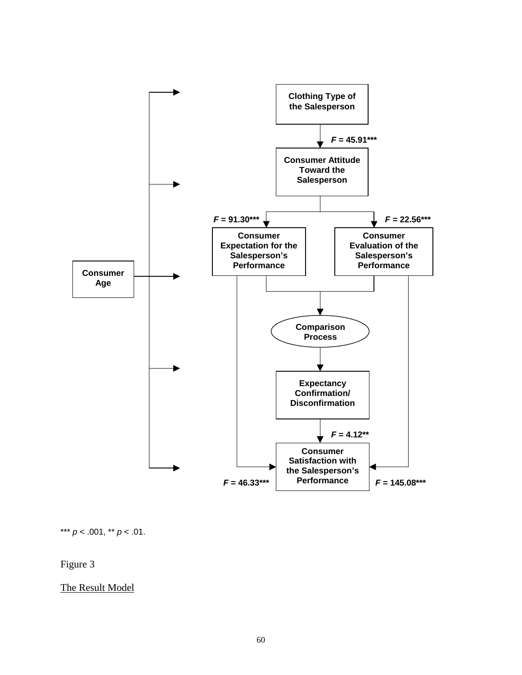

\*\*\* *p* < .001, \*\* *p* < .01.

# Figure 3

The Result Model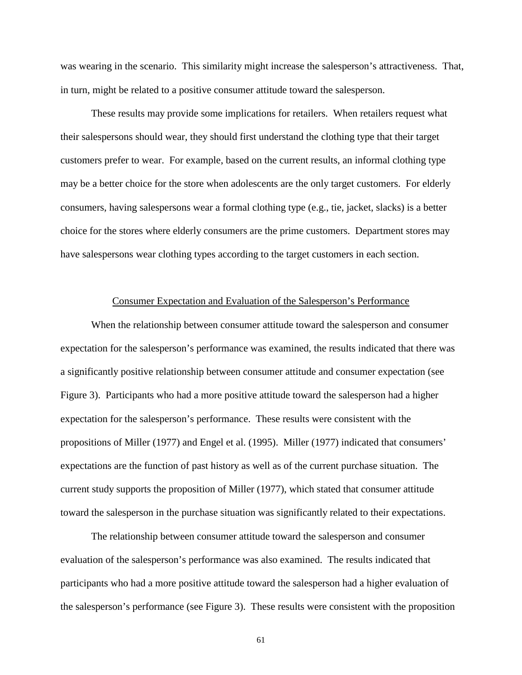was wearing in the scenario. This similarity might increase the salesperson's attractiveness. That, in turn, might be related to a positive consumer attitude toward the salesperson.

These results may provide some implications for retailers. When retailers request what their salespersons should wear, they should first understand the clothing type that their target customers prefer to wear. For example, based on the current results, an informal clothing type may be a better choice for the store when adolescents are the only target customers. For elderly consumers, having salespersons wear a formal clothing type (e.g., tie, jacket, slacks) is a better choice for the stores where elderly consumers are the prime customers. Department stores may have salespersons wear clothing types according to the target customers in each section.

#### Consumer Expectation and Evaluation of the Salesperson's Performance

When the relationship between consumer attitude toward the salesperson and consumer expectation for the salesperson's performance was examined, the results indicated that there was a significantly positive relationship between consumer attitude and consumer expectation (see Figure 3). Participants who had a more positive attitude toward the salesperson had a higher expectation for the salesperson's performance. These results were consistent with the propositions of Miller (1977) and Engel et al. (1995). Miller (1977) indicated that consumers' expectations are the function of past history as well as of the current purchase situation. The current study supports the proposition of Miller (1977), which stated that consumer attitude toward the salesperson in the purchase situation was significantly related to their expectations.

The relationship between consumer attitude toward the salesperson and consumer evaluation of the salesperson's performance was also examined. The results indicated that participants who had a more positive attitude toward the salesperson had a higher evaluation of the salesperson's performance (see Figure 3). These results were consistent with the proposition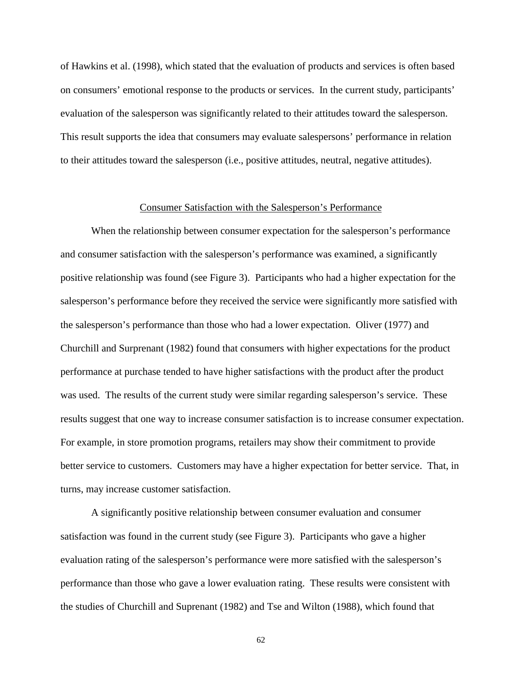of Hawkins et al. (1998), which stated that the evaluation of products and services is often based on consumers' emotional response to the products or services. In the current study, participants' evaluation of the salesperson was significantly related to their attitudes toward the salesperson. This result supports the idea that consumers may evaluate salespersons' performance in relation to their attitudes toward the salesperson (i.e., positive attitudes, neutral, negative attitudes).

#### Consumer Satisfaction with the Salesperson's Performance

 When the relationship between consumer expectation for the salesperson's performance and consumer satisfaction with the salesperson's performance was examined, a significantly positive relationship was found (see Figure 3). Participants who had a higher expectation for the salesperson's performance before they received the service were significantly more satisfied with the salesperson's performance than those who had a lower expectation. Oliver (1977) and Churchill and Surprenant (1982) found that consumers with higher expectations for the product performance at purchase tended to have higher satisfactions with the product after the product was used. The results of the current study were similar regarding salesperson's service. These results suggest that one way to increase consumer satisfaction is to increase consumer expectation. For example, in store promotion programs, retailers may show their commitment to provide better service to customers. Customers may have a higher expectation for better service. That, in turns, may increase customer satisfaction.

A significantly positive relationship between consumer evaluation and consumer satisfaction was found in the current study (see Figure 3). Participants who gave a higher evaluation rating of the salesperson's performance were more satisfied with the salesperson's performance than those who gave a lower evaluation rating. These results were consistent with the studies of Churchill and Suprenant (1982) and Tse and Wilton (1988), which found that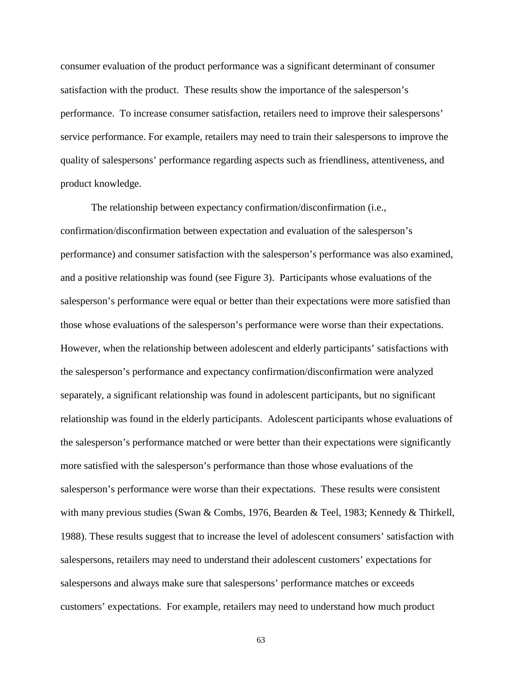consumer evaluation of the product performance was a significant determinant of consumer satisfaction with the product. These results show the importance of the salesperson's performance. To increase consumer satisfaction, retailers need to improve their salespersons' service performance. For example, retailers may need to train their salespersons to improve the quality of salespersons' performance regarding aspects such as friendliness, attentiveness, and product knowledge.

The relationship between expectancy confirmation/disconfirmation (i.e., confirmation/disconfirmation between expectation and evaluation of the salesperson's performance) and consumer satisfaction with the salesperson's performance was also examined, and a positive relationship was found (see Figure 3). Participants whose evaluations of the salesperson's performance were equal or better than their expectations were more satisfied than those whose evaluations of the salesperson's performance were worse than their expectations. However, when the relationship between adolescent and elderly participants' satisfactions with the salesperson's performance and expectancy confirmation/disconfirmation were analyzed separately, a significant relationship was found in adolescent participants, but no significant relationship was found in the elderly participants. Adolescent participants whose evaluations of the salesperson's performance matched or were better than their expectations were significantly more satisfied with the salesperson's performance than those whose evaluations of the salesperson's performance were worse than their expectations. These results were consistent with many previous studies (Swan & Combs, 1976, Bearden & Teel, 1983; Kennedy & Thirkell, 1988). These results suggest that to increase the level of adolescent consumers' satisfaction with salespersons, retailers may need to understand their adolescent customers' expectations for salespersons and always make sure that salespersons' performance matches or exceeds customers' expectations. For example, retailers may need to understand how much product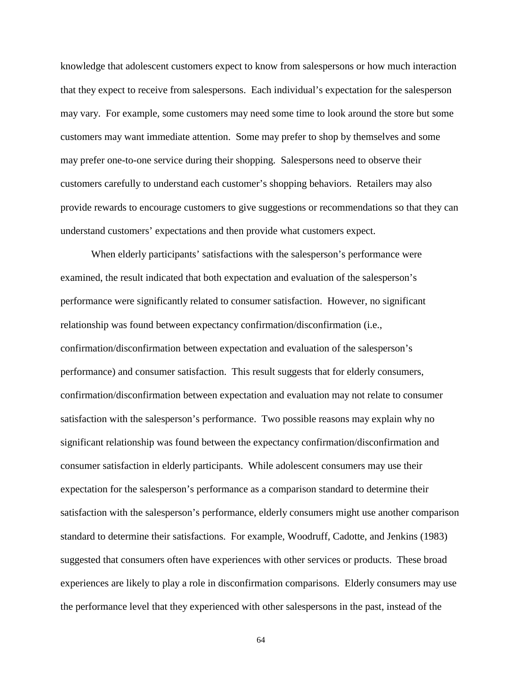knowledge that adolescent customers expect to know from salespersons or how much interaction that they expect to receive from salespersons. Each individual's expectation for the salesperson may vary. For example, some customers may need some time to look around the store but some customers may want immediate attention. Some may prefer to shop by themselves and some may prefer one-to-one service during their shopping. Salespersons need to observe their customers carefully to understand each customer's shopping behaviors. Retailers may also provide rewards to encourage customers to give suggestions or recommendations so that they can understand customers' expectations and then provide what customers expect.

When elderly participants' satisfactions with the salesperson's performance were examined, the result indicated that both expectation and evaluation of the salesperson's performance were significantly related to consumer satisfaction. However, no significant relationship was found between expectancy confirmation/disconfirmation (i.e., confirmation/disconfirmation between expectation and evaluation of the salesperson's performance) and consumer satisfaction. This result suggests that for elderly consumers, confirmation/disconfirmation between expectation and evaluation may not relate to consumer satisfaction with the salesperson's performance. Two possible reasons may explain why no significant relationship was found between the expectancy confirmation/disconfirmation and consumer satisfaction in elderly participants. While adolescent consumers may use their expectation for the salesperson's performance as a comparison standard to determine their satisfaction with the salesperson's performance, elderly consumers might use another comparison standard to determine their satisfactions. For example, Woodruff, Cadotte, and Jenkins (1983) suggested that consumers often have experiences with other services or products. These broad experiences are likely to play a role in disconfirmation comparisons. Elderly consumers may use the performance level that they experienced with other salespersons in the past, instead of the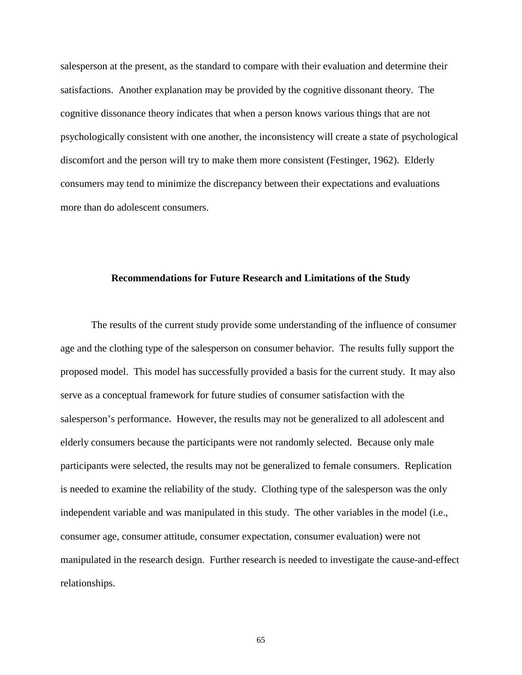salesperson at the present, as the standard to compare with their evaluation and determine their satisfactions. Another explanation may be provided by the cognitive dissonant theory. The cognitive dissonance theory indicates that when a person knows various things that are not psychologically consistent with one another, the inconsistency will create a state of psychological discomfort and the person will try to make them more consistent (Festinger, 1962). Elderly consumers may tend to minimize the discrepancy between their expectations and evaluations more than do adolescent consumers.

### **Recommendations for Future Research and Limitations of the Study**

The results of the current study provide some understanding of the influence of consumer age and the clothing type of the salesperson on consumer behavior. The results fully support the proposed model. This model has successfully provided a basis for the current study. It may also serve as a conceptual framework for future studies of consumer satisfaction with the salesperson's performance**.** However, the results may not be generalized to all adolescent and elderly consumers because the participants were not randomly selected. Because only male participants were selected, the results may not be generalized to female consumers. Replication is needed to examine the reliability of the study. Clothing type of the salesperson was the only independent variable and was manipulated in this study. The other variables in the model (i.e., consumer age, consumer attitude, consumer expectation, consumer evaluation) were not manipulated in the research design. Further research is needed to investigate the cause-and-effect relationships.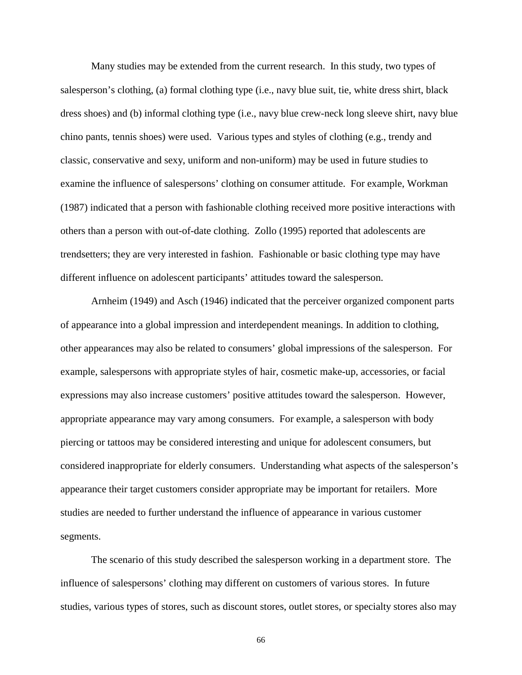Many studies may be extended from the current research. In this study, two types of salesperson's clothing, (a) formal clothing type (i.e., navy blue suit, tie, white dress shirt, black dress shoes) and (b) informal clothing type (i.e., navy blue crew-neck long sleeve shirt, navy blue chino pants, tennis shoes) were used. Various types and styles of clothing (e.g., trendy and classic, conservative and sexy, uniform and non-uniform) may be used in future studies to examine the influence of salespersons' clothing on consumer attitude. For example, Workman (1987) indicated that a person with fashionable clothing received more positive interactions with others than a person with out-of-date clothing. Zollo (1995) reported that adolescents are trendsetters; they are very interested in fashion. Fashionable or basic clothing type may have different influence on adolescent participants' attitudes toward the salesperson.

Arnheim (1949) and Asch (1946) indicated that the perceiver organized component parts of appearance into a global impression and interdependent meanings. In addition to clothing, other appearances may also be related to consumers' global impressions of the salesperson. For example, salespersons with appropriate styles of hair, cosmetic make-up, accessories, or facial expressions may also increase customers' positive attitudes toward the salesperson. However, appropriate appearance may vary among consumers. For example, a salesperson with body piercing or tattoos may be considered interesting and unique for adolescent consumers, but considered inappropriate for elderly consumers. Understanding what aspects of the salesperson's appearance their target customers consider appropriate may be important for retailers. More studies are needed to further understand the influence of appearance in various customer segments.

The scenario of this study described the salesperson working in a department store. The influence of salespersons' clothing may different on customers of various stores. In future studies, various types of stores, such as discount stores, outlet stores, or specialty stores also may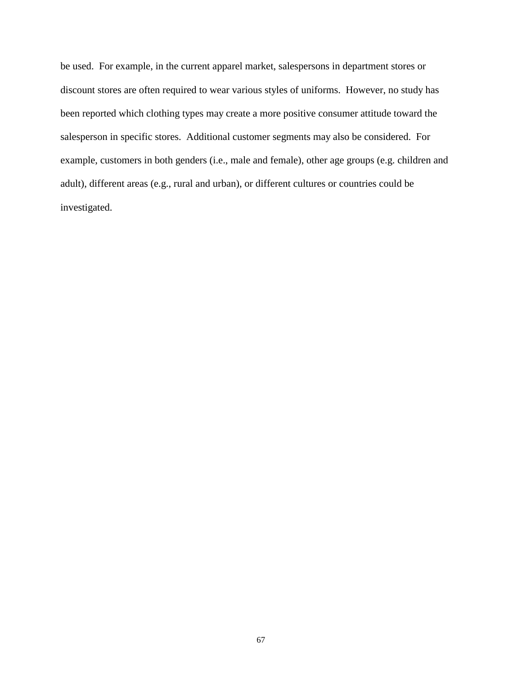be used. For example, in the current apparel market, salespersons in department stores or discount stores are often required to wear various styles of uniforms. However, no study has been reported which clothing types may create a more positive consumer attitude toward the salesperson in specific stores. Additional customer segments may also be considered. For example, customers in both genders (i.e., male and female), other age groups (e.g. children and adult), different areas (e.g., rural and urban), or different cultures or countries could be investigated.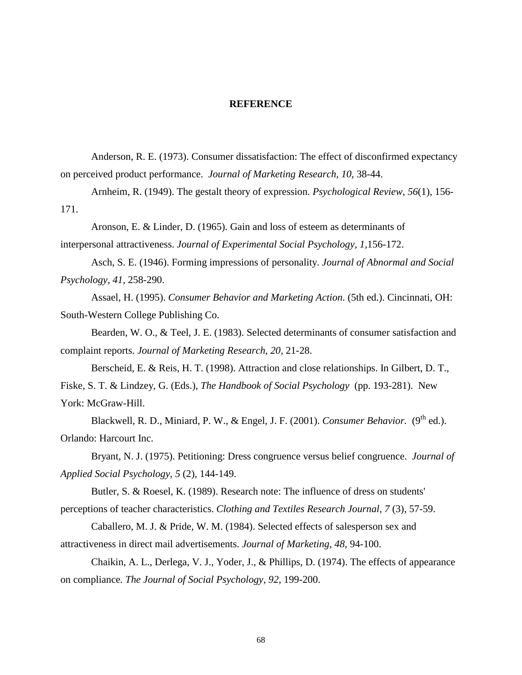#### **REFERENCE**

Anderson, R. E. (1973). Consumer dissatisfaction: The effect of disconfirmed expectancy on perceived product performance. *Journal of Marketing Research, 10*, 38-44.

Arnheim, R. (1949). The gestalt theory of expression. *Psychological Review, 56*(1), 156- 171.

Aronson, E. & Linder, D. (1965). Gain and loss of esteem as determinants of interpersonal attractiveness. *Journal of Experimental Social Psychology, 1,*156-172.

Asch, S. E. (1946). Forming impressions of personality. *Journal of Abnormal and Social Psychology, 41,* 258-290.

Assael, H. (1995). *Consumer Behavior and Marketing Action*. (5th ed.). Cincinnati, OH: South-Western College Publishing Co.

 Bearden, W. O., & Teel, J. E. (1983). Selected determinants of consumer satisfaction and complaint reports. *Journal of Marketing Research, 20,* 21-28.

Berscheid, E. & Reis, H. T. (1998). Attraction and close relationships. In Gilbert, D. T., Fiske, S. T. & Lindzey, G. (Eds.), *The Handbook of Social Psychology* (pp. 193-281). New York: McGraw-Hill.

Blackwell, R. D., Miniard, P. W., & Engel, J. F. (2001). *Consumer Behavior.* (9<sup>th</sup> ed.). Orlando: Harcourt Inc.

Bryant, N. J. (1975). Petitioning: Dress congruence versus belief congruence. *Journal of Applied Social Psychology, 5* (2), 144-149.

Butler, S. & Roesel, K. (1989). Research note: The influence of dress on students' perceptions of teacher characteristics. *Clothing and Textiles Research Journal, 7* (3), 57-59.

Caballero, M. J. & Pride, W. M. (1984). Selected effects of salesperson sex and attractiveness in direct mail advertisements. *Journal of Marketing, 48*, 94-100.

Chaikin, A. L., Derlega, V. J., Yoder, J., & Phillips, D. (1974). The effects of appearance on compliance*. The Journal of Social Psychology, 92*, 199-200.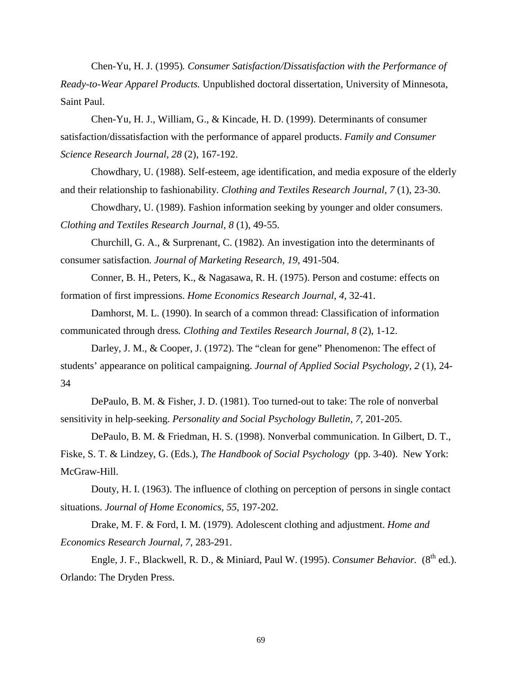Chen-Yu, H. J. (1995)*. Consumer Satisfaction/Dissatisfaction with the Performance of Ready-to-Wear Apparel Products.* Unpublished doctoral dissertation, University of Minnesota, Saint Paul.

Chen-Yu, H. J., William, G., & Kincade, H. D. (1999). Determinants of consumer satisfaction/dissatisfaction with the performance of apparel products. *Family and Consumer Science Research Journal, 28* (2), 167-192.

Chowdhary, U. (1988). Self-esteem, age identification, and media exposure of the elderly and their relationship to fashionability. *Clothing and Textiles Research Journal, 7* (1), 23-30.

Chowdhary, U. (1989). Fashion information seeking by younger and older consumers. *Clothing and Textiles Research Journal, 8* (1), 49-55.

Churchill, G. A., & Surprenant, C. (1982). An investigation into the determinants of consumer satisfaction*. Journal of Marketing Research, 19*, 491-504.

Conner, B. H., Peters, K., & Nagasawa, R. H. (1975). Person and costume: effects on formation of first impressions. *Home Economics Research Journal, 4,* 32-41.

Damhorst, M. L. (1990). In search of a common thread: Classification of information communicated through dress*. Clothing and Textiles Research Journal, 8* (2), 1-12.

Darley, J. M., & Cooper, J. (1972). The "clean for gene" Phenomenon: The effect of students' appearance on political campaigning. *Journal of Applied Social Psychology, 2* (1), 24- 34

DePaulo, B. M. & Fisher, J. D. (1981). Too turned-out to take: The role of nonverbal sensitivity in help-seeking. *Personality and Social Psychology Bulletin, 7,* 201-205.

DePaulo, B. M. & Friedman, H. S. (1998). Nonverbal communication. In Gilbert, D. T., Fiske, S. T. & Lindzey, G. (Eds.), *The Handbook of Social Psychology* (pp. 3-40). New York: McGraw-Hill.

Douty, H. I. (1963). The influence of clothing on perception of persons in single contact situations. *Journal of Home Economics, 55,* 197-202.

Drake, M. F. & Ford, I. M. (1979). Adolescent clothing and adjustment. *Home and Economics Research Journal, 7*, 283-291.

Engle, J. F., Blackwell, R. D., & Miniard, Paul W. (1995). *Consumer Behavior.* (8<sup>th</sup> ed.). Orlando: The Dryden Press.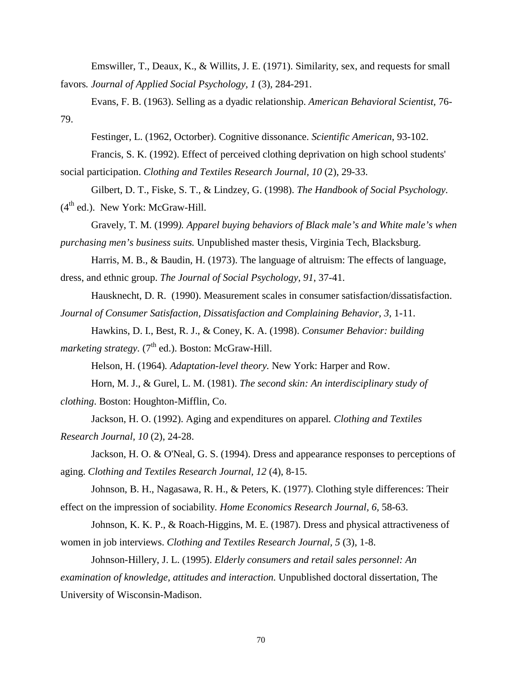Emswiller, T., Deaux, K., & Willits, J. E. (1971). Similarity, sex, and requests for small favors*. Journal of Applied Social Psychology, 1* (3), 284-291.

Evans, F. B. (1963). Selling as a dyadic relationship. *American Behavioral Scientist,* 76- 79.

Festinger, L. (1962, Octorber). Cognitive dissonance. *Scientific American*, 93-102.

Francis, S. K. (1992). Effect of perceived clothing deprivation on high school students' social participation. *Clothing and Textiles Research Journal, 10* (2), 29-33.

Gilbert, D. T., Fiske, S. T., & Lindzey, G. (1998). *The Handbook of Social Psychology.*  $(4<sup>th</sup>$  ed.). New York: McGraw-Hill.

Gravely, T. M. (1999*). Apparel buying behaviors of Black male's and White male's when purchasing men's business suits.* Unpublished master thesis, Virginia Tech, Blacksburg.

Harris, M. B., & Baudin, H. (1973). The language of altruism: The effects of language, dress, and ethnic group. *The Journal of Social Psychology, 91*, 37-41.

Hausknecht, D. R. (1990). Measurement scales in consumer satisfaction/dissatisfaction. *Journal of Consumer Satisfaction, Dissatisfaction and Complaining Behavior, 3,* 1-11.

Hawkins, D. I., Best, R. J., & Coney, K. A. (1998). *Consumer Behavior: building marketing strategy.*  $(7<sup>th</sup>$  ed.). Boston: McGraw-Hill.

Helson, H. (1964)*. Adaptation-level theory.* New York: Harper and Row.

Horn, M. J., & Gurel, L. M. (1981). *The second skin: An interdisciplinary study of clothing*. Boston: Houghton-Mifflin, Co.

Jackson, H. O. (1992). Aging and expenditures on apparel*. Clothing and Textiles Research Journal, 10* (2), 24-28.

Jackson, H. O. & O'Neal, G. S. (1994). Dress and appearance responses to perceptions of aging. *Clothing and Textiles Research Journal, 12* (4), 8-15.

Johnson, B. H., Nagasawa, R. H., & Peters, K. (1977). Clothing style differences: Their effect on the impression of sociability*. Home Economics Research Journal, 6,* 58-63.

Johnson, K. K. P., & Roach-Higgins, M. E. (1987). Dress and physical attractiveness of women in job interviews. *Clothing and Textiles Research Journal, 5* (3), 1-8.

Johnson-Hillery, J. L. (1995). *Elderly consumers and retail sales personnel: An examination of knowledge, attitudes and interaction.* Unpublished doctoral dissertation, The University of Wisconsin-Madison.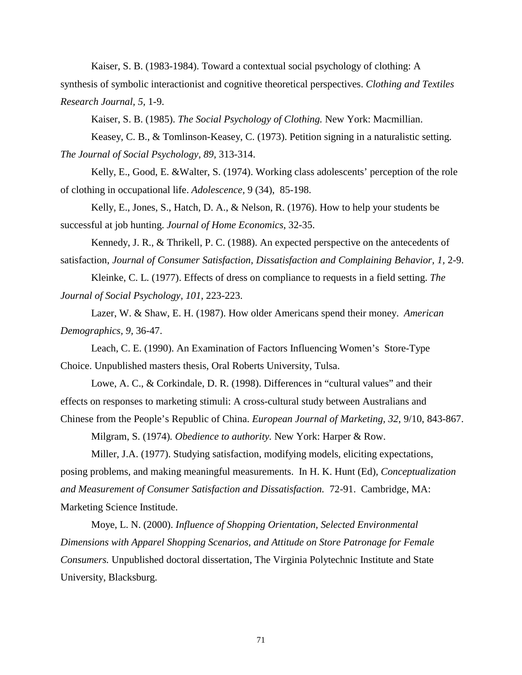Kaiser, S. B. (1983-1984). Toward a contextual social psychology of clothing: A synthesis of symbolic interactionist and cognitive theoretical perspectives. *Clothing and Textiles Research Journal, 5,* 1-9.

Kaiser, S. B. (1985). *The Social Psychology of Clothing.* New York: Macmillian.

Keasey, C. B., & Tomlinson-Keasey, C. (1973). Petition signing in a naturalistic setting. *The Journal of Social Psychology, 89,* 313-314.

Kelly, E., Good, E. &Walter, S. (1974). Working class adolescents' perception of the role of clothing in occupational life. *Adolescence,* 9 (34), 85-198.

Kelly, E., Jones, S., Hatch, D. A., & Nelson, R. (1976). How to help your students be successful at job hunting. *Journal of Home Economics*, 32-35.

Kennedy, J. R., & Thrikell, P. C. (1988). An expected perspective on the antecedents of satisfaction, *Journal of Consumer Satisfaction, Dissatisfaction and Complaining Behavior, 1, 2-9.* 

Kleinke, C. L. (1977). Effects of dress on compliance to requests in a field setting. *The Journal of Social Psychology, 101*, 223-223.

Lazer, W. & Shaw, E. H. (1987). How older Americans spend their money. *American Demographics, 9,* 36-47.

Leach, C. E. (1990). An Examination of Factors Influencing Women's Store-Type Choice. Unpublished masters thesis, Oral Roberts University, Tulsa.

Lowe, A. C., & Corkindale, D. R. (1998). Differences in "cultural values" and their effects on responses to marketing stimuli: A cross-cultural study between Australians and Chinese from the People's Republic of China. *European Journal of Marketing, 32*, 9/10, 843-867.

Milgram, S. (1974)*. Obedience to authority.* New York: Harper & Row.

Miller, J.A. (1977). Studying satisfaction, modifying models, eliciting expectations, posing problems, and making meaningful measurements. In H. K. Hunt (Ed), *Conceptualization and Measurement of Consumer Satisfaction and Dissatisfaction.* 72-91. Cambridge, MA: Marketing Science Institude.

Moye, L. N. (2000). *Influence of Shopping Orientation, Selected Environmental Dimensions with Apparel Shopping Scenarios, and Attitude on Store Patronage for Female Consumers.* Unpublished doctoral dissertation, The Virginia Polytechnic Institute and State University, Blacksburg.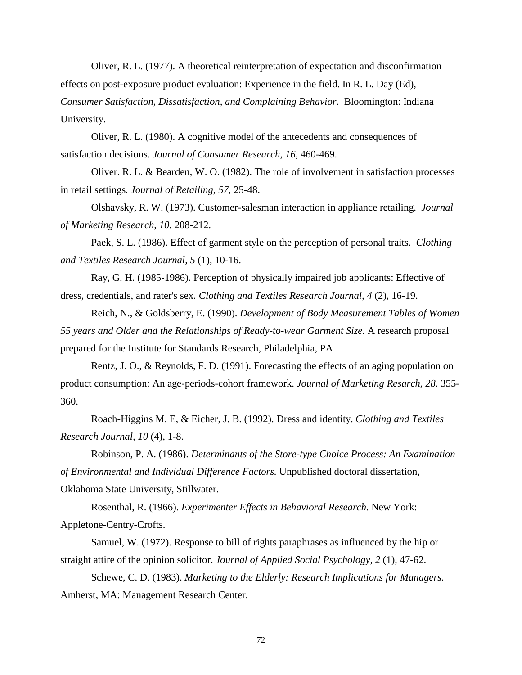Oliver, R. L. (1977). A theoretical reinterpretation of expectation and disconfirmation effects on post-exposure product evaluation: Experience in the field. In R. L. Day (Ed), *Consumer Satisfaction, Dissatisfaction, and Complaining Behavior.* Bloomington: Indiana University.

Oliver, R. L. (1980). A cognitive model of the antecedents and consequences of satisfaction decisions*. Journal of Consumer Research, 16,* 460-469.

Oliver. R. L. & Bearden, W. O. (1982). The role of involvement in satisfaction processes in retail settings*. Journal of Retailing, 57,* 25-48.

Olshavsky, R. W. (1973). Customer-salesman interaction in appliance retailing. *Journal of Marketing Research, 10.* 208-212.

Paek, S. L. (1986). Effect of garment style on the perception of personal traits. *Clothing and Textiles Research Journal, 5* (1), 10-16.

Ray, G. H. (1985-1986). Perception of physically impaired job applicants: Effective of dress, credentials, and rater's sex*. Clothing and Textiles Research Journal, 4* (2), 16-19.

Reich, N., & Goldsberry, E. (1990). *Development of Body Measurement Tables of Women 55 years and Older and the Relationships of Ready-to-wear Garment Size.* A research proposal prepared for the Institute for Standards Research, Philadelphia, PA

Rentz, J. O., & Reynolds, F. D. (1991). Forecasting the effects of an aging population on product consumption: An age-periods-cohort framework. *Journal of Marketing Resarch, 28*. 355- 360.

Roach-Higgins M. E, & Eicher, J. B. (1992). Dress and identity. *Clothing and Textiles Research Journal, 10* (4), 1-8.

Robinson, P. A. (1986). *Determinants of the Store-type Choice Process: An Examination of Environmental and Individual Difference Factors.* Unpublished doctoral dissertation, Oklahoma State University, Stillwater.

Rosenthal, R. (1966). *Experimenter Effects in Behavioral Research.* New York: Appletone-Centry-Crofts.

Samuel, W. (1972). Response to bill of rights paraphrases as influenced by the hip or straight attire of the opinion solicitor. *Journal of Applied Social Psychology, 2* (1), 47-62.

Schewe, C. D. (1983). *Marketing to the Elderly: Research Implications for Managers.*  Amherst, MA: Management Research Center.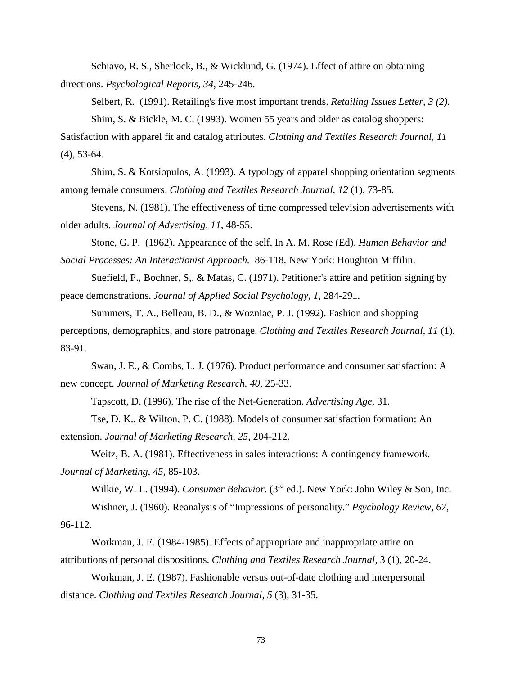Schiavo, R. S., Sherlock, B., & Wicklund, G. (1974). Effect of attire on obtaining directions. *Psychological Reports, 34,* 245-246.

Selbert, R. (1991). Retailing's five most important trends. *Retailing Issues Letter, 3 (2).*  Shim, S. & Bickle, M. C. (1993). Women 55 years and older as catalog shoppers: Satisfaction with apparel fit and catalog attributes. *Clothing and Textiles Research Journal, 11*  (4), 53-64.

Shim, S. & Kotsiopulos, A. (1993). A typology of apparel shopping orientation segments among female consumers. *Clothing and Textiles Research Journal, 12* (1), 73-85.

Stevens, N. (1981). The effectiveness of time compressed television advertisements with older adults. *Journal of Advertising, 11,* 48-55.

Stone, G. P. (1962). Appearance of the self, In A. M. Rose (Ed). *Human Behavior and Social Processes: An Interactionist Approach.* 86-118. New York: Houghton Miffilin.

Suefield, P., Bochner, S,. & Matas, C. (1971). Petitioner's attire and petition signing by peace demonstrations. *Journal of Applied Social Psychology, 1*, 284-291.

Summers, T. A., Belleau, B. D., & Wozniac, P. J. (1992). Fashion and shopping perceptions, demographics, and store patronage. *Clothing and Textiles Research Journal, 11* (1), 83-91.

Swan, J. E., & Combs, L. J. (1976). Product performance and consumer satisfaction: A new concept. *Journal of Marketing Research. 40,* 25-33.

Tapscott, D. (1996). The rise of the Net-Generation. *Advertising Age,* 31.

Tse, D. K., & Wilton, P. C. (1988). Models of consumer satisfaction formation: An extension. *Journal of Marketing Research, 25*, 204-212.

Weitz, B. A. (1981). Effectiveness in sales interactions: A contingency framework*. Journal of Marketing, 45,* 85-103.

Wilkie, W. L. (1994). *Consumer Behavior*. (3<sup>rd</sup> ed.). New York: John Wiley & Son, Inc. Wishner, J. (1960). Reanalysis of "Impressions of personality." *Psychology Review, 67,* 96-112.

Workman, J. E. (1984-1985). Effects of appropriate and inappropriate attire on attributions of personal dispositions. *Clothing and Textiles Research Journal,* 3 (1), 20-24.

Workman, J. E. (1987). Fashionable versus out-of-date clothing and interpersonal distance. *Clothing and Textiles Research Journal, 5* (3), 31-35.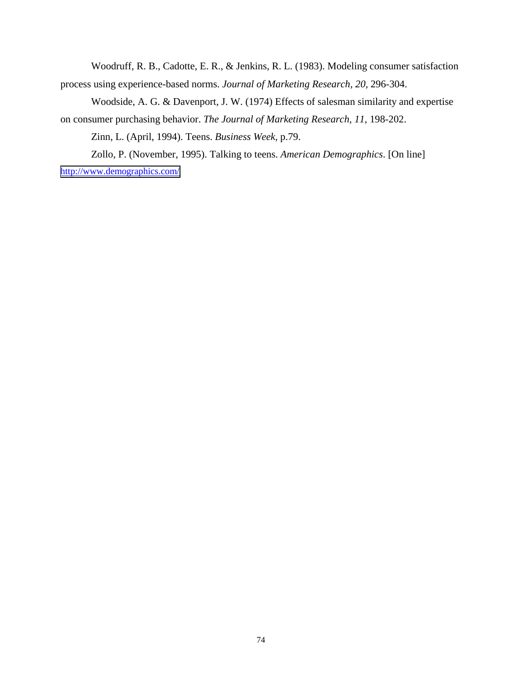Woodruff, R. B., Cadotte, E. R., & Jenkins, R. L. (1983). Modeling consumer satisfaction process using experience-based norms. *Journal of Marketing Research, 20,* 296-304.

Woodside, A. G. & Davenport, J. W. (1974) Effects of salesman similarity and expertise on consumer purchasing behavior. *The Journal of Marketing Research, 11,* 198-202.

Zinn, L. (April, 1994). Teens. *Business Week,* p.79.

Zollo, P. (November, 1995). Talking to teens. *American Demographics*. [On line] <http://www.demographics.com/>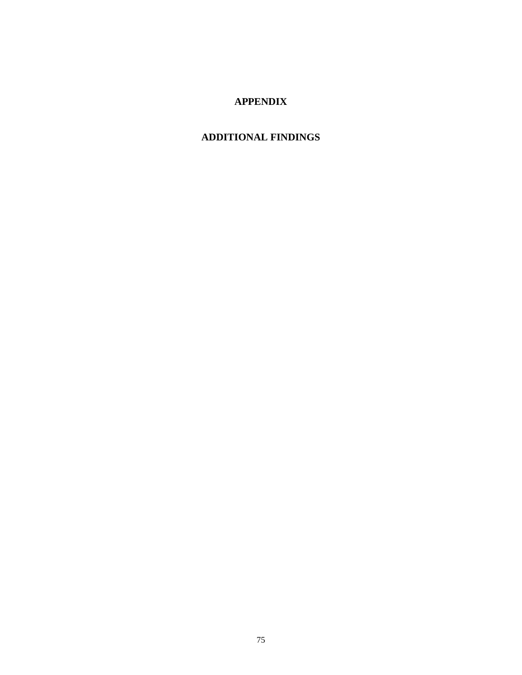# **APPENDIX**

# **ADDITIONAL FINDINGS**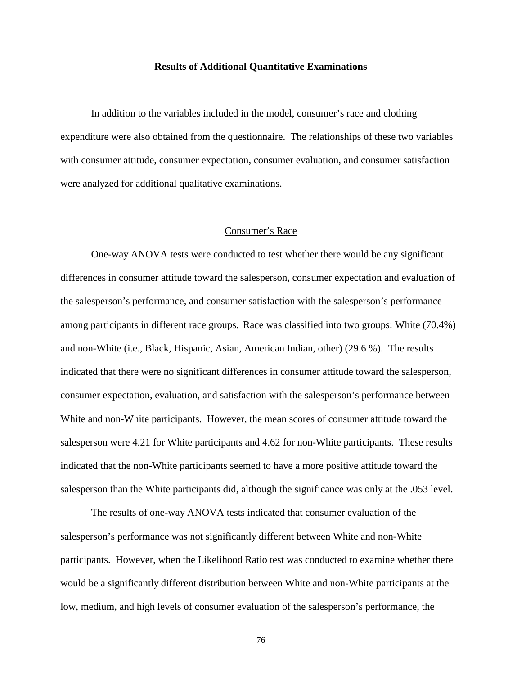#### **Results of Additional Quantitative Examinations**

In addition to the variables included in the model, consumer's race and clothing expenditure were also obtained from the questionnaire. The relationships of these two variables with consumer attitude, consumer expectation, consumer evaluation, and consumer satisfaction were analyzed for additional qualitative examinations.

### Consumer's Race

One-way ANOVA tests were conducted to test whether there would be any significant differences in consumer attitude toward the salesperson, consumer expectation and evaluation of the salesperson's performance, and consumer satisfaction with the salesperson's performance among participants in different race groups. Race was classified into two groups: White (70.4%) and non-White (i.e., Black, Hispanic, Asian, American Indian, other) (29.6 %). The results indicated that there were no significant differences in consumer attitude toward the salesperson, consumer expectation, evaluation, and satisfaction with the salesperson's performance between White and non-White participants. However, the mean scores of consumer attitude toward the salesperson were 4.21 for White participants and 4.62 for non-White participants. These results indicated that the non-White participants seemed to have a more positive attitude toward the salesperson than the White participants did, although the significance was only at the .053 level.

The results of one-way ANOVA tests indicated that consumer evaluation of the salesperson's performance was not significantly different between White and non-White participants. However, when the Likelihood Ratio test was conducted to examine whether there would be a significantly different distribution between White and non-White participants at the low, medium, and high levels of consumer evaluation of the salesperson's performance, the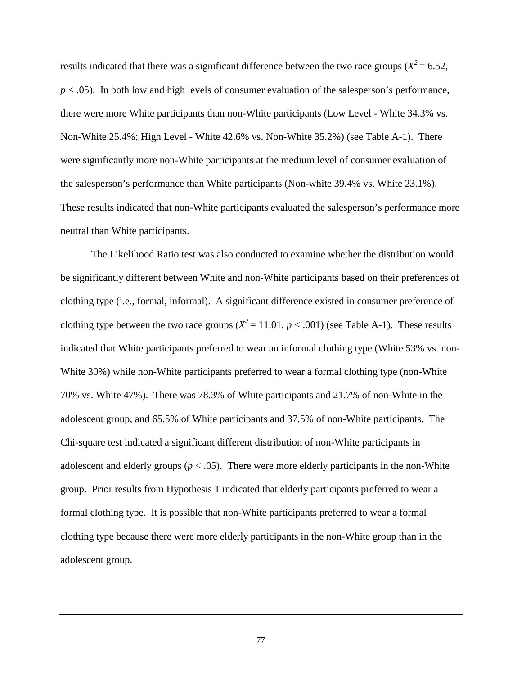results indicated that there was a significant difference between the two race groups  $(X^2 = 6.52)$ ,  $p < .05$ ). In both low and high levels of consumer evaluation of the salesperson's performance, there were more White participants than non-White participants (Low Level - White 34.3% vs. Non-White 25.4%; High Level - White 42.6% vs. Non-White 35.2%) (see Table A-1). There were significantly more non-White participants at the medium level of consumer evaluation of the salesperson's performance than White participants (Non-white 39.4% vs. White 23.1%). These results indicated that non-White participants evaluated the salesperson's performance more neutral than White participants.

 The Likelihood Ratio test was also conducted to examine whether the distribution would be significantly different between White and non-White participants based on their preferences of clothing type (i.e., formal, informal). A significant difference existed in consumer preference of clothing type between the two race groups  $(X^2 = 11.01, p < .001)$  (see Table A-1). These results indicated that White participants preferred to wear an informal clothing type (White 53% vs. non-White 30%) while non-White participants preferred to wear a formal clothing type (non-White 70% vs. White 47%). There was 78.3% of White participants and 21.7% of non-White in the adolescent group, and 65.5% of White participants and 37.5% of non-White participants. The Chi-square test indicated a significant different distribution of non-White participants in adolescent and elderly groups  $(p < .05)$ . There were more elderly participants in the non-White group. Prior results from Hypothesis 1 indicated that elderly participants preferred to wear a formal clothing type. It is possible that non-White participants preferred to wear a formal clothing type because there were more elderly participants in the non-White group than in the adolescent group.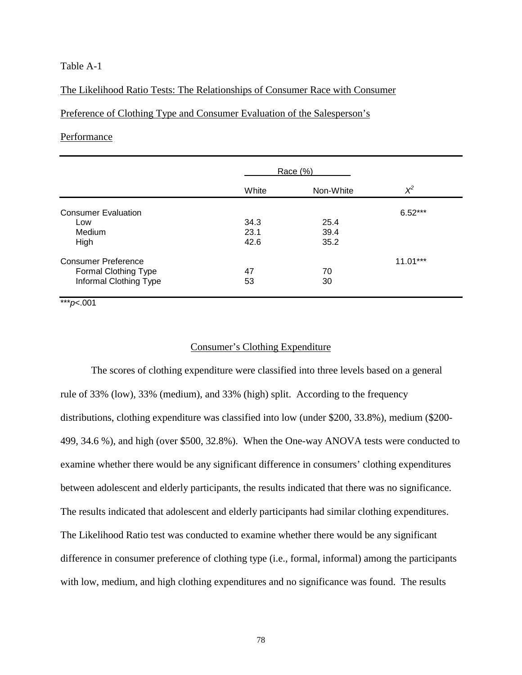## Table A-1

## The Likelihood Ratio Tests: The Relationships of Consumer Race with Consumer

## Preference of Clothing Type and Consumer Evaluation of the Salesperson's

## Performance

|                             | Race $(\%)$ |           |            |
|-----------------------------|-------------|-----------|------------|
|                             | White       | Non-White | $\chi^2$   |
| <b>Consumer Evaluation</b>  |             |           | $6.52***$  |
| Low                         | 34.3        | 25.4      |            |
| Medium                      | 23.1        | 39.4      |            |
| High                        | 42.6        | 35.2      |            |
| <b>Consumer Preference</b>  |             |           | $11.01***$ |
| <b>Formal Clothing Type</b> | 47          | 70        |            |
| Informal Clothing Type      | 53          | 30        |            |

\*\*\**p*<.001

# Consumer's Clothing Expenditure

 The scores of clothing expenditure were classified into three levels based on a general rule of 33% (low), 33% (medium), and 33% (high) split. According to the frequency distributions, clothing expenditure was classified into low (under \$200, 33.8%), medium (\$200- 499, 34.6 %), and high (over \$500, 32.8%). When the One-way ANOVA tests were conducted to examine whether there would be any significant difference in consumers' clothing expenditures between adolescent and elderly participants, the results indicated that there was no significance. The results indicated that adolescent and elderly participants had similar clothing expenditures. The Likelihood Ratio test was conducted to examine whether there would be any significant difference in consumer preference of clothing type (i.e., formal, informal) among the participants with low, medium, and high clothing expenditures and no significance was found. The results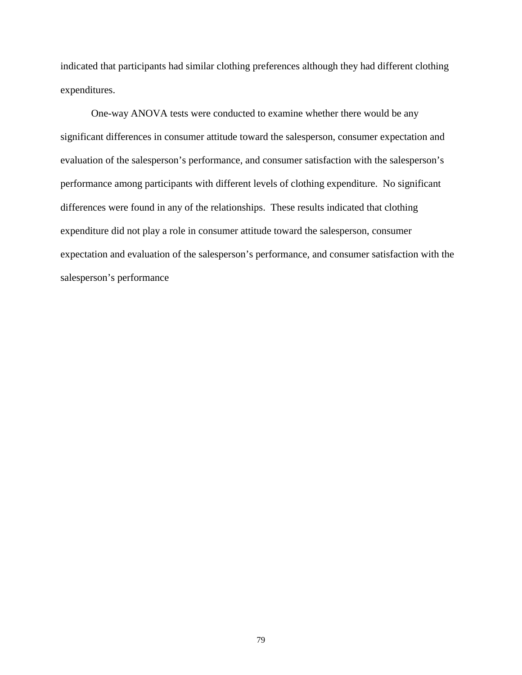indicated that participants had similar clothing preferences although they had different clothing expenditures.

 One-way ANOVA tests were conducted to examine whether there would be any significant differences in consumer attitude toward the salesperson, consumer expectation and evaluation of the salesperson's performance, and consumer satisfaction with the salesperson's performance among participants with different levels of clothing expenditure. No significant differences were found in any of the relationships. These results indicated that clothing expenditure did not play a role in consumer attitude toward the salesperson, consumer expectation and evaluation of the salesperson's performance, and consumer satisfaction with the salesperson's performance